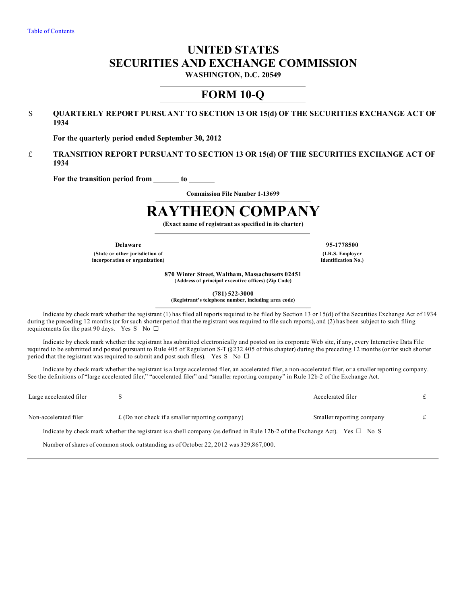# **UNITED STATES SECURITIES AND EXCHANGE COMMISSION**

**WASHINGTON, D.C. 20549**

# **FORM 10-Q**

# <span id="page-0-0"></span>S **QUARTERLY REPORT PURSUANT TO SECTION 13 OR 15(d) OF THE SECURITIES EXCHANGE ACT OF 1934**

**For the quarterly period ended September 30, 2012**

# £ **TRANSITION REPORT PURSUANT TO SECTION 13 OR 15(d) OF THE SECURITIES EXCHANGE ACT OF 1934**

**For the transition period from to**

**Commission File Number 1-13699**  $\mathcal{L}_\mathcal{L} = \{ \mathcal{L}_\mathcal{L} = \{ \mathcal{L}_\mathcal{L} = \{ \mathcal{L}_\mathcal{L} = \{ \mathcal{L}_\mathcal{L} = \{ \mathcal{L}_\mathcal{L} = \{ \mathcal{L}_\mathcal{L} = \{ \mathcal{L}_\mathcal{L} = \{ \mathcal{L}_\mathcal{L} = \{ \mathcal{L}_\mathcal{L} = \{ \mathcal{L}_\mathcal{L} = \{ \mathcal{L}_\mathcal{L} = \{ \mathcal{L}_\mathcal{L} = \{ \mathcal{L}_\mathcal{L} = \{ \mathcal{L}_\mathcal{$ 

# **RAYTHEON COMPANY**

**(Exact name of registrant as specified in its charter)** \_\_\_\_\_\_\_\_\_\_\_\_\_\_\_\_\_\_\_\_\_\_\_\_\_\_\_\_\_\_\_\_\_\_\_\_\_\_\_\_\_\_\_\_\_\_\_\_\_\_\_\_\_\_\_\_\_\_\_\_\_\_\_\_\_\_\_\_\_\_\_\_\_\_\_\_\_\_\_\_

**(State or other jurisdiction of incorporation or organization)**

**Delaware 95-1778500 (I.R.S. Employer Identification No.)**

> **870 Winter Street, Waltham, Massachusetts 02451 (Address of principal executive offices) (Zip Code)**

> > **(781) 522-3000**

**(Registrant's telephone number, including area code)**

Indicate by check mark whether the registrant (1) has filed all reports required to be filed by Section 13 or 15(d) of the Securities Exchange Act of 1934 during the preceding 12 months (or for such shorter period that the registrant was required to file such reports), and (2) has been subject to such filing requirements for the past 90 days. Yes S No  $\Box$ 

Indicate by check mark whether the registrant has submitted electronically and posted on its corporate Web site, if any, every Interactive Data File required to be submitted and posted pursuant to Rule 405 of Regulation S-T (§232.405 of this chapter) during the preceding 12 months (or for such shorter period that the registrant was required to submit and post such files). Yes S No  $\Box$ 

Indicate by check mark whether the registrant is a large accelerated filer, an accelerated filer, a non-accelerated filer, or a smaller reporting company. See the definitions of "large accelerated filer," "accelerated filer" and "smaller reporting company" in Rule 12b-2 of the Exchange Act.

| Large accelerated filer |                                                                                                                                     | Accelerated filer         |  |
|-------------------------|-------------------------------------------------------------------------------------------------------------------------------------|---------------------------|--|
| Non-accelerated filer   | $\pounds$ (Do not check if a smaller reporting company)                                                                             | Smaller reporting company |  |
|                         | Indicate by check mark whether the registrant is a shell company (as defined in Rule 12b-2 of the Exchange Act). Yes $\square$ No S |                           |  |
|                         |                                                                                                                                     |                           |  |

Number of shares of common stock outstanding as of October 22, 2012 was 329,867,000.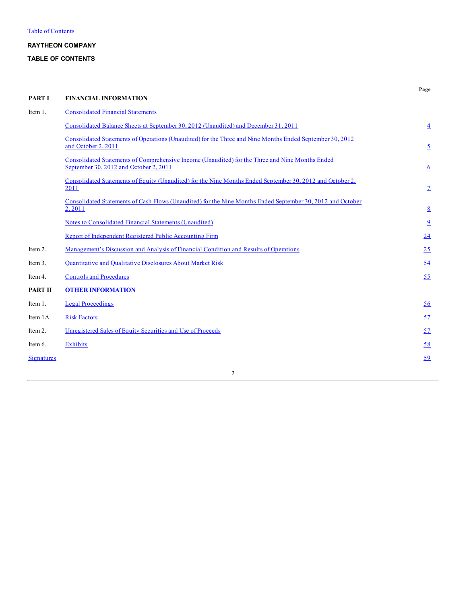# **RAYTHEON COMPANY TABLE OF CONTENTS**

| <b>PART I</b>     | <b>FINANCIAL INFORMATION</b>                                                                                                              | Page             |
|-------------------|-------------------------------------------------------------------------------------------------------------------------------------------|------------------|
| Item 1.           | <b>Consolidated Financial Statements</b>                                                                                                  |                  |
|                   | Consolidated Balance Sheets at September 30, 2012 (Unaudited) and December 31, 2011                                                       | $\overline{4}$   |
|                   | Consolidated Statements of Operations (Unaudited) for the Three and Nine Months Ended September 30, 2012<br>and October 2, 2011           | $\overline{5}$   |
|                   | Consolidated Statements of Comprehensive Income (Unaudited) for the Three and Nine Months Ended<br>September 30, 2012 and October 2, 2011 | $\underline{6}$  |
|                   | Consolidated Statements of Equity (Unaudited) for the Nine Months Ended September 30, 2012 and October 2,<br>2011                         | $\overline{1}$   |
|                   | Consolidated Statements of Cash Flows (Unaudited) for the Nine Months Ended September 30, 2012 and October<br>2,2011                      | 8                |
|                   | Notes to Consolidated Financial Statements (Unaudited)                                                                                    | $\overline{9}$   |
|                   | Report of Independent Registered Public Accounting Firm                                                                                   | 24               |
| Item 2.           | <u>Management's Discussion and Analysis of Financial Condition and Results of Operations</u>                                              | 25               |
| Item 3.           | Quantitative and Qualitative Disclosures About Market Risk                                                                                | <u>54</u>        |
| Item 4.           | <b>Controls and Procedures</b>                                                                                                            | 55               |
| <b>PART II</b>    | <b>OTHER INFORMATION</b>                                                                                                                  |                  |
| Item 1.           | <b>Legal Proceedings</b>                                                                                                                  | $\underline{56}$ |
| Item 1A.          | <b>Risk Factors</b>                                                                                                                       | <u>57</u>        |
| Item 2.           | Unregistered Sales of Equity Securities and Use of Proceeds                                                                               | <u>57</u>        |
| Item 6.           | <b>Exhibits</b>                                                                                                                           | 58               |
| <b>Signatures</b> |                                                                                                                                           | 59               |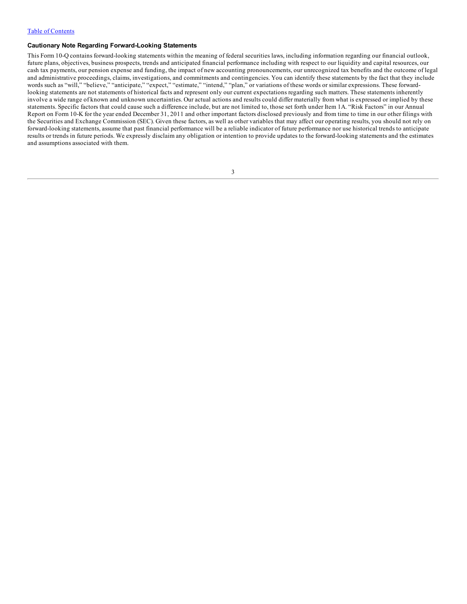#### <span id="page-2-0"></span>**Cautionary Note Regarding Forward-Looking Statements**

This Form 10-Q contains forward-looking statements within the meaning of federal securities laws, including information regarding our financial outlook, future plans, objectives, business prospects, trends and anticipated financial performance including with respect to our liquidity and capital resources, our cash tax payments, our pension expense and funding, the impact of new accounting pronouncements, our unrecognized tax benefits and the outcome of legal and administrative proceedings, claims, investigations, and commitments and contingencies. You can identify these statements by the fact that they include words such as "will," "believe," "anticipate," "expect," "estimate," "intend," "plan," or variations of these words or similar expressions. These forwardlooking statements are not statements of historical facts and represent only our current expectations regarding such matters. These statements inherently involve a wide range of known and unknown uncertainties. Our actual actions and results could differ materially from what is expressed or implied by these statements. Specific factors that could cause such a difference include, but are not limited to, those set forth under Item 1A. "Risk Factors" in our Annual Report on Form 10-K for the year ended December 31, 2011 and other important factors disclosed previously and from time to time in our other filings with the Securities and Exchange Commission (SEC). Given these factors, as well as other variables that may affect our operating results, you should not rely on forward-looking statements, assume that past financial performance will be a reliable indicator of future performance nor use historical trends to anticipate results or trends in future periods. We expressly disclaim any obligation or intention to provide updates to the forward-looking statements and the estimates and assumptions associated with them.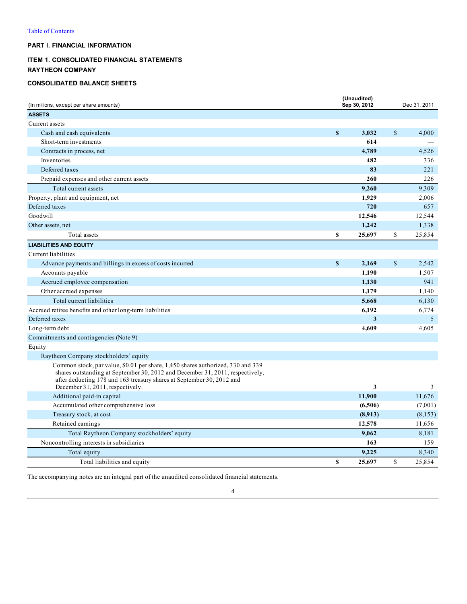#### <span id="page-3-0"></span>**PART I. FINANCIAL INFORMATION**

# **ITEM 1. CONSOLIDATED FINANCIAL STATEMENTS RAYTHEON COMPANY**

# **CONSOLIDATED BALANCE SHEETS**

| (In millions, except per share amounts)                                                                                                                                                                                                   | (Unaudited)<br>Sep 30, 2012 |              | Dec 31, 2011 |
|-------------------------------------------------------------------------------------------------------------------------------------------------------------------------------------------------------------------------------------------|-----------------------------|--------------|--------------|
| <b>ASSETS</b>                                                                                                                                                                                                                             |                             |              |              |
| Current assets                                                                                                                                                                                                                            |                             |              |              |
| Cash and cash equivalents                                                                                                                                                                                                                 | \$<br>3.032                 | $\mathbb{S}$ | 4,000        |
| Short-term investments                                                                                                                                                                                                                    | 614                         |              |              |
| Contracts in process, net                                                                                                                                                                                                                 | 4,789                       |              | 4.526        |
| Inventories                                                                                                                                                                                                                               | 482                         |              | 336          |
| Deferred taxes                                                                                                                                                                                                                            | 83                          |              | 221          |
| Prepaid expenses and other current assets                                                                                                                                                                                                 | 260                         |              | 226          |
| Total current assets                                                                                                                                                                                                                      | 9,260                       |              | 9,309        |
| Property, plant and equipment, net                                                                                                                                                                                                        | 1,929                       |              | 2,006        |
| Deferred taxes                                                                                                                                                                                                                            | 720                         |              | 657          |
| Goodwill                                                                                                                                                                                                                                  | 12,546                      |              | 12,544       |
| Other assets, net                                                                                                                                                                                                                         | 1,242                       |              | 1,338        |
| Total assets                                                                                                                                                                                                                              | \$<br>25,697                | \$           | 25,854       |
| <b>LIABILITIES AND EQUITY</b>                                                                                                                                                                                                             |                             |              |              |
| Current liabilities                                                                                                                                                                                                                       |                             |              |              |
| Advance payments and billings in excess of costs incurred                                                                                                                                                                                 | \$<br>2,169                 | $\mathbb{S}$ | 2,542        |
| Accounts payable                                                                                                                                                                                                                          | 1,190                       |              | 1,507        |
| Accrued employee compensation                                                                                                                                                                                                             | 1,130                       |              | 941          |
| Other accrued expenses                                                                                                                                                                                                                    | 1,179                       |              | 1,140        |
| Total current liabilities                                                                                                                                                                                                                 | 5,668                       |              | 6,130        |
| Accrued retiree benefits and other long-term liabilities                                                                                                                                                                                  | 6,192                       |              | 6,774        |
| Deferred taxes                                                                                                                                                                                                                            | 3                           |              | 5            |
| Long-term debt                                                                                                                                                                                                                            | 4,609                       |              | 4,605        |
| Commitments and contingencies (Note 9)                                                                                                                                                                                                    |                             |              |              |
| Equity                                                                                                                                                                                                                                    |                             |              |              |
| Raytheon Company stockholders' equity                                                                                                                                                                                                     |                             |              |              |
| Common stock, par value, \$0.01 per share, 1,450 shares authorized, 330 and 339<br>shares outstanding at September 30, 2012 and December 31, 2011, respectively,<br>after deducting 178 and 163 treasury shares at September 30, 2012 and |                             |              |              |
| December 31, 2011, respectively.                                                                                                                                                                                                          | 3                           |              | 3            |
| Additional paid-in capital                                                                                                                                                                                                                | 11,900                      |              | 11,676       |
| Accumulated other comprehensive loss                                                                                                                                                                                                      | (6,506)                     |              | (7,001)      |
| Treasury stock, at cost                                                                                                                                                                                                                   | (8,913)                     |              | (8,153)      |
| Retained earnings                                                                                                                                                                                                                         | 12,578                      |              | 11,656       |
| Total Raytheon Company stockholders' equity                                                                                                                                                                                               | 9,062<br>163                |              | 8,181<br>159 |
| Noncontrolling interests in subsidiaries                                                                                                                                                                                                  |                             |              |              |
| Total equity                                                                                                                                                                                                                              | 9,225                       | \$           | 8,340        |
| Total liabilities and equity                                                                                                                                                                                                              | \$<br>25,697                |              | 25,854       |

The accompanying notes are an integral part of the unaudited consolidated financial statements.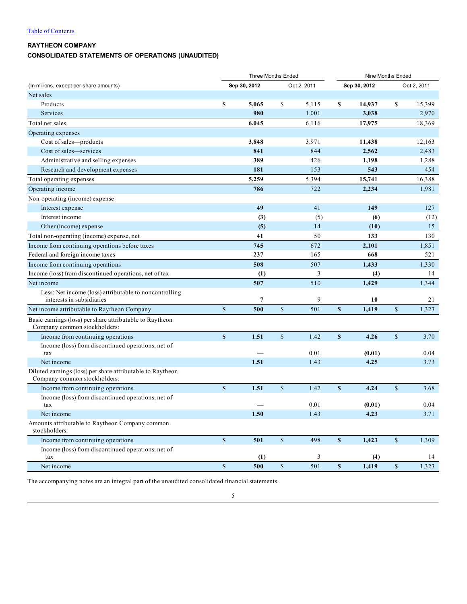# <span id="page-4-0"></span>**RAYTHEON COMPANY**

# **CONSOLIDATED STATEMENTS OF OPERATIONS (UNAUDITED)**

|                                                                                            |              | <b>Three Months Ended</b> |             |             | Nine Months Ended |              |              |             |
|--------------------------------------------------------------------------------------------|--------------|---------------------------|-------------|-------------|-------------------|--------------|--------------|-------------|
| (In millions, except per share amounts)                                                    |              | Sep 30, 2012              |             | Oct 2, 2011 |                   | Sep 30, 2012 |              | Oct 2, 2011 |
| Net sales                                                                                  |              |                           |             |             |                   |              |              |             |
| Products                                                                                   | \$           | 5,065                     | \$          | 5,115       | \$                | 14,937       | \$           | 15,399      |
| Services                                                                                   |              | 980                       |             | 1,001       |                   | 3,038        |              | 2,970       |
| Total net sales                                                                            |              | 6,045                     |             | 6,116       |                   | 17,975       |              | 18,369      |
| Operating expenses                                                                         |              |                           |             |             |                   |              |              |             |
| Cost of sales-products                                                                     |              | 3,848                     |             | 3,971       |                   | 11,438       |              | 12,163      |
| Cost of sales—services                                                                     |              | 841                       |             | 844         |                   | 2,562        |              | 2,483       |
| Administrative and selling expenses                                                        |              | 389                       |             | 426         |                   | 1,198        |              | 1,288       |
| Research and development expenses                                                          |              | 181                       |             | 153         |                   | 543          |              | 454         |
| Total operating expenses                                                                   |              | 5,259                     |             | 5,394       |                   | 15,741       |              | 16,388      |
| Operating income                                                                           |              | 786                       |             | 722         |                   | 2,234        |              | 1,981       |
| Non-operating (income) expense                                                             |              |                           |             |             |                   |              |              |             |
| Interest expense                                                                           |              | 49                        |             | 41          |                   | 149          |              | 127         |
| Interest income                                                                            |              | (3)                       |             | (5)         |                   | (6)          |              | (12)        |
| Other (income) expense                                                                     |              | (5)                       |             | 14          |                   | (10)         |              | 15          |
| Total non-operating (income) expense, net                                                  |              | 41                        |             | 50          |                   | 133          |              | 130         |
| Income from continuing operations before taxes                                             |              | 745                       |             | 672         |                   | 2,101        |              | 1,851       |
| Federal and foreign income taxes                                                           |              | 237                       |             | 165         |                   | 668          |              | 521         |
| Income from continuing operations                                                          |              | 508                       |             | 507         |                   | 1,433        |              | 1,330       |
| Income (loss) from discontinued operations, net of tax                                     |              | (1)                       |             | 3           |                   | (4)          |              | 14          |
| Net income                                                                                 |              | 507                       |             | 510         |                   | 1,429        |              | 1,344       |
| Less: Net income (loss) attributable to noncontrolling<br>interests in subsidiaries        |              | $\overline{7}$            |             | 9           |                   | 10           |              | 21          |
| Net income attributable to Raytheon Company                                                | $\mathbf S$  | 500                       | $\mathbb S$ | 501         | $\mathbf S$       | 1,419        | \$           | 1.323       |
| Basic earnings (loss) per share attributable to Raytheon<br>Company common stockholders:   |              |                           |             |             |                   |              |              |             |
| Income from continuing operations                                                          | $\mathbf S$  | 1.51                      | $\sqrt{\ }$ | 1.42        | $\mathbf S$       | 4.26         | $\mathbf S$  | 3.70        |
| Income (loss) from discontinued operations, net of<br>tax                                  |              |                           |             | 0.01        |                   | (0.01)       |              | 0.04        |
| Net income                                                                                 |              | 1.51                      |             | 1.43        |                   | 4.25         |              | 3.73        |
| Diluted earnings (loss) per share attributable to Raytheon<br>Company common stockholders: |              |                           |             |             |                   |              |              |             |
| Income from continuing operations                                                          | $\mathbf{s}$ | 1.51                      | $\mathbb S$ | 1.42        | $\mathbf{s}$      | 4.24         | \$           | 3.68        |
| Income (loss) from discontinued operations, net of<br>tax                                  |              |                           |             | 0.01        |                   | (0.01)       |              | 0.04        |
| Net income                                                                                 |              | 1.50                      |             | 1.43        |                   | 4.23         |              | 3.71        |
| Amounts attributable to Raytheon Company common<br>stockholders:                           |              |                           |             |             |                   |              |              |             |
| Income from continuing operations                                                          | $\mathbf S$  | 501                       | $\mathbb S$ | 498         | $\mathbf{s}$      | 1,423        | $\mathbb{S}$ | 1,309       |
| Income (loss) from discontinued operations, net of<br>tax                                  |              | (1)                       |             | 3           |                   | (4)          |              | 14          |
| Net income                                                                                 | $\mathbf S$  | 500                       | $\mathbb S$ | 501         | $\mathbb S$       | 1,419        | $\mathbb{S}$ | 1,323       |

The accompanying notes are an integral part of the unaudited consolidated financial statements.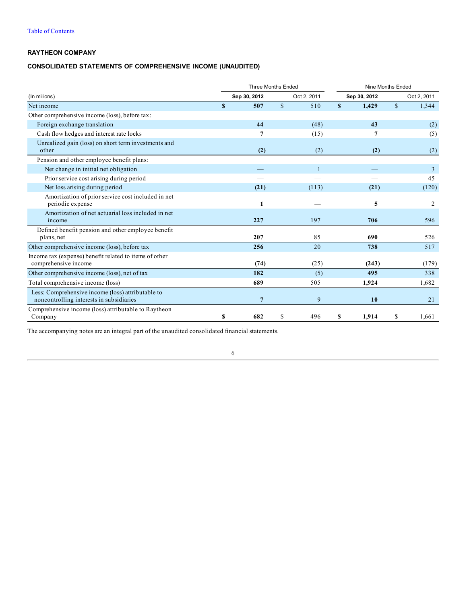## **RAYTHEON COMPANY**

# **CONSOLIDATED STATEMENTS OF COMPREHENSIVE INCOME (UNAUDITED)**

|                                                                                               |              | <b>Three Months Ended</b> |             | Nine Months Ended |              |              |              |               |  |  |
|-----------------------------------------------------------------------------------------------|--------------|---------------------------|-------------|-------------------|--------------|--------------|--------------|---------------|--|--|
| (In millions)                                                                                 |              | Sep 30, 2012              |             | Oct 2, 2011       |              | Sep 30, 2012 |              | Oct 2, 2011   |  |  |
| Net income                                                                                    | $\mathbf{s}$ | 507                       | $\mathbf S$ | 510               | $\mathbf{s}$ | 1,429        | $\mathbb{S}$ | 1,344         |  |  |
| Other comprehensive income (loss), before tax:                                                |              |                           |             |                   |              |              |              |               |  |  |
| Foreign exchange translation                                                                  |              | 44                        |             | (48)              |              | 43           |              | (2)           |  |  |
| Cash flow hedges and interest rate locks                                                      |              | 7                         |             | (15)              |              | 7            |              | (5)           |  |  |
| Unrealized gain (loss) on short term investments and                                          |              |                           |             |                   |              |              |              |               |  |  |
| other                                                                                         |              | (2)                       |             | (2)               |              | (2)          |              | (2)           |  |  |
| Pension and other employee benefit plans:                                                     |              |                           |             |                   |              |              |              |               |  |  |
| Net change in initial net obligation                                                          |              |                           |             |                   |              |              |              | $\mathcal{R}$ |  |  |
| Prior service cost arising during period                                                      |              |                           |             |                   |              |              |              | 45            |  |  |
| Net loss arising during period                                                                |              | (21)                      |             | (113)             |              | (21)         |              | (120)         |  |  |
| Amortization of prior service cost included in net<br>periodic expense                        |              | $\mathbf{1}$              |             |                   |              | 5            |              | 2             |  |  |
| Amortization of net actuarial loss included in net<br>income                                  |              | 227                       |             | 197               |              | 706          |              | 596           |  |  |
| Defined benefit pension and other employee benefit<br>plans, net                              |              | 207                       |             | 85                |              | 690          |              | 526           |  |  |
| Other comprehensive income (loss), before tax                                                 |              | 256                       |             | 20                |              | 738          |              | 517           |  |  |
| Income tax (expense) benefit related to items of other<br>comprehensive income                |              | (74)                      |             | (25)              |              | (243)        |              | (179)         |  |  |
| Other comprehensive income (loss), net of tax                                                 |              | 182                       |             | (5)               |              | 495          |              | 338           |  |  |
| Total comprehensive income (loss)                                                             |              | 689                       |             | 505               |              | 1,924        |              | 1,682         |  |  |
| Less: Comprehensive income (loss) attributable to<br>noncontrolling interests in subsidiaries |              | $\overline{7}$            |             | 9                 |              | <b>10</b>    |              | 21            |  |  |
| Comprehensive income (loss) attributable to Raytheon<br>Company                               | \$           | 682                       | \$          | 496               | \$           | 1,914        | \$           | 1,661         |  |  |

The accompanying notes are an integral part of the unaudited consolidated financial statements.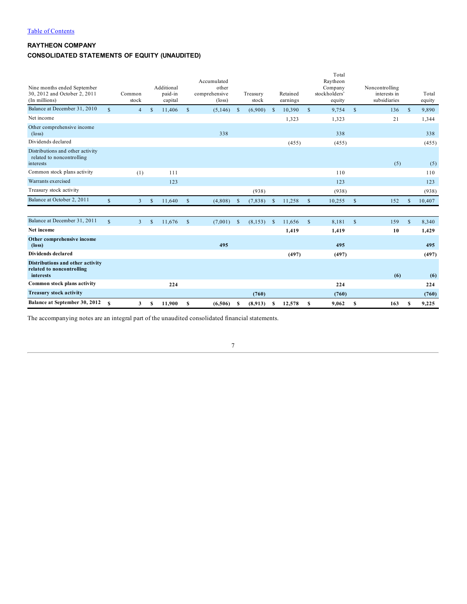# <span id="page-6-0"></span>**RAYTHEON COMPANY**

# **CONSOLIDATED STATEMENTS OF EQUITY (UNAUDITED)**

| Nine months ended September<br>30, 2012 and October 2, 2011<br>(In millions) |               | Common<br>stock |               | Additional<br>paid-in<br>capital |               | Accumulated<br>other<br>comprehensive<br>$(\text{loss})$ |               | Treasury<br>stock |               | Retained<br>earnings |              | Total<br>Raytheon<br>Company<br>stockholders'<br>equity |               | Noncontrolling<br>interests in<br>subsidiaries |              | Total<br>equity |
|------------------------------------------------------------------------------|---------------|-----------------|---------------|----------------------------------|---------------|----------------------------------------------------------|---------------|-------------------|---------------|----------------------|--------------|---------------------------------------------------------|---------------|------------------------------------------------|--------------|-----------------|
| Balance at December 31, 2010                                                 | $\mathcal{S}$ | $\overline{4}$  | <sup>\$</sup> | 11,406                           | $\mathbb{S}$  | (5,146)                                                  | $\mathbb{S}$  | (6,900)           | <sup>\$</sup> | 10,390               | $\mathbf{s}$ | 9,754                                                   | $\mathbf S$   | 136                                            | $\mathbf{s}$ | 9,890           |
| Net income                                                                   |               |                 |               |                                  |               |                                                          |               |                   |               | 1,323                |              | 1,323                                                   |               | 21                                             |              | 1,344           |
| Other comprehensive income<br>$(\text{loss})$                                |               |                 |               |                                  |               | 338                                                      |               |                   |               |                      |              | 338                                                     |               |                                                |              | 338             |
| Dividends declared                                                           |               |                 |               |                                  |               |                                                          |               |                   |               | (455)                |              | (455)                                                   |               |                                                |              | (455)           |
| Distributions and other activity<br>related to noncontrolling<br>interests   |               |                 |               |                                  |               |                                                          |               |                   |               |                      |              |                                                         |               | (5)                                            |              | (5)             |
| Common stock plans activity                                                  |               | (1)             |               | 111                              |               |                                                          |               |                   |               |                      |              | 110                                                     |               |                                                |              | 110             |
| Warrants exercised                                                           |               |                 |               | 123                              |               |                                                          |               |                   |               |                      |              | 123                                                     |               |                                                |              | 123             |
| Treasury stock activity                                                      |               |                 |               |                                  |               |                                                          |               | (938)             |               |                      |              | (938)                                                   |               |                                                |              | (938)           |
| Balance at October 2, 2011                                                   | $\mathbb{S}$  | $\overline{3}$  | <sup>\$</sup> | 11.640                           | $\mathbf S$   | (4,808)                                                  | <sup>\$</sup> | (7,838)           | $\mathbf{s}$  | 11,258               | $\mathbb{S}$ | 10,255                                                  | $\mathbf{s}$  | 152                                            | \$           | 10,407          |
|                                                                              |               |                 |               |                                  |               |                                                          |               |                   |               |                      |              |                                                         |               |                                                |              |                 |
| Balance at December 31, 2011                                                 | $\mathbb{S}$  | $\overline{3}$  | $\mathbf S$   | 11,676                           | $\mathsf{\$}$ | (7,001)                                                  | $\mathbb{S}$  | (8, 153)          | $\mathcal{S}$ | 11,656               | $\mathbf{s}$ | 8,181                                                   | $\mathbf S$   | 159                                            | $\mathbf S$  | 8,340           |
| Net income                                                                   |               |                 |               |                                  |               |                                                          |               |                   |               | 1,419                |              | 1,419                                                   |               | 10                                             |              | 1,429           |
| Other comprehensive income<br>$(\text{loss})$                                |               |                 |               |                                  |               | 495                                                      |               |                   |               |                      |              | 495                                                     |               |                                                |              | 495             |
| <b>Dividends declared</b>                                                    |               |                 |               |                                  |               |                                                          |               |                   |               | (497)                |              | (497)                                                   |               |                                                |              | (497)           |
| Distributions and other activity<br>related to noncontrolling<br>interests   |               |                 |               |                                  |               |                                                          |               |                   |               |                      |              |                                                         |               | (6)                                            |              | (6)             |
| Common stock plans activity                                                  |               |                 |               | 224                              |               |                                                          |               |                   |               |                      |              | 224                                                     |               |                                                |              | 224             |
| <b>Treasury stock activity</b>                                               |               |                 |               |                                  |               |                                                          |               | (760)             |               |                      |              | (760)                                                   |               |                                                |              | (760)           |
| Balance at September 30, 2012                                                | $\mathbf{s}$  | 3               | S             | 11,900                           | \$            | (6,506)                                                  | \$            | (8,913)           | S             | 12,578               | \$           | 9,062                                                   | <sup>\$</sup> | 163                                            | \$           | 9,225           |

The accompanying notes are an integral part of the unaudited consolidated financial statements.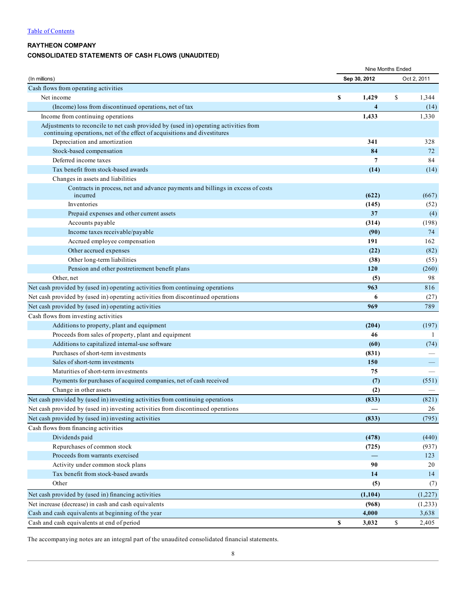# **RAYTHEON COMPANY**

# **CONSOLIDATED STATEMENTS OF CASH FLOWS (UNAUDITED)**

|                                                                                                                                                                   |    |                     | Nine Months Ended |             |
|-------------------------------------------------------------------------------------------------------------------------------------------------------------------|----|---------------------|-------------------|-------------|
| (In millions)                                                                                                                                                     |    | Sep 30, 2012        |                   | Oct 2, 2011 |
| Cash flows from operating activities                                                                                                                              |    |                     |                   |             |
| Net income                                                                                                                                                        | S  | 1,429               | \$                | 1,344       |
| (Income) loss from discontinued operations, net of tax                                                                                                            |    | $\overline{\bf{4}}$ |                   | (14)        |
| Income from continuing operations                                                                                                                                 |    | 1,433               |                   | 1,330       |
| Adjustments to reconcile to net cash provided by (used in) operating activities from<br>continuing operations, net of the effect of acquisitions and divestitures |    |                     |                   |             |
| Depreciation and amortization                                                                                                                                     |    | 341                 |                   | 328         |
| Stock-based compensation                                                                                                                                          |    | 84                  |                   | 72          |
| Deferred income taxes                                                                                                                                             |    | 7                   |                   | 84          |
| Tax benefit from stock-based awards                                                                                                                               |    | (14)                |                   | (14)        |
| Changes in assets and liabilities                                                                                                                                 |    |                     |                   |             |
| Contracts in process, net and advance payments and billings in excess of costs<br>incurred                                                                        |    | (622)               |                   | (667)       |
| Inventories                                                                                                                                                       |    | (145)               |                   | (52)        |
| Prepaid expenses and other current assets                                                                                                                         |    | 37                  |                   | (4)         |
| Accounts payable                                                                                                                                                  |    | (314)               |                   | (198)       |
| Income taxes receivable/payable                                                                                                                                   |    | (90)                |                   | 74          |
| Accrued employee compensation                                                                                                                                     |    | 191                 |                   | 162         |
| Other accrued expenses                                                                                                                                            |    | (22)                |                   | (82)        |
| Other long-term liabilities                                                                                                                                       |    | (38)                |                   | (55)        |
| Pension and other postretirement benefit plans                                                                                                                    |    | 120                 |                   | (260)       |
| Other, net                                                                                                                                                        |    | (5)                 |                   | 98          |
| Net cash provided by (used in) operating activities from continuing operations                                                                                    |    | 963                 |                   | 816         |
| Net cash provided by (used in) operating activities from discontinued operations                                                                                  |    | 6                   |                   | (27)        |
| Net cash provided by (used in) operating activities                                                                                                               |    | 969                 |                   | 789         |
| Cash flows from investing activities                                                                                                                              |    |                     |                   |             |
| Additions to property, plant and equipment                                                                                                                        |    | (204)               |                   | (197)       |
| Proceeds from sales of property, plant and equipment                                                                                                              |    | 46                  |                   | 1           |
| Additions to capitalized internal-use software                                                                                                                    |    | (60)                |                   | (74)        |
| Purchases of short-term investments                                                                                                                               |    | (831)               |                   |             |
| Sales of short-term investments                                                                                                                                   |    | <b>150</b>          |                   |             |
| Maturities of short-term investments                                                                                                                              |    | 75                  |                   |             |
| Payments for purchases of acquired companies, net of cash received                                                                                                |    | (7)                 |                   | (551)       |
| Change in other assets                                                                                                                                            |    | (2)                 |                   |             |
| Net cash provided by (used in) investing activities from continuing operations                                                                                    |    | (833)               |                   | (821)       |
| Net cash provided by (used in) investing activities from discontinued operations                                                                                  |    |                     |                   | $26\,$      |
| Net cash provided by (used in) investing activities                                                                                                               |    | (833)               |                   | (795)       |
| Cash flows from financing activities                                                                                                                              |    |                     |                   |             |
| Dividends paid                                                                                                                                                    |    | (478)               |                   | (440)       |
| Repurchases of common stock                                                                                                                                       |    | (725)               |                   | (937)       |
| Proceeds from warrants exercised                                                                                                                                  |    |                     |                   | 123         |
| Activity under common stock plans                                                                                                                                 |    | 90                  |                   | 20          |
| Tax benefit from stock-based awards                                                                                                                               |    | 14                  |                   | 14          |
| Other                                                                                                                                                             |    | (5)                 |                   | (7)         |
| Net cash provided by (used in) financing activities                                                                                                               |    | (1,104)             |                   | (1,227)     |
| Net increase (decrease) in cash and cash equivalents                                                                                                              |    | (968)               |                   | (1,233)     |
| Cash and cash equivalents at beginning of the year                                                                                                                |    | 4,000               |                   | 3,638       |
| Cash and cash equivalents at end of period                                                                                                                        | \$ | 3,032               | \$                | 2,405       |
|                                                                                                                                                                   |    |                     |                   |             |

The accompanying notes are an integral part of the unaudited consolidated financial statements.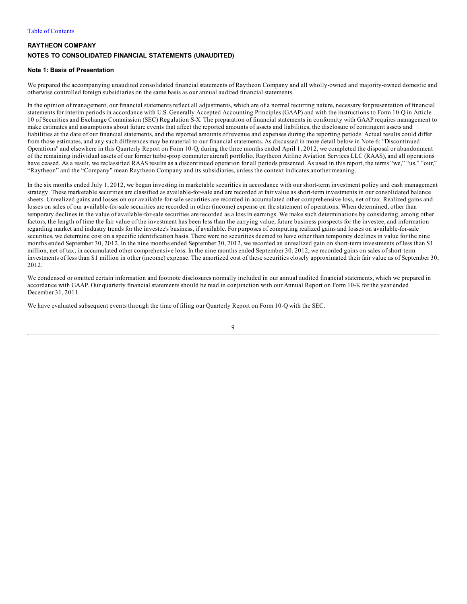# <span id="page-8-0"></span>**RAYTHEON COMPANY NOTES TO CONSOLIDATED FINANCIAL STATEMENTS (UNAUDITED)**

#### **Note 1: Basis of Presentation**

We prepared the accompanying unaudited consolidated financial statements of Raytheon Company and all wholly-owned and majority-owned domestic and otherwise controlled foreign subsidiaries on the same basis as our annual audited financial statements.

In the opinion of management, our financial statements reflect all adjustments, which are of a normal recurring nature, necessary for presentation of financial statements for interim periods in accordance with U.S. Generally Accepted Accounting Principles (GAAP) and with the instructions to Form 10-Q in Article 10 of Securities and Exchange Commission (SEC) Regulation S-X. The preparation of financial statements in conformity with GAAP requires management to make estimates and assumptions about future events that affect the reported amounts of assets and liabilities, the disclosure of contingent assets and liabilities at the date of our financial statements, and the reported amounts of revenue and expenses during the reporting periods. Actual results could differ from those estimates, and any such differences may be material to our financial statements. As discussed in more detail below in Note 6: "Discontinued Operations" and elsewhere in this Quarterly Report on Form 10-Q, during the three months ended April 1, 2012, we completed the disposal or abandonment of the remaining individual assets of our former turbo-prop commuter aircraft portfolio, Raytheon Airline Aviation Services LLC (RAAS), and all operations have ceased. As a result, we reclassified RAAS results as a discontinued operation for all periods presented. As used in this report, the terms "we," "us," "our," "Raytheon" and the "Company" mean Raytheon Company and its subsidiaries, unless the context indicates another meaning.

In the six months ended July 1, 2012, we began investing in marketable securities in accordance with our short-term investment policy and cash management strategy. These marketable securities are classified as available-for-sale and are recorded at fair value as short-term investments in our consolidated balance sheets. Unrealized gains and losses on our available-for-sale securities are recorded in accumulated other comprehensive loss, net of tax. Realized gains and losses on sales of our available-for-sale securities are recorded in other (income) expense on the statement of operations. When determined, other than temporary declines in the value of available-for-sale securities are recorded as a loss in earnings. We make such determinations by considering, among other factors, the length of time the fair value of the investment has been less than the carrying value, future business prospects for the investee, and information regarding market and industry trends for the investee's business, if available. For purposes of computing realized gains and losses on available-for-sale securities, we determine cost on a specific identification basis. There were no securities deemed to have other than temporary declines in value for the nine months ended September 30, 2012. In the nine months ended September 30, 2012, we recorded an unrealized gain on short-term investments of less than \$1 million, net of tax, in accumulated other comprehensive loss. In the nine months ended September 30, 2012, we recorded gains on sales of short-term investments of less than \$1 million in other (income) expense. The amortized cost of these securities closely approximated their fair value as of September 30, 2012.

We condensed or omitted certain information and footnote disclosures normally included in our annual audited financial statements, which we prepared in accordance with GAAP. Our quarterly financial statements should be read in conjunction with our Annual Report on Form 10-K for the year ended December 31, 2011.

We have evaluated subsequent events through the time of filing our Quarterly Report on Form 10-Q with the SEC.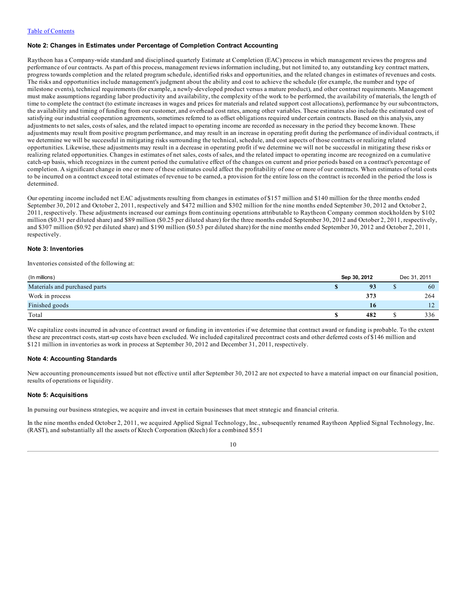#### **Note 2: Changes in Estimates under Percentage of Completion Contract Accounting**

Raytheon has a Company-wide standard and disciplined quarterly Estimate at Completion (EAC) process in which management reviews the progress and performance of our contracts. As part of this process, management reviews information including, but not limited to, any outstanding key contract matters, progress towards completion and the related program schedule, identified risks and opportunities, and the related changes in estimates of revenues and costs. The risks and opportunities include management's judgment about the ability and cost to achieve the schedule (for example, the number and type of milestone events), technical requirements (for example, a newly-developed product versus a mature product), and other contract requirements. Management must make assumptions regarding labor productivity and availability, the complexity of the work to be performed, the availability of materials, the length of time to complete the contract (to estimate increases in wages and prices for materials and related support cost allocations), performance by our subcontractors, the availability and timing of funding from our customer, and overhead cost rates, among other variables. These estimates also include the estimated cost of satisfying our industrial cooperation agreements, sometimes referred to as offset obligations required under certain contracts. Based on this analysis, any adjustments to net sales, costs of sales, and the related impact to operating income are recorded as necessary in the period they become known. These adjustments may result from positive program performance, and may result in an increase in operating profit during the performance of individual contracts, if we determine we will be successful in mitigating risks surrounding the technical, schedule, and cost aspects of those contracts or realizing related opportunities. Likewise, these adjustments may result in a decrease in operating profit if we determine we will not be successful in mitigating these risks or realizing related opportunities. Changes in estimates of net sales, costs of sales, and the related impact to operating income are recognized on a cumulative catch-up basis, which recognizes in the current period the cumulative effect of the changes on current and prior periods based on a contract's percentage of completion. A significant change in one or more of these estimates could affect the profitability of one or more of our contracts. When estimates of total costs to be incurred on a contract exceed total estimates of revenue to be earned, a provision for the entire loss on the contract is recorded in the period the loss is determined.

Our operating income included net EAC adjustments resulting from changes in estimates of \$157 million and \$140 million for the three months ended September 30, 2012 and October 2, 2011, respectively and \$472 million and \$302 million for the nine months ended September 30, 2012 and October 2, 2011, respectively. These adjustments increased our earnings from continuing operations attributable to Raytheon Company common stockholders by \$102 million (\$0.31 per diluted share) and \$89 million (\$0.25 per diluted share) for the three months ended September 30, 2012 and October 2, 2011, respectively, and \$307 million (\$0.92 per diluted share) and \$190 million (\$0.53 per diluted share) for the nine months ended September 30, 2012 and October 2, 2011, respectively.

#### **Note 3: Inventories**

Inventories consisted of the following at:

| (In millions)                 | Sep 30, 2012 | Dec 31, 2011 |     |  |  |
|-------------------------------|--------------|--------------|-----|--|--|
| Materials and purchased parts | 93           |              | 60  |  |  |
| Work in process               | 373          |              | 264 |  |  |
| Finished goods                | 16           |              | 12  |  |  |
| Total                         | 482          |              | 336 |  |  |

We capitalize costs incurred in advance of contract award or funding in inventories if we determine that contract award or funding is probable. To the extent these are precontract costs, start-up costs have been excluded. We included capitalized precontract costs and other deferred costs of \$146 million and \$121 million in inventories as work in process at September 30, 2012 and December 31, 2011, respectively.

#### **Note 4: Accounting Standards**

New accounting pronouncements issued but not effective until after September 30, 2012 are not expected to have a material impact on our financial position, results of operations or liquidity.

#### **Note 5: Acquisitions**

In pursuing our business strategies, we acquire and invest in certain businesses that meet strategic and financial criteria.

In the nine months ended October 2, 2011, we acquired Applied Signal Technology, Inc., subsequently renamed Raytheon Applied Signal Technology, Inc. (RAST), and substantially all the assets of Ktech Corporation (Ktech) for a combined \$551

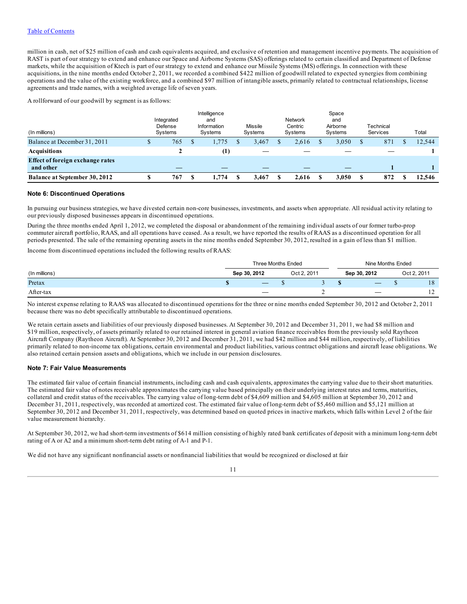million in cash, net of \$25 million of cash and cash equivalents acquired, and exclusive of retention and management incentive payments. The acquisition of RAST is part of our strategy to extend and enhance our Space and Airborne Systems (SAS) offerings related to certain classified and Department of Defense markets, while the acquisition of Ktech is part of our strategy to extend and enhance our Missile Systems (MS) offerings. In connection with these acquisitions, in the nine months ended October 2, 2011, we recorded a combined \$422 million of goodwill related to expected synergies from combining operations and the value of the existing workforce, and a combined \$97 million of intangible assets, primarily related to contractual relationships, license agreements and trade names, with a weighted average life of seven years.

A rollforward of our goodwill by segment is as follows:

| (In millions)                                 | Integrated<br>Defense<br>Systems |   | Intelligence<br>and<br>Information<br>Systems | <b>Missile</b><br>Systems | Network<br>Centric<br>Systems | Space<br>and<br>Airborne<br>Systems | Technical<br>Services | Total  |
|-----------------------------------------------|----------------------------------|---|-----------------------------------------------|---------------------------|-------------------------------|-------------------------------------|-----------------------|--------|
| Balance at December 31, 2011                  | 765                              | D | 1,775                                         | 3.467                     | 2.616                         | 3.050                               | 871                   | 12.544 |
| <b>Acquisitions</b>                           |                                  |   | $\left(1\right)$                              |                           |                               |                                     |                       |        |
| Effect of foreign exchange rates<br>and other |                                  |   |                                               |                           |                               |                                     |                       |        |
| <b>Balance at September 30, 2012</b>          | 767                              | S | 1.774                                         | 3.467                     | 2.616                         | 3.050                               | 872                   | 12.546 |

#### **Note 6: Discontinued Operations**

In pursuing our business strategies, we have divested certain non-core businesses, investments, and assets when appropriate. All residual activity relating to our previously disposed businesses appears in discontinued operations.

During the three months ended April 1, 2012, we completed the disposal or abandonment of the remaining individual assets of our former turbo-prop commuter aircraft portfolio, RAAS, and all operations have ceased. As a result, we have reported the results of RAAS as a discontinued operation for all periods presented. The sale of the remaining operating assets in the nine months ended September 30, 2012, resulted in a gain of less than \$1 million.

Income from discontinued operations included the following results of RAAS:

|               |              | Three Months Ended            | Nine Months Ended |              |                               |  |                          |
|---------------|--------------|-------------------------------|-------------------|--------------|-------------------------------|--|--------------------------|
| (In millions) | Sep 30, 2012 | Oct 2, 2011                   |                   | Sep 30, 2012 | Oct 2, 2011                   |  |                          |
| Pretax        |              | $\overbrace{\phantom{12332}}$ |                   |              | $\overbrace{\phantom{12332}}$ |  | 18                       |
| After-tax     |              |                               |                   |              |                               |  | $\overline{\phantom{0}}$ |

No interest expense relating to RAAS was allocated to discontinued operations for the three or nine months ended September 30, 2012 and October 2, 2011 because there was no debt specifically attributable to discontinued operations.

We retain certain assets and liabilities of our previously disposed businesses. At September 30, 2012 and December 31, 2011, we had \$8 million and \$19 million, respectively, of assets primarily related to our retained interest in general aviation finance receivables from the previously sold Raytheon Aircraft Company (Raytheon Aircraft). At September 30, 2012 and December 31, 2011, we had \$42 million and \$44 million, respectively, of liabilities primarily related to non-income tax obligations, certain environmental and product liabilities, various contract obligations and aircraft lease obligations. We also retained certain pension assets and obligations, which we include in our pension disclosures.

#### **Note 7: Fair Value Measurements**

The estimated fair value of certain financial instruments, including cash and cash equivalents, approximates the carrying value due to their short maturities. The estimated fair value of notes receivable approximates the carrying value based principally on their underlying interest rates and terms, maturities, collateral and credit status of the receivables. The carrying value of long-term debt of \$4,609 million and \$4,605 million at September 30, 2012 and December 31, 2011, respectively, was recorded at amortized cost. The estimated fair value of long-term debt of \$5,460 million and \$5,121 million at September 30, 2012 and December 31, 2011, respectively, was determined based on quoted prices in inactive markets, which falls within Level 2 of the fair value measurement hierarchy.

At September 30, 2012, we had short-term investments of \$614 million consisting of highly rated bank certificates of deposit with a minimum long-term debt rating of A or A2 and a minimum short-term debt rating of A-1 and P-1.

We did not have any significant nonfinancial assets or nonfinancial liabilities that would be recognized or disclosed at fair

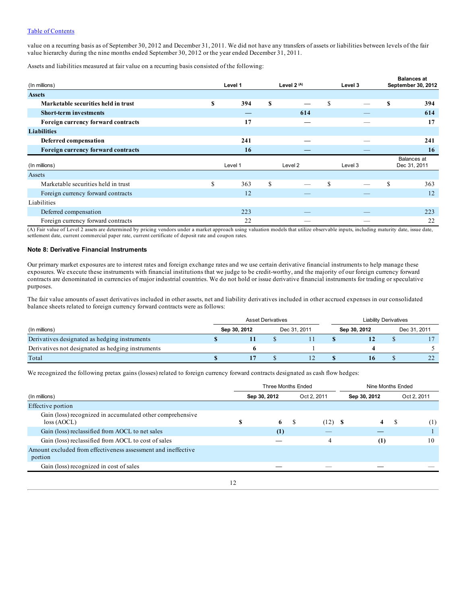value on a recurring basis as of September 30, 2012 and December 31, 2011. We did not have any transfers of assets or liabilities between levels of the fair value hierarchy during the nine months ended September 30, 2012 or the year ended December 31, 2011.

Assets and liabilities measured at fair value on a recurring basis consisted of the following:

| (In millions)                       |    | Level 1 |   | Level $2(A)$ |               | Level 3 |     | <b>Balances at</b><br>September 30, 2012 |
|-------------------------------------|----|---------|---|--------------|---------------|---------|-----|------------------------------------------|
| <b>Assets</b>                       |    |         |   |              |               |         |     |                                          |
| Marketable securities held in trust | S  | 394     | S |              | <sup>\$</sup> |         | S   | 394                                      |
| <b>Short-term investments</b>       |    | _       |   | 614          |               |         |     | 614                                      |
| Foreign currency forward contracts  |    | 17      |   |              |               |         |     | 17                                       |
| <b>Liabilities</b>                  |    |         |   |              |               |         |     |                                          |
| Deferred compensation               |    | 241     |   |              |               |         |     | 241                                      |
| Foreign currency forward contracts  |    | 16      |   |              |               |         |     | 16                                       |
| (In millions)                       |    | Level 1 |   | Level 2      |               | Level 3 |     | Balances at<br>Dec 31, 2011              |
| Assets                              |    |         |   |              |               |         |     |                                          |
| Marketable securities held in trust | S. | 363     | S |              | <b>S</b>      |         | \$. | 363                                      |
| Foreign currency forward contracts  |    | 12      |   |              |               |         |     | 12                                       |
| Liabilities                         |    |         |   |              |               |         |     |                                          |
| Deferred compensation               |    | 223     |   |              |               |         |     | 223                                      |
| Foreign currency forward contracts  |    | 22      |   |              |               |         |     | 22                                       |

(A) Fair value of Level 2 assets are determined by pricing vendors under a market approach using valuation models that utilize observable inputs, including maturity date, issue date, settlement date, current commercial paper rate, current certificate of deposit rate and coupon rates.

#### **Note 8: Derivative Financial Instruments**

Our primary market exposures are to interest rates and foreign exchange rates and we use certain derivative financial instruments to help manage these exposures. We execute these instruments with financial institutions that we judge to be credit-worthy, and the majority of our foreign currency forward contracts are denominated in currencies of major industrial countries. We do not hold or issue derivative financial instruments for trading or speculative purposes.

The fair value amounts of asset derivatives included in other assets, net and liability derivatives included in other accrued expenses in our consolidated balance sheets related to foreign currency forward contracts were as follows:

|                                                   |              | <b>Asset Derivatives</b> | <b>Liability Derivatives</b> |              |  |              |  |
|---------------------------------------------------|--------------|--------------------------|------------------------------|--------------|--|--------------|--|
| (In millions)                                     | Sep 30, 2012 |                          | Dec 31, 2011                 | Sep 30, 2012 |  | Dec 31, 2011 |  |
| Derivatives designated as hedging instruments     |              |                          |                              |              |  |              |  |
| Derivatives not designated as hedging instruments |              |                          |                              |              |  |              |  |
| Total                                             |              |                          |                              |              |  | 22<br>∠∠     |  |

We recognized the following pretax gains (losses) related to foreign currency forward contracts designated as cash flow hedges:

|                                                                          |                             | Three Months Ended | Nine Months Ended |                  |             |     |
|--------------------------------------------------------------------------|-----------------------------|--------------------|-------------------|------------------|-------------|-----|
| (In millions)                                                            | Oct 2, 2011<br>Sep 30, 2012 |                    | Sep 30, 2012      |                  | Oct 2, 2011 |     |
| Effective portion                                                        |                             |                    |                   |                  |             |     |
| Gain (loss) recognized in accumulated other comprehensive<br>loss (AOCL) |                             | 6                  | (12)<br>S         | -S<br>4          |             | (1) |
| Gain (loss) reclassified from AOCL to net sales                          |                             | (1)                |                   |                  |             |     |
| Gain (loss) reclassified from AOCL to cost of sales                      |                             |                    | 4                 | $\left(1\right)$ |             | 10  |
| Amount excluded from effectiveness assessment and ineffective<br>portion |                             |                    |                   |                  |             |     |
| Gain (loss) recognized in cost of sales                                  |                             |                    |                   |                  |             |     |
|                                                                          |                             |                    |                   |                  |             |     |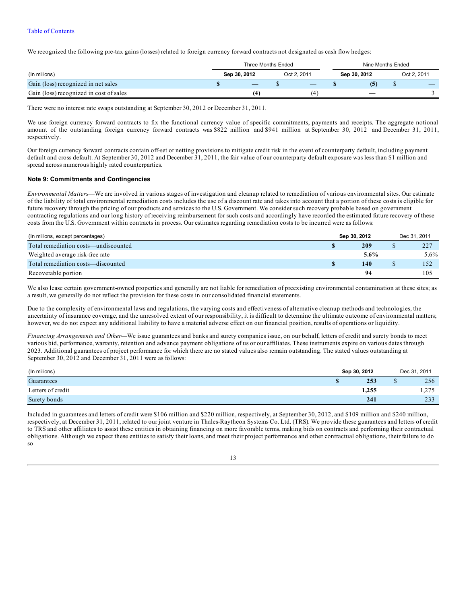We recognized the following pre-tax gains (losses) related to foreign currency forward contracts not designated as cash flow hedges:

|                                         | Three Months Ended |                                |             |    | Nine Months Ended |   |             |     |
|-----------------------------------------|--------------------|--------------------------------|-------------|----|-------------------|---|-------------|-----|
| (In millions)                           | Sep 30, 2012       |                                | Oct 2. 2011 |    | Sep 30, 2012      |   | Oct 2, 2011 |     |
| Gain (loss) recognized in net sales     |                    | $\qquad \qquad \longleftarrow$ |             |    |                   |   |             | $-$ |
| Gain (loss) recognized in cost of sales |                    | (4)                            |             | (4 |                   | _ |             |     |

There were no interest rate swaps outstanding at September 30, 2012 or December 31, 2011.

We use foreign currency forward contracts to fix the functional currency value of specific commitments, payments and receipts. The aggregate notional amount of the outstanding foreign currency forward contracts was \$822 million and \$941 million at September 30, 2012 and December 31, 2011, respectively.

Our foreign currency forward contracts contain off-set or netting provisions to mitigate credit risk in the event of counterparty default, including payment default and cross default. At September 30, 2012 and December 31, 2011, the fair value of our counterparty default exposure was less than \$1 million and spread across numerous highly rated counterparties.

#### **Note 9: Commitments and Contingencies**

*Environmental Matters*—We are involved in various stages of investigation and cleanup related to remediation of various environmental sites. Our estimate of the liability of total environmental remediation costs includes the use of a discount rate and takes into account that a portion of these costs is eligible for future recovery through the pricing of our products and services to the U.S. Government. We consider such recovery probable based on government contracting regulations and our long history of receiving reimbursement for such costs and accordingly have recorded the estimated future recovery of these costs from the U.S. Government within contracts in process. Our estimates regarding remediation costs to be incurred were as follows:

| (In millions, except percentages)    | Sep 30, 2012 |         | Dec 31, 2011 |         |
|--------------------------------------|--------------|---------|--------------|---------|
| Total remediation costs—undiscounted |              | 209     |              | 227     |
| Weighted average risk-free rate      |              | $5.6\%$ |              | $5.6\%$ |
| Total remediation costs—discounted   |              | 140     |              | 152     |
| Recoverable portion                  |              | 94      |              | 105     |

We also lease certain government-owned properties and generally are not liable for remediation of preexisting environmental contamination at these sites; as a result, we generally do not reflect the provision for these costs in our consolidated financial statements.

Due to the complexity of environmental laws and regulations, the varying costs and effectiveness of alternative cleanup methods and technologies, the uncertainty of insurance coverage, and the unresolved extent of our responsibility, it is difficult to determine the ultimate outcome of environmental matters; however, we do not expect any additional liability to have a material adverse effect on our financial position, results of operations or liquidity.

*Financing Arrangements and Other—*We issue guarantees and banks and surety companies issue, on our behalf, letters of credit and surety bonds to meet various bid, performance, warranty, retention and advance payment obligations of us or our affiliates. These instruments expire on various dates through 2023. Additional guarantees of project performance for which there are no stated values also remain outstanding. The stated values outstanding at September 30, 2012 and December 31, 2011 were as follows:

| (In millions)     | Sep 30, 2012 |  | Dec 31, 2011 |  |  |
|-------------------|--------------|--|--------------|--|--|
| Guarantees        | 253          |  | 256          |  |  |
| Letters of credit | 1,255        |  | 1,275        |  |  |
| Surety bonds      | 241          |  | 233          |  |  |

Included in guarantees and letters of credit were \$106 million and \$220 million, respectively, at September 30, 2012, and \$109 million and \$240 million, respectively, at December 31, 2011, related to our joint venture in Thales-Raytheon Systems Co. Ltd. (TRS). We provide these guarantees and letters of credit to TRS and other affiliates to assist these entities in obtaining financing on more favorable terms, making bids on contracts and performing their contractual obligations. Although we expect these entities to satisfy their loans, and meet their project performance and other contractual obligations, their failure to do so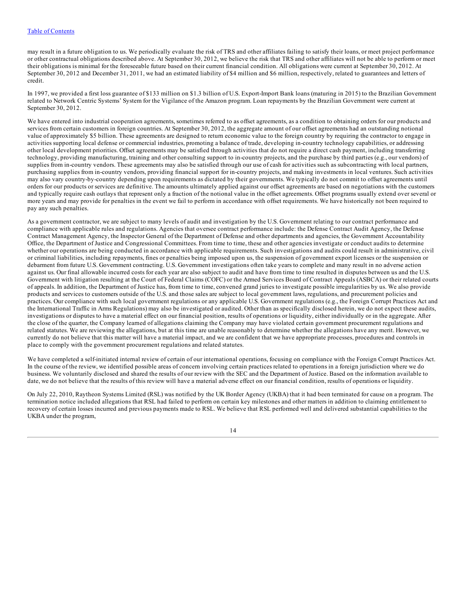may result in a future obligation to us. We periodically evaluate the risk of TRS and other affiliates failing to satisfy their loans, or meet project performance or other contractual obligations described above. At September 30, 2012, we believe the risk that TRS and other affiliates will not be able to perform or meet their obligations is minimal for the foreseeable future based on their current financial condition. All obligations were current at September 30, 2012. At September 30, 2012 and December 31, 2011, we had an estimated liability of \$4 million and \$6 million, respectively, related to guarantees and letters of credit.

In 1997, we provided a first loss guarantee of \$133 million on \$1.3 billion of U.S. Export-Import Bank loans (maturing in 2015) to the Brazilian Government related to Network Centric Systems' System for the Vigilance of the Amazon program. Loan repayments by the Brazilian Government were current at September 30, 2012.

We have entered into industrial cooperation agreements, sometimes referred to as offset agreements, as a condition to obtaining orders for our products and services from certain customers in foreign countries. At September 30, 2012, the aggregate amount of our offset agreements had an outstanding notional value of approximately \$5 billion. These agreements are designed to return economic value to the foreign country by requiring the contractor to engage in activities supporting local defense or commercial industries, promoting a balance of trade, developing in-country technology capabilities, or addressing other local development priorities. Offset agreements may be satisfied through activities that do not require a direct cash payment, including transferring technology, providing manufacturing, training and other consulting support to in-country projects, and the purchase by third parties (e.g., our vendors) of supplies from in-country vendors. These agreements may also be satisfied through our use of cash for activities such as subcontracting with local partners, purchasing supplies from in-country vendors, providing financial support for in-country projects, and making investments in local ventures. Such activities may also vary country-by-country depending upon requirements as dictated by their governments. We typically do not commit to offset agreements until orders for our products or services are definitive. The amounts ultimately applied against our offset agreements are based on negotiations with the customers and typically require cash outlays that represent only a fraction of the notional value in the offset agreements. Offset programs usually extend over several or more years and may provide for penalties in the event we fail to perform in accordance with offset requirements. We have historically not been required to pay any such penalties.

As a government contractor, we are subject to many levels of audit and investigation by the U.S. Government relating to our contract performance and compliance with applicable rules and regulations. Agencies that oversee contract performance include: the Defense Contract Audit Agency, the Defense Contract Management Agency, the Inspector General of the Department of Defense and other departments and agencies, the Government Accountability Office, the Department of Justice and Congressional Committees. From time to time, these and other agencies investigate or conduct audits to determine whether our operations are being conducted in accordance with applicable requirements. Such investigations and audits could result in administrative, civil or criminal liabilities, including repayments, fines or penalties being imposed upon us, the suspension of government export licenses or the suspension or debarment from future U.S. Government contracting. U.S. Government investigations often take years to complete and many result in no adverse action against us. Our final allowable incurred costs for each year are also subject to audit and have from time to time resulted in disputes between us and the U.S. Government with litigation resulting at the Court of Federal Claims (COFC) or the Armed Services Board of Contract Appeals (ASBCA) or their related courts of appeals. In addition, the Department of Justice has, from time to time, convened grand juries to investigate possible irregularities by us. We also provide products and services to customers outside of the U.S. and those sales are subject to local government laws, regulations, and procurement policies and practices. Our compliance with such local government regulations or any applicable U.S. Government regulations (e.g., the Foreign Corrupt Practices Act and the International Traffic in Arms Regulations) may also be investigated or audited. Other than as specifically disclosed herein, we do not expect these audits, investigations or disputes to have a material effect on our financial position, results of operations or liquidity, either individually or in the aggregate. After the close of the quarter, the Company learned of allegations claiming the Company may have violated certain government procurement regulations and related statutes. We are reviewing the allegations, but at this time are unable reasonably to determine whether the allegations have any merit. However, we currently do not believe that this matter will have a material impact, and we are confident that we have appropriate processes, procedures and controls in place to comply with the government procurement regulations and related statutes.

We have completed a self-initiated internal review of certain of our international operations, focusing on compliance with the Foreign Corrupt Practices Act. In the course of the review, we identified possible areas of concern involving certain practices related to operations in a foreign jurisdiction where we do business. We voluntarily disclosed and shared the results of our review with the SEC and the Department of Justice. Based on the information available to date, we do not believe that the results of this review will have a material adverse effect on our financial condition, results of operations or liquidity.

On July 22, 2010, Raytheon Systems Limited (RSL) was notified by the UK Border Agency (UKBA) that it had been terminated for cause on a program. The termination notice included allegations that RSL had failed to perform on certain key milestones and other matters in addition to claiming entitlement to recovery of certain losses incurred and previous payments made to RSL. We believe that RSL performed well and delivered substantial capabilities to the UKBA under the program,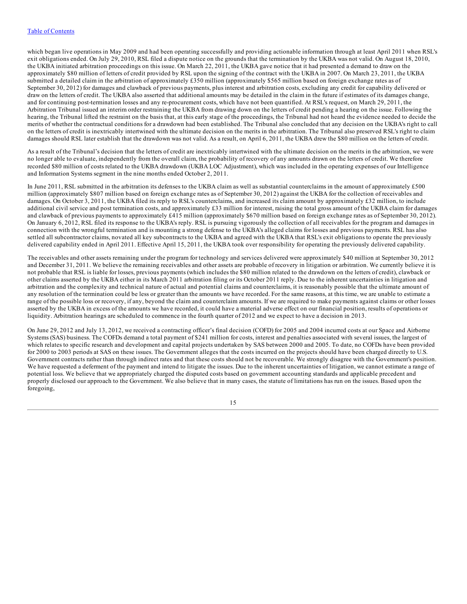which began live operations in May 2009 and had been operating successfully and providing actionable information through at least April 2011 when RSL's exit obligations ended. On July 29, 2010, RSL filed a dispute notice on the grounds that the termination by the UKBA was not valid. On August 18, 2010, the UKBA initiated arbitration proceedings on this issue. On March 22, 2011, the UKBA gave notice that it had presented a demand to draw on the approximately \$80 million of letters of credit provided by RSL upon the signing of the contract with the UKBA in 2007. On March 23, 2011, the UKBA submitted a detailed claim in the arbitration of approximately £350 million (approximately \$565 million based on foreign exchange rates as of September 30, 2012) for damages and clawback of previous payments, plus interest and arbitration costs, excluding any credit for capability delivered or draw on the letters of credit. The UKBA also asserted that additional amounts may be detailed in the claim in the future if estimates of its damages change, and for continuing post-termination losses and any re-procurement costs, which have not been quantified. At RSL's request, on March 29, 2011, the Arbitration Tribunal issued an interim order restraining the UKBA from drawing down on the letters of credit pending a hearing on the issue. Following the hearing, the Tribunal lifted the restraint on the basis that, at this early stage of the proceedings, the Tribunal had not heard the evidence needed to decide the merits of whether the contractual conditions for a drawdown had been established. The Tribunal also concluded that any decision on the UKBA's right to call on the letters of credit is inextricably intertwined with the ultimate decision on the merits in the arbitration. The Tribunal also preserved RSL's right to claim damages should RSL later establish that the drawdown was not valid. As a result, on April 6, 2011, the UKBA drew the \$80 million on the letters of credit.

As a result of the Tribunal's decision that the letters of credit are inextricably intertwined with the ultimate decision on the merits in the arbitration, we were no longer able to evaluate, independently from the overall claim, the probability of recovery of any amounts drawn on the letters of credit. We therefore recorded \$80 million of costs related to the UKBA drawdown (UKBA LOC Adjustment), which was included in the operating expenses of our Intelligence and Information Systems segment in the nine months ended October 2, 2011.

In June 2011, RSL submitted in the arbitration its defenses to the UKBA claim as well as substantial counterclaims in the amount of approximately £500 million (approximately \$807 million based on foreign exchange rates as of September 30, 2012) against the UKBA for the collection of receivables and damages. On October 3, 2011, the UKBA filed its reply to RSL's counterclaims, and increased its claim amount by approximately £32 million, to include additional civil service and post termination costs, and approximately £33 million for interest, raising the total gross amount of the UKBA claim for damages and clawback of previous payments to approximately £415 million (approximately \$670 million based on foreign exchange rates as of September 30, 2012). On January 6, 2012, RSL filed its response to the UKBA's reply. RSL is pursuing vigorously the collection of all receivables for the program and damages in connection with the wrongful termination and is mounting a strong defense to the UKBA's alleged claims for losses and previous payments. RSL has also settled all subcontractor claims, novated all key subcontracts to the UKBA and agreed with the UKBA that RSL's exit obligations to operate the previously delivered capability ended in April 2011. Effective April 15, 2011, the UKBA took over responsibility for operating the previously delivered capability.

The receivables and other assets remaining under the program for technology and services delivered were approximately \$40 million at September 30, 2012 and December 31, 2011. We believe the remaining receivables and other assets are probable of recovery in litigation or arbitration. We currently believe it is not probable that RSL is liable for losses, previous payments (which includes the \$80 million related to the drawdown on the letters of credit), clawback or other claims asserted by the UKBA either in its March 2011 arbitration filing or its October 2011 reply. Due to the inherent uncertainties in litigation and arbitration and the complexity and technical nature of actual and potential claims and counterclaims, it is reasonably possible that the ultimate amount of any resolution of the termination could be less or greater than the amounts we have recorded. For the same reasons, at this time, we are unable to estimate a range of the possible loss or recovery, if any, beyond the claim and counterclaim amounts. If we are required to make payments against claims or other losses asserted by the UKBA in excess of the amounts we have recorded, it could have a material adverse effect on our financial position, results of operations or liquidity. Arbitration hearings are scheduled to commence in the fourth quarter of 2012 and we expect to have a decision in 2013.

On June 29, 2012 and July 13, 2012, we received a contracting officer's final decision (COFD) for 2005 and 2004 incurred costs at our Space and Airborne Systems (SAS) business. The COFDs demand a total payment of \$241 million for costs, interest and penalties associated with several issues, the largest of which relates to specific research and development and capital projects undertaken by SAS between 2000 and 2005. To date, no COFDs have been provided for 2000 to 2003 periods at SAS on these issues. The Government alleges that the costs incurred on the projects should have been charged directly to U.S. Government contracts rather than through indirect rates and that these costs should not be recoverable. We strongly disagree with the Government's position. We have requested a deferment of the payment and intend to litigate the issues. Due to the inherent uncertainties of litigation, we cannot estimate a range of potential loss. We believe that we appropriately charged the disputed costs based on government accounting standards and applicable precedent and properly disclosed our approach to the Government. We also believe that in many cases, the statute of limitations has run on the issues. Based upon the foregoing,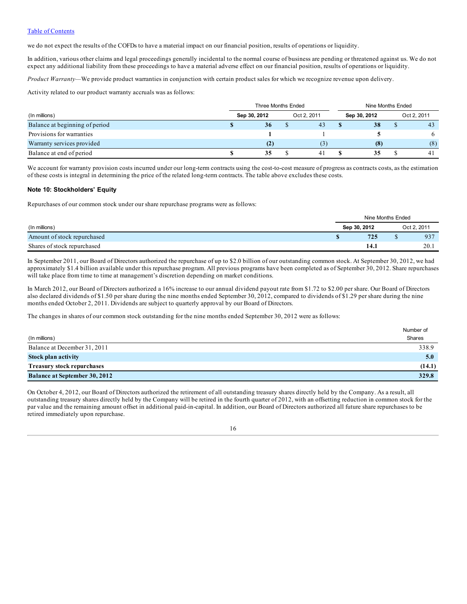we do not expect the results of the COFDs to have a material impact on our financial position, results of operations or liquidity.

In addition, various other claims and legal proceedings generally incidental to the normal course of business are pending or threatened against us. We do not expect any additional liability from these proceedings to have a material adverse effect on our financial position, results of operations or liquidity.

*Product Warranty—*We provide product warranties in conjunction with certain product sales for which we recognize revenue upon delivery.

Activity related to our product warranty accruals was as follows:

|                                | Three Months Ended |     |             |     |              | Nine Months Ended |             |     |  |
|--------------------------------|--------------------|-----|-------------|-----|--------------|-------------------|-------------|-----|--|
| (In millions)                  | Sep 30, 2012       |     | Oct 2, 2011 |     | Sep 30, 2012 |                   | Oct 2, 2011 |     |  |
| Balance at beginning of period |                    | 36  |             | 43  |              | 38                |             | 43  |  |
| Provisions for warranties      |                    |     |             |     |              |                   |             |     |  |
| Warranty services provided     |                    | (2) |             | (3) |              | (8)               |             | (8) |  |
| Balance at end of period       |                    | 35  |             |     |              |                   |             |     |  |

We account for warranty provision costs incurred under our long-term contracts using the cost-to-cost measure of progress as contracts costs, as the estimation of these costs is integral in determining the price of the related long-term contracts. The table above excludes these costs.

#### **Note 10: Stockholders' Equity**

Repurchases of our common stock under our share repurchase programs were as follows:

|                             |  | Nine Months Ended |  |      |  |  |  |             |  |
|-----------------------------|--|-------------------|--|------|--|--|--|-------------|--|
| (In millions)               |  | Sep 30, 2012      |  |      |  |  |  | Oct 2, 2011 |  |
| Amount of stock repurchased |  | 725               |  | 937  |  |  |  |             |  |
| Shares of stock repurchased |  | 14.1              |  | 20.1 |  |  |  |             |  |

In September 2011, our Board of Directors authorized the repurchase of up to \$2.0 billion of our outstanding common stock. At September 30, 2012, we had approximately \$1.4 billion available under this repurchase program. All previous programs have been completed as of September 30, 2012. Share repurchases will take place from time to time at management's discretion depending on market conditions.

In March 2012, our Board of Directors authorized a 16% increase to our annual dividend payout rate from \$1.72 to \$2.00 per share. Our Board of Directors also declared dividends of \$1.50 per share during the nine months ended September 30, 2012, compared to dividends of \$1.29 per share during the nine months ended October 2, 2011. Dividends are subject to quarterly approval by our Board of Directors.

The changes in shares of our common stock outstanding for the nine months ended September 30, 2012 were as follows:

|                                      | Number of |
|--------------------------------------|-----------|
| (In millions)                        | Shares    |
| Balance at December 31, 2011         | 338.9     |
| <b>Stock plan activity</b>           | 5.0       |
| <b>Treasury stock repurchases</b>    | (14.1)    |
| <b>Balance at September 30, 2012</b> | 329.8     |

On October 4, 2012, our Board of Directors authorized the retirement of all outstanding treasury shares directly held by the Company. As a result, all outstanding treasury shares directly held by the Company will be retired in the fourth quarter of 2012, with an offsetting reduction in common stock for the par value and the remaining amount offset in additional paid-in-capital. In addition, our Board of Directors authorized all future share repurchases to be retired immediately upon repurchase.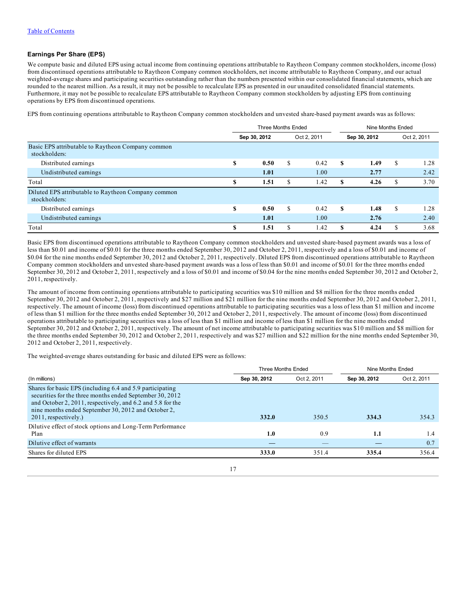#### **Earnings Per Share (EPS)**

We compute basic and diluted EPS using actual income from continuing operations attributable to Raytheon Company common stockholders, income (loss) from discontinued operations attributable to Raytheon Company common stockholders, net income attributable to Raytheon Company, and our actual weighted-average shares and participating securities outstanding rather than the numbers presented within our consolidated financial statements, which are rounded to the nearest million. As a result, it may not be possible to recalculate EPS as presented in our unaudited consolidated financial statements. Furthermore, it may not be possible to recalculate EPS attributable to Raytheon Company common stockholders by adjusting EPS from continuing operations by EPS from discontinued operations.

EPS from continuing operations attributable to Raytheon Company common stockholders and unvested share-based payment awards was as follows:

|                                                                      | <b>Three Months Ended</b> |              |    |             | Nine Months Ended |              |    |             |  |
|----------------------------------------------------------------------|---------------------------|--------------|----|-------------|-------------------|--------------|----|-------------|--|
|                                                                      |                           | Sep 30, 2012 |    | Oct 2, 2011 |                   | Sep 30, 2012 |    | Oct 2, 2011 |  |
| Basic EPS attributable to Raytheon Company common<br>stockholders:   |                           |              |    |             |                   |              |    |             |  |
| Distributed earnings                                                 | S                         | 0.50         | \$ | 0.42        | S                 | 1.49         | \$ | 1.28        |  |
| Undistributed earnings                                               |                           | 1.01         |    | 1.00        |                   | 2.77         |    | 2.42        |  |
| Total                                                                | S                         | 1.51         | S  | 1.42        | S                 | 4.26         |    | 3.70        |  |
| Diluted EPS attributable to Raytheon Company common<br>stockholders: |                           |              |    |             |                   |              |    |             |  |
| Distributed earnings                                                 | S                         | 0.50         | \$ | 0.42        | S                 | 1.48         | S  | 1.28        |  |
| Undistributed earnings                                               |                           | 1.01         |    | 1.00        |                   | 2.76         |    | 2.40        |  |
| Total                                                                | S                         | 1.51         | S  | 1.42        | S                 | 4.24         |    | 3.68        |  |

Basic EPS from discontinued operations attributable to Raytheon Company common stockholders and unvested share-based payment awards was a loss of less than \$0.01 and income of \$0.01 for the three months ended September 30, 2012 and October 2, 2011, respectively and a loss of \$0.01 and income of \$0.04 for the nine months ended September 30, 2012 and October 2, 2011, respectively. Diluted EPS from discontinued operations attributable to Raytheon Company common stockholders and unvested share-based payment awards was a loss of less than \$0.01 and income of \$0.01 for the three months ended September 30, 2012 and October 2, 2011, respectively and a loss of \$0.01 and income of \$0.04 for the nine months ended September 30, 2012 and October 2, 2011, respectively.

The amount of income from continuing operations attributable to participating securities was \$10 million and \$8 million for the three months ended September 30, 2012 and October 2, 2011, respectively and \$27 million and \$21 million for the nine months ended September 30, 2012 and October 2, 2011, respectively. The amount of income (loss) from discontinued operations attributable to participating securities was a loss of less than \$1 million and income of less than \$1 million for the three months ended September 30, 2012 and October 2, 2011, respectively. The amount of income (loss) from discontinued operations attributable to participating securities was a loss of less than \$1 million and income of less than \$1 million for the nine months ended September 30, 2012 and October 2, 2011, respectively. The amount of net income attributable to participating securities was \$10 million and \$8 million for the three months ended September 30, 2012 and October 2, 2011, respectively and was \$27 million and \$22 million for the nine months ended September 30, 2012 and October 2, 2011, respectively.

The weighted-average shares outstanding for basic and diluted EPS were as follows:

| Three Months Ended                                                                                                                                                                                                                                                 |              |             | Nine Months Ended |             |  |  |
|--------------------------------------------------------------------------------------------------------------------------------------------------------------------------------------------------------------------------------------------------------------------|--------------|-------------|-------------------|-------------|--|--|
| (In millions)                                                                                                                                                                                                                                                      | Sep 30, 2012 | Oct 2, 2011 | Sep 30, 2012      | Oct 2, 2011 |  |  |
| Shares for basic EPS (including 6.4 and 5.9 participating<br>securities for the three months ended September 30, 2012<br>and October 2, 2011, respectively, and 6.2 and 5.8 for the<br>nine months ended September 30, 2012 and October 2,<br>2011, respectively.) | 332.0        | 350.5       | 334.3             | 354.3       |  |  |
| Dilutive effect of stock options and Long-Term Performance<br>Plan                                                                                                                                                                                                 | 1.0          | 0.9         | 1.1               | 1.4         |  |  |
| Dilutive effect of warrants                                                                                                                                                                                                                                        |              |             |                   | 0.7         |  |  |
| Shares for diluted EPS                                                                                                                                                                                                                                             | 333.0        | 351.4       | 335.4             | 356.4       |  |  |

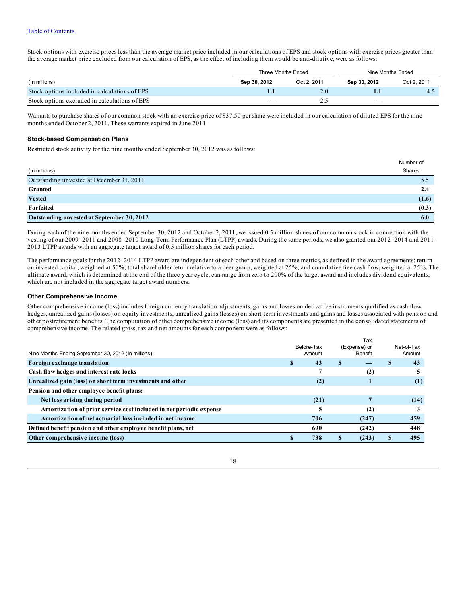Stock options with exercise prices less than the average market price included in our calculations of EPS and stock options with exercise prices greater than the average market price excluded from our calculation of EPS, as the effect of including them would be anti-dilutive, were as follows:

|                                               |              | Three Months Ended | Nine Months Ended |             |  |
|-----------------------------------------------|--------------|--------------------|-------------------|-------------|--|
| (In millions)                                 | Sep 30, 2012 | Oct 2, 2011        | Sep 30, 2012      | Oct 2. 2011 |  |
| Stock options included in calculations of EPS | п.           | 2.0                |                   | 4.5         |  |
| Stock options excluded in calculations of EPS |              |                    | _                 |             |  |

Warrants to purchase shares of our common stock with an exercise price of \$37.50 per share were included in our calculation of diluted EPS for the nine months ended October 2, 2011. These warrants expired in June 2011.

#### **Stock-based Compensation Plans**

Restricted stock activity for the nine months ended September 30, 2012 was as follows:

|                                            | Number of |
|--------------------------------------------|-----------|
| (In millions)                              | Shares    |
| Outstanding unvested at December 31, 2011  | 5.5       |
| Granted                                    | 2.4       |
| <b>Vested</b>                              | (1.6)     |
| Forfeited                                  | (0.3)     |
| Outstanding unvested at September 30, 2012 | 6.0       |

During each of the nine months ended September 30, 2012 and October 2, 2011, we issued 0.5 million shares of our common stock in connection with the vesting of our 2009–2011 and 2008–2010 Long-Term Performance Plan (LTPP) awards. During the same periods, we also granted our 2012–2014 and 2011– 2013 LTPP awards with an aggregate target award of 0.5 million shares for each period.

The performance goals for the 2012–2014 LTPP award are independent of each other and based on three metrics, as defined in the award agreements: return on invested capital, weighted at 50%; total shareholder return relative to a peer group, weighted at 25%; and cumulative free cash flow, weighted at 25%. The ultimate award, which is determined at the end of the three-year cycle, can range from zero to 200% of the target award and includes dividend equivalents, which are not included in the aggregate target award numbers.

#### **Other Comprehensive Income**

Other comprehensive income (loss) includes foreign currency translation adjustments, gains and losses on derivative instruments qualified as cash flow hedges, unrealized gains (losses) on equity investments, unrealized gains (losses) on short-term investments and gains and losses associated with pension and other postretirement benefits. The computation of other comprehensive income (loss) and its components are presented in the consolidated statements of comprehensive income. The related gross, tax and net amounts for each component were as follows:

|                                                                     |   |            | Tax          |                  |
|---------------------------------------------------------------------|---|------------|--------------|------------------|
|                                                                     |   | Before-Tax | (Expense) or | Net-of-Tax       |
| Nine Months Ending September 30, 2012 (In millions)                 |   | Amount     | Benefit      | Amount           |
| Foreign exchange translation                                        | S | 43         |              | 43               |
| Cash flow hedges and interest rate locks                            |   |            | (2)          |                  |
| Unrealized gain (loss) on short term investments and other          |   | (2)        |              | $\left(1\right)$ |
| Pension and other employee benefit plans:                           |   |            |              |                  |
| Net loss arising during period                                      |   | (21)       |              | (14)             |
| Amortization of prior service cost included in net periodic expense |   |            | (2)          |                  |
| Amortization of net actuarial loss included in net income           |   | 706        | (247)        | 459              |
| Defined benefit pension and other employee benefit plans, net       |   | 690        | (242)        | 448              |
| Other comprehensive income (loss)                                   |   | 738        | (243)        | 495              |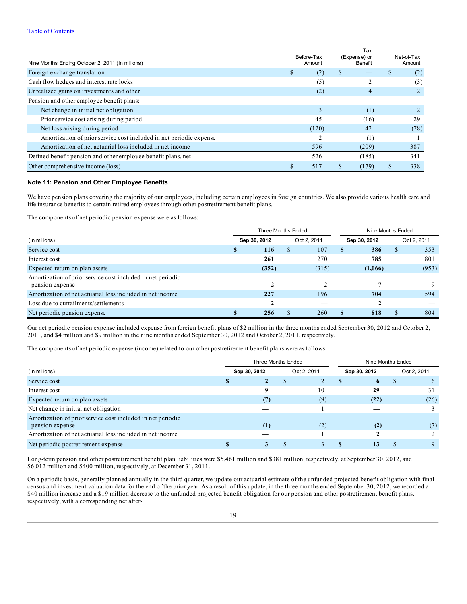|                                                                     |   |            |   | Tax          |            |
|---------------------------------------------------------------------|---|------------|---|--------------|------------|
|                                                                     |   | Before-Tax |   | (Expense) or | Net-of-Tax |
| Nine Months Ending October 2, 2011 (In millions)                    |   | Amount     |   | Benefit      | Amount     |
| Foreign exchange translation                                        | ъ | (2)        | Ф |              | (2)        |
| Cash flow hedges and interest rate locks                            |   | (5)        |   |              | (3)        |
| Unrealized gains on investments and other                           |   | (2)        |   | 4            |            |
| Pension and other employee benefit plans:                           |   |            |   |              |            |
| Net change in initial net obligation                                |   | 3          |   | (1)          |            |
| Prior service cost arising during period                            |   | 45         |   | (16)         | 29         |
| Net loss arising during period                                      |   | (120)      |   | 42           | (78)       |
| Amortization of prior service cost included in net periodic expense |   | ◠          |   | (1)          |            |
| Amortization of net actuarial loss included in net income           |   | 596        |   | (209)        | 387        |
| Defined benefit pension and other employee benefit plans, net       |   | 526        |   | (185)        | 341        |
| Other comprehensive income (loss)                                   |   | 517        |   | (179)        | \$<br>338  |

#### **Note 11: Pension and Other Employee Benefits**

We have pension plans covering the majority of our employees, including certain employees in foreign countries. We also provide various health care and life insurance benefits to certain retired employees through other postretirement benefit plans.

The components of net periodic pension expense were as follows:

|                                                                                | <b>Three Months Ended</b> |       |   |                |              | Nine Months Ended |    |             |  |
|--------------------------------------------------------------------------------|---------------------------|-------|---|----------------|--------------|-------------------|----|-------------|--|
| (In millions)                                                                  | Sep 30, 2012              |       |   | Oct 2, 2011    | Sep 30, 2012 |                   |    | Oct 2, 2011 |  |
| Service cost                                                                   | n.                        | 116   | S | 107            | \$           | 386               | ۰D | 353         |  |
| Interest cost                                                                  |                           | 261   |   | 270            |              | 785               |    | 801         |  |
| Expected return on plan assets                                                 |                           | (352) |   | (315)          |              | (1,066)           |    | (953)       |  |
| Amortization of prior service cost included in net periodic<br>pension expense |                           |       |   | $\mathfrak{D}$ |              |                   |    | 9           |  |
| Amortization of net actuarial loss included in net income                      |                           | 227   |   | 196            |              | 704               |    | 594         |  |
| Loss due to curtailments/settlements                                           |                           |       |   |                |              |                   |    |             |  |
| Net periodic pension expense                                                   |                           | 256   |   | 260            | S            | 818               |    | 804         |  |

Our net periodic pension expense included expense from foreign benefit plans of \$2 million in the three months ended September 30, 2012 and October 2, 2011, and \$4 million and \$9 million in the nine months ended September 30, 2012 and October 2, 2011, respectively.

The components of net periodic expense (income) related to our other postretirement benefit plans were as follows:

|                                                                                | <b>Three Months Ended</b> |  | Nine Months Ended |              |  |             |
|--------------------------------------------------------------------------------|---------------------------|--|-------------------|--------------|--|-------------|
| (In millions)                                                                  | Sep 30, 2012              |  | Oct 2, 2011       | Sep 30, 2012 |  | Oct 2, 2011 |
| Service cost                                                                   |                           |  |                   | $\mathbf b$  |  | $\sigma$    |
| Interest cost                                                                  | 9                         |  | 10                | 29           |  | 31          |
| Expected return on plan assets                                                 | (7)                       |  | (9)               | (22)         |  | (26)        |
| Net change in initial net obligation                                           |                           |  |                   |              |  |             |
| Amortization of prior service cost included in net periodic<br>pension expense | $\left(1\right)$          |  | (2)               | (2)          |  | (7)         |
| Amortization of net actuarial loss included in net income                      |                           |  |                   |              |  |             |
| Net periodic postretirement expense                                            |                           |  |                   | 13           |  |             |

Long-term pension and other postretirement benefit plan liabilities were \$5,461 million and \$381 million, respectively, at September 30, 2012, and \$6,012 million and \$400 million, respectively, at December 31, 2011.

On a periodic basis, generally planned annually in the third quarter, we update our actuarial estimate of the unfunded projected benefit obligation with final census and investment valuation data for the end of the prior year. As a result of this update, in the three months ended September 30, 2012, we recorded a \$40 million increase and a \$19 million decrease to the unfunded projected benefit obligation for our pension and other postretirement benefit plans, respectively, with a corresponding net after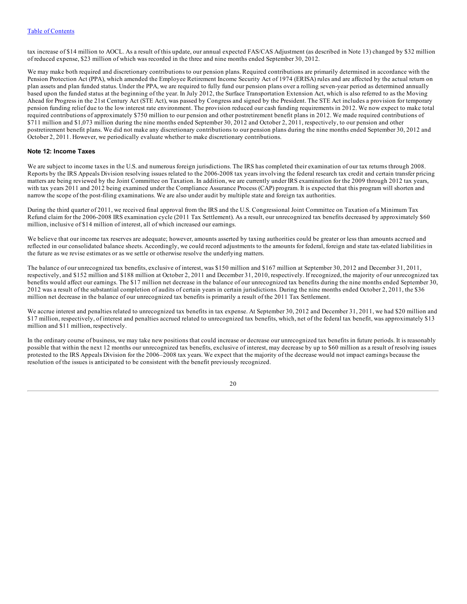tax increase of \$14 million to AOCL. As a result of this update, our annual expected FAS/CAS Adjustment (as described in Note 13) changed by \$32 million of reduced expense, \$23 million of which was recorded in the three and nine months ended September 30, 2012.

We may make both required and discretionary contributions to our pension plans. Required contributions are primarily determined in accordance with the Pension Protection Act (PPA), which amended the Employee Retirement Income Security Act of 1974 (ERISA) rules and are affected by the actual return on plan assets and plan funded status. Under the PPA, we are required to fully fund our pension plans over a rolling seven-year period as determined annually based upon the funded status at the beginning of the year. In July 2012, the Surface Transportation Extension Act, which is also referred to as the Moving Ahead for Progress in the 21st Century Act (STE Act), was passed by Congress and signed by the President. The STE Act includes a provision for temporary pension funding relief due to the low interest rate environment. The provision reduced our cash funding requirements in 2012. We now expect to make total required contributions of approximately \$750 million to our pension and other postretirement benefit plans in 2012. We made required contributions of \$711 million and \$1,073 million during the nine months ended September 30, 2012 and October 2, 2011, respectively, to our pension and other postretirement benefit plans. We did not make any discretionary contributions to our pension plans during the nine months ended September 30, 2012 and October 2, 2011. However, we periodically evaluate whether to make discretionary contributions.

#### **Note 12: Income Taxes**

We are subject to income taxes in the U.S. and numerous foreign jurisdictions. The IRS has completed their examination of our tax returns through 2008. Reports by the IRS Appeals Division resolving issues related to the 2006-2008 tax years involving the federal research tax credit and certain transfer pricing matters are being reviewed by the Joint Committee on Taxation. In addition, we are currently under IRS examination for the 2009 through 2012 tax years, with tax years 2011 and 2012 being examined under the Compliance Assurance Process (CAP) program. It is expected that this program will shorten and narrow the scope of the post-filing examinations. We are also under audit by multiple state and foreign tax authorities.

During the third quarter of 2011, we received final approval from the IRS and the U.S. Congressional Joint Committee on Taxation of a Minimum Tax Refund claim for the 2006-2008 IRS examination cycle (2011 Tax Settlement). As a result, our unrecognized tax benefits decreased by approximately \$60 million, inclusive of \$14 million of interest, all of which increased our earnings.

We believe that our income tax reserves are adequate; however, amounts asserted by taxing authorities could be greater or less than amounts accrued and reflected in our consolidated balance sheets. Accordingly, we could record adjustments to the amounts for federal, foreign and state tax-related liabilities in the future as we revise estimates or as we settle or otherwise resolve the underlying matters.

The balance of our unrecognized tax benefits, exclusive of interest, was \$150 million and \$167 million at September 30, 2012 and December 31, 2011, respectively, and \$152 million and \$188 million at October 2, 2011 and December 31, 2010, respectively. If recognized, the majority of our unrecognized tax benefits would affect our earnings. The \$17 million net decrease in the balance of our unrecognized tax benefits during the nine months ended September 30, 2012 was a result of the substantial completion of audits of certain years in certain jurisdictions. During the nine months ended October 2, 2011, the \$36 million net decrease in the balance of our unrecognized tax benefits is primarily a result of the 2011 Tax Settlement.

We accrue interest and penalties related to unrecognized tax benefits in tax expense. At September 30, 2012 and December 31, 2011, we had \$20 million and \$17 million, respectively, of interest and penalties accrued related to unrecognized tax benefits, which, net of the federal tax benefit, was approximately \$13 million and \$11 million, respectively.

In the ordinary course of business, we may take new positions that could increase or decrease our unrecognized tax benefits in future periods. It is reasonably possible that within the next 12 months our unrecognized tax benefits, exclusive of interest, may decrease by up to \$60 million as a result of resolving issues protested to the IRS Appeals Division for the 2006–2008 tax years. We expect that the majority of the decrease would not impact earnings because the resolution of the issues is anticipated to be consistent with the benefit previously recognized.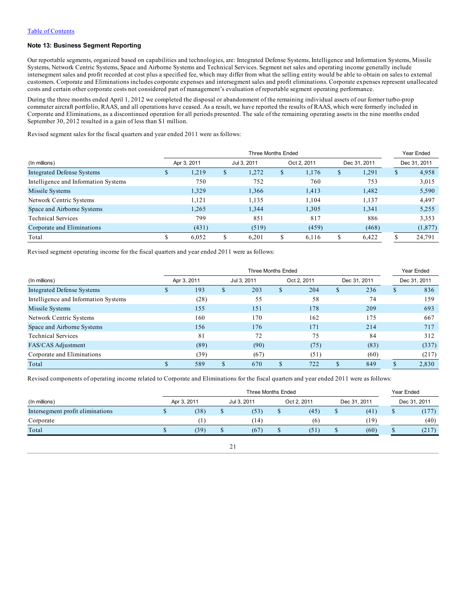#### **Note 13: Business Segment Reporting**

Our reportable segments, organized based on capabilities and technologies, are: Integrated Defense Systems, Intelligence and Information Systems, Missile Systems, Network Centric Systems, Space and Airborne Systems and Technical Services. Segment net sales and operating income generally include intersegment sales and profit recorded at cost plus a specified fee, which may differ from what the selling entity would be able to obtain on sales to external customers. Corporate and Eliminations includes corporate expenses and intersegment sales and profit eliminations. Corporate expenses represent unallocated costs and certain other corporate costs not considered part of management's evaluation of reportable segment operating performance.

During the three months ended April 1, 2012 we completed the disposal or abandonment of the remaining individual assets of our former turbo-prop commuter aircraft portfolio, RAAS, and all operations have ceased. As a result, we have reported the results of RAAS, which were formerly included in Corporate and Eliminations, as a discontinued operation for all periods presented. The sale of the remaining operating assets in the nine months ended September 30, 2012 resulted in a gain of less than \$1 million.

Revised segment sales for the fiscal quarters and year ended 2011 were as follows:

|                                      | Three Months Ended |    |             |    |             |          |              |   | Year Ended   |
|--------------------------------------|--------------------|----|-------------|----|-------------|----------|--------------|---|--------------|
| (In millions)                        | Apr 3, 2011        |    | Jul 3, 2011 |    | Oct 2, 2011 |          | Dec 31, 2011 |   | Dec 31, 2011 |
| <b>Integrated Defense Systems</b>    | 1,219              | \$ | .272        | \$ | 1,176       | <b>S</b> | 1,291        | Ф | 4,958        |
| Intelligence and Information Systems | 750                |    | 752         |    | 760         |          | 753          |   | 3,015        |
| Missile Systems                      | 1,329              |    | 1,366       |    | 1,413       |          | 1,482        |   | 5,590        |
| Network Centric Systems              | 1.121              |    | 1,135       |    | 1.104       |          | 1,137        |   | 4,497        |
| Space and Airborne Systems           | 1.265              |    | 1,344       |    | 1,305       |          | 1,341        |   | 5,255        |
| <b>Technical Services</b>            | 799                |    | 851         |    | 817         |          | 886          |   | 3,353        |
| Corporate and Eliminations           | (431)              |    | (519)       |    | (459)       |          | (468)        |   | (1,877)      |
| Total                                | 6.052              | S  | 6.201       | \$ | 6.116       |          | 6,422        |   | 24,791       |

Revised segment operating income for the fiscal quarters and year ended 2011 were as follows:

|                                      | Three Months Ended |             |     |             |    |             |    |              | Year Ended |              |
|--------------------------------------|--------------------|-------------|-----|-------------|----|-------------|----|--------------|------------|--------------|
| (In millions)                        |                    | Apr 3, 2011 |     | Jul 3, 2011 |    | Oct 2, 2011 |    | Dec 31, 2011 |            | Dec 31, 2011 |
| <b>Integrated Defense Systems</b>    |                    | 193         | JD. | 203         | \$ | 204         | \$ | 236          | ъ          | 836          |
| Intelligence and Information Systems |                    | (28)        |     | 55          |    | 58          |    | 74           |            | 159          |
| Missile Systems                      |                    | 155         |     | 151         |    | 178         |    | 209          |            | 693          |
| Network Centric Systems              |                    | 160         |     | 170         |    | 162         |    | 175          |            | 667          |
| Space and Airborne Systems           |                    | 156         |     | 176         |    | 171         |    | 214          |            | 717          |
| <b>Technical Services</b>            |                    | 81          |     | 72          |    | 75          |    | 84           |            | 312          |
| FAS/CAS Adjustment                   |                    | (89)        |     | (90)        |    | (75)        |    | (83)         |            | (337)        |
| Corporate and Eliminations           |                    | (39)        |     | (67)        |    | (51)        |    | (60)         |            | (217)        |
| Total                                |                    | 589         |     | 670         |    | 722         |    | 849          |            | 2,830        |

Revised components of operating income related to Corporate and Eliminations for the fiscal quarters and year ended 2011 were as follows:

| Three Months Ended |             |  |             |  |      |             |      | Year Ended   |       |  |              |
|--------------------|-------------|--|-------------|--|------|-------------|------|--------------|-------|--|--------------|
|                    | Apr 3, 2011 |  | Jul 3, 2011 |  |      | Oct 2, 2011 |      | Dec 31, 2011 |       |  | Dec 31, 2011 |
|                    | (38)        |  | (53)        |  | (45) | \$          | (41) |              | (177) |  |              |
|                    |             |  | (14)        |  | (6)  |             | (19) |              | (40)  |  |              |
|                    | (39)        |  | (67)        |  | (51) | Ф           | (60) |              | (217) |  |              |
|                    |             |  |             |  |      |             |      |              |       |  |              |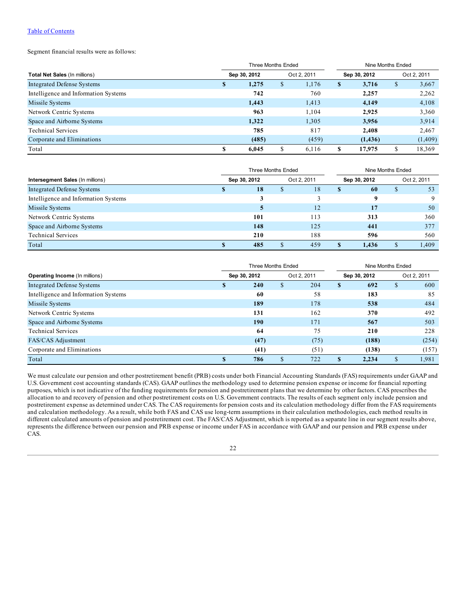Segment financial results were as follows:

|                                      | <b>Three Months Ended</b> |       |             |       |              | Nine Months Ended |             |         |  |
|--------------------------------------|---------------------------|-------|-------------|-------|--------------|-------------------|-------------|---------|--|
| Total Net Sales (In millions)        | Sep 30, 2012              |       | Oct 2, 2011 |       | Sep 30, 2012 |                   | Oct 2, 2011 |         |  |
| <b>Integrated Defense Systems</b>    | D                         | 1,275 | \$          | 1,176 | \$           | 3,716             | Ф           | 3,667   |  |
| Intelligence and Information Systems |                           | 742   |             | 760   |              | 2,257             |             | 2,262   |  |
| Missile Systems                      |                           | 1,443 |             | 1,413 |              | 4,149             |             | 4,108   |  |
| Network Centric Systems              |                           | 963   |             | 1.104 |              | 2,925             |             | 3,360   |  |
| Space and Airborne Systems           |                           | 1.322 |             | 1,305 |              | 3,956             |             | 3.914   |  |
| <b>Technical Services</b>            |                           | 785   |             | 817   |              | 2.408             |             | 2,467   |  |
| Corporate and Eliminations           |                           | (485) |             | (459) |              | (1, 436)          |             | (1,409) |  |
| Total                                |                           | 6.045 | \$          | 6.116 | S            | 17.975            |             | 18,369  |  |

|                                         | <b>Three Months Ended</b> |             |     |              |       | Nine Months Ended |                  |  |  |  |
|-----------------------------------------|---------------------------|-------------|-----|--------------|-------|-------------------|------------------|--|--|--|
| <b>Intersegment Sales (In millions)</b> | Sep 30, 2012              | Oct 2, 2011 |     | Sep 30, 2012 |       | Oct 2, 2011       |                  |  |  |  |
| <b>Integrated Defense Systems</b>       | 18                        | \$          | 18  |              | 60    |                   | 53               |  |  |  |
| Intelligence and Information Systems    |                           |             |     |              |       |                   | 9                |  |  |  |
| Missile Systems                         |                           |             | 12  |              |       |                   | 50               |  |  |  |
| Network Centric Systems                 | 101                       |             | 113 |              | 313   |                   | 360              |  |  |  |
| Space and Airborne Systems              | 148                       |             | 125 |              | 441   |                   | 377              |  |  |  |
| <b>Technical Services</b>               | 210                       |             | 188 |              | 596   |                   | 560              |  |  |  |
| Total                                   | 485                       | \$          | 459 |              | 1.436 |                   | L <sub>409</sub> |  |  |  |

|                                       |   | <b>Three Months Ended</b> |    |             |   |              | Nine Months Ended |             |  |  |
|---------------------------------------|---|---------------------------|----|-------------|---|--------------|-------------------|-------------|--|--|
| <b>Operating Income (In millions)</b> |   | Sep 30, 2012              |    | Oct 2, 2011 |   | Sep 30, 2012 |                   | Oct 2, 2011 |  |  |
| <b>Integrated Defense Systems</b>     | S | 240                       | \$ | 204         | S | 692          | ۰D                | 600         |  |  |
| Intelligence and Information Systems  |   | 60                        |    | 58          |   | 183          |                   | 85          |  |  |
| Missile Systems                       |   | 189                       |    | 178         |   | 538          |                   | 484         |  |  |
| Network Centric Systems               |   | 131                       |    | 162         |   | 370          |                   | 492         |  |  |
| Space and Airborne Systems            |   | 190                       |    | 171         |   | 567          |                   | 503         |  |  |
| <b>Technical Services</b>             |   | 64                        |    | 75          |   | 210          |                   | 228         |  |  |
| FAS/CAS Adjustment                    |   | (47)                      |    | (75)        |   | (188)        |                   | (254)       |  |  |
| Corporate and Eliminations            |   | (41)                      |    | (51)        |   | (138)        |                   | (157)       |  |  |
| Total                                 |   | 786                       | \$ | 722         | S | 2.234        |                   | 1.981       |  |  |

We must calculate our pension and other postretirement benefit (PRB) costs under both Financial Accounting Standards (FAS) requirements under GAAP and U.S. Government cost accounting standards (CAS). GAAP outlines the methodology used to determine pension expense or income for financial reporting purposes, which is not indicative of the funding requirements for pension and postretirement plans that we determine by other factors. CAS prescribes the allocation to and recovery of pension and other postretirement costs on U.S. Government contracts. The results of each segment only include pension and postretirement expense as determined under CAS. The CAS requirements for pension costs and its calculation methodology differ from the FAS requirements and calculation methodology. As a result, while both FAS and CAS use long-term assumptions in their calculation methodologies, each method results in different calculated amounts of pension and postretirement cost. The FAS/CAS Adjustment, which is reported as a separate line in our segment results above, represents the difference between our pension and PRB expense or income under FAS in accordance with GAAP and our pension and PRB expense under CAS.

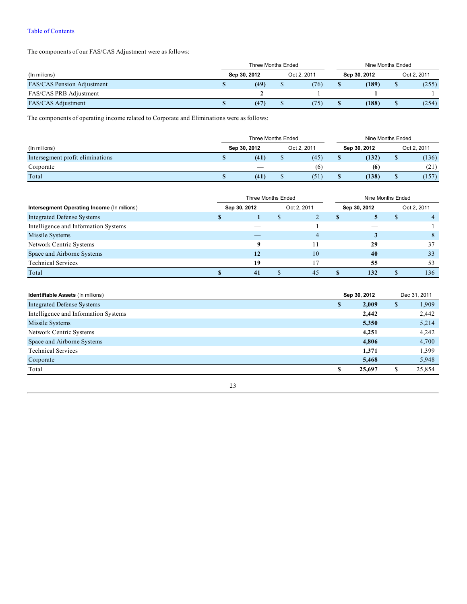The components of our FAS/CAS Adjustment were as follows:

|                                   | Three Months Ended |      |             |            |              | Nine Months Ended |             |       |  |
|-----------------------------------|--------------------|------|-------------|------------|--------------|-------------------|-------------|-------|--|
| (In millions)                     | Sep 30, 2012       |      | Oct 2, 2011 |            | Sep 30, 2012 |                   | Oct 2, 2011 |       |  |
| <b>FAS/CAS Pension Adjustment</b> |                    | (49) |             | (76)       |              | (189)             |             | (255) |  |
| FAS/CAS PRB Adjustment            |                    |      |             |            |              |                   |             |       |  |
| FAS/CAS Adjustment                |                    | (47) |             | $75^\circ$ |              | (188)             |             | (254) |  |

The components of operating income related to Corporate and Eliminations were as follows:

|                                  | Three Months Ended |      |   |             |  | Nine Months Ended |  |             |  |
|----------------------------------|--------------------|------|---|-------------|--|-------------------|--|-------------|--|
| (In millions)                    | Sep 30, 2012       |      |   | Oct 2, 2011 |  | Sep 30, 2012      |  | Oct 2, 2011 |  |
| Intersegment profit eliminations |                    | (41) |   | (45)        |  | (132)             |  | (136)       |  |
| Corporate                        |                    | _    |   | (6)         |  | (6)               |  | (21)        |  |
| Total                            |                    | (41) | Φ | (51         |  | (138)             |  | (157)       |  |

|                                             | Three Months Ended |    |             |    |              | Nine Months Ended |             |     |  |
|---------------------------------------------|--------------------|----|-------------|----|--------------|-------------------|-------------|-----|--|
| Intersegment Operating Income (In millions) | Sep 30, 2012       |    | Oct 2, 2011 |    | Sep 30, 2012 |                   | Oct 2, 2011 |     |  |
| <b>Integrated Defense Systems</b>           |                    |    |             |    |              |                   |             |     |  |
| Intelligence and Information Systems        |                    |    |             |    |              |                   |             |     |  |
| Missile Systems                             |                    |    |             | 4  |              |                   |             | 8   |  |
| Network Centric Systems                     |                    | Q  |             |    |              | 29                |             | 37  |  |
| Space and Airborne Systems                  |                    | 12 |             | 10 |              | 40                |             | 33  |  |
| <b>Technical Services</b>                   |                    | 19 |             | 17 |              | 55                |             | 53  |  |
| Total                                       |                    | 41 |             | 45 |              | 132               |             | 136 |  |

| <b>Identifiable Assets (In millions)</b> |    | Sep 30, 2012 |              | Dec 31, 2011 |  |
|------------------------------------------|----|--------------|--------------|--------------|--|
| <b>Integrated Defense Systems</b>        | S  | 2,009        | $\mathbf{D}$ | 1,909        |  |
| Intelligence and Information Systems     |    | 2,442        |              | 2,442        |  |
| Missile Systems                          |    | 5,350        |              | 5,214        |  |
| Network Centric Systems                  |    | 4,251        |              | 4,242        |  |
| Space and Airborne Systems               |    | 4,806        |              | 4,700        |  |
| <b>Technical Services</b>                |    | 1,371        |              | 1,399        |  |
| Corporate                                |    | 5,468        |              | 5,948        |  |
| Total                                    | S. | 25,697       |              | 25,854       |  |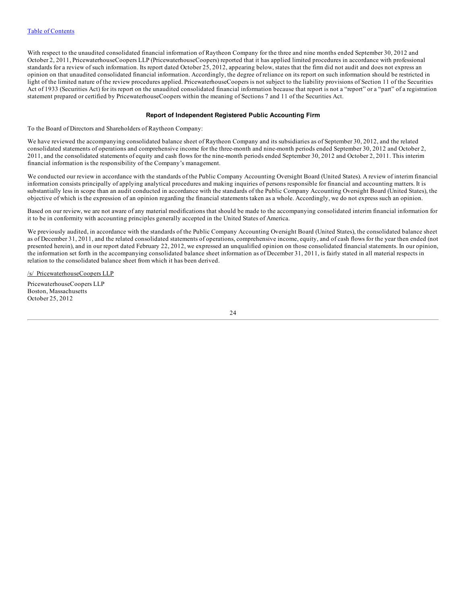<span id="page-23-0"></span>With respect to the unaudited consolidated financial information of Raytheon Company for the three and nine months ended September 30, 2012 and October 2, 2011, PricewaterhouseCoopers LLP (PricewaterhouseCoopers) reported that it has applied limited procedures in accordance with professional standards for a review of such information. Its report dated October 25, 2012, appearing below, states that the firm did not audit and does not express an opinion on that unaudited consolidated financial information. Accordingly, the degree of reliance on its report on such information should be restricted in light of the limited nature of the review procedures applied. PricewaterhouseCoopers is not subject to the liability provisions of Section 11 of the Securities Act of 1933 (Securities Act) for its report on the unaudited consolidated financial information because that report is not a "report" or a "part" of a registration statement prepared or certified by PricewaterhouseCoopers within the meaning of Sections 7 and 11 of the Securities Act.

#### **Report of Independent Registered Public Accounting Firm**

To the Board of Directors and Shareholders of Raytheon Company:

We have reviewed the accompanying consolidated balance sheet of Raytheon Company and its subsidiaries as of September 30, 2012, and the related consolidated statements of operations and comprehensive income for the three-month and nine-month periods ended September 30, 2012 and October 2, 2011, and the consolidated statements of equity and cash flows for the nine-month periods ended September 30, 2012 and October 2, 2011. This interim financial information is the responsibility of the Company's management.

We conducted our review in accordance with the standards of the Public Company Accounting Oversight Board (United States). A review of interim financial information consists principally of applying analytical procedures and making inquiries of persons responsible for financial and accounting matters. It is substantially less in scope than an audit conducted in accordance with the standards of the Public Company Accounting Oversight Board (United States), the objective of which is the expression of an opinion regarding the financial statements taken as a whole. Accordingly, we do not express such an opinion.

Based on our review, we are not aware of any material modifications that should be made to the accompanying consolidated interim financial information for it to be in conformity with accounting principles generally accepted in the United States of America.

We previously audited, in accordance with the standards of the Public Company Accounting Oversight Board (United States), the consolidated balance sheet as of December 31, 2011, and the related consolidated statements of operations, comprehensive income, equity, and of cash flows for the year then ended (not presented herein), and in our report dated February 22, 2012, we expressed an unqualified opinion on those consolidated financial statements. In our opinion, the information set forth in the accompanying consolidated balance sheet information as of December 31, 2011, is fairly stated in all material respects in relation to the consolidated balance sheet from which it has been derived.

/s/ PricewaterhouseCoopers LLP

PricewaterhouseCoopers LLP Boston, Massachusetts October 25, 2012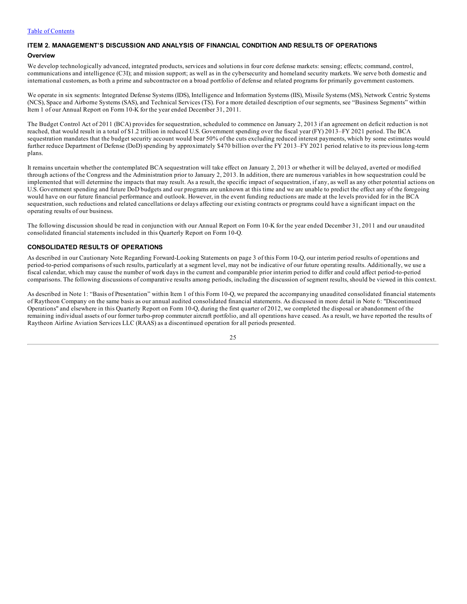# **ITEM 2. MANAGEMENT'S DISCUSSION AND ANALYSIS OF FINANCIAL CONDITION AND RESULTS OF OPERATIONS**

#### **Overview**

We develop technologically advanced, integrated products, services and solutions in four core defense markets: sensing; effects; command, control, communications and intelligence (C3I); and mission support; as well as in the cybersecurity and homeland security markets. We serve both domestic and international customers, as both a prime and subcontractor on a broad portfolio of defense and related programs for primarily government customers.

We operate in six segments: Integrated Defense Systems (IDS), Intelligence and Information Systems (IIS), Missile Systems (MS), Network Centric Systems (NCS), Space and Airborne Systems (SAS), and Technical Services (TS). For a more detailed description of our segments, see "Business Segments" within Item 1 of our Annual Report on Form 10-K for the year ended December 31, 2011.

The Budget Control Act of 2011 (BCA) provides for sequestration, scheduled to commence on January 2, 2013 if an agreement on deficit reduction is not reached, that would result in a total of \$1.2 trillion in reduced U.S. Government spending over the fiscal year (FY) 2013–FY 2021 period. The BCA sequestration mandates that the budget security account would bear 50% of the cuts excluding reduced interest payments, which by some estimates would further reduce Department of Defense (DoD) spending by approximately \$470 billion over the FY 2013–FY 2021 period relative to its previous long-term plans.

It remains uncertain whether the contemplated BCA sequestration will take effect on January 2, 2013 or whether it will be delayed, averted or modified through actions of the Congress and the Administration prior to January 2, 2013. In addition, there are numerous variables in how sequestration could be implemented that will determine the impacts that may result. As a result, the specific impact of sequestration, if any, as well as any other potential actions on U.S. Government spending and future DoD budgets and our programs are unknown at this time and we are unable to predict the effect any of the foregoing would have on our future financial performance and outlook. However, in the event funding reductions are made at the levels provided for in the BCA sequestration, such reductions and related cancellations or delays affecting our existing contracts or programs could have a significant impact on the operating results of our business.

The following discussion should be read in conjunction with our Annual Report on Form 10-K for the year ended December 31, 2011 and our unaudited consolidated financial statements included in this Quarterly Report on Form 10-Q.

#### **CONSOLIDATED RESULTS OF OPERATIONS**

As described in our Cautionary Note Regarding Forward-Looking Statements on page 3 of this Form 10-Q, our interim period results of operations and period-to-period comparisons of such results, particularly at a segment level, may not be indicative of our future operating results. Additionally, we use a fiscal calendar, which may cause the number of work days in the current and comparable prior interim period to differ and could affect period-to-period comparisons. The following discussions of comparative results among periods, including the discussion of segment results, should be viewed in this context.

As described in Note 1: "Basis of Presentation" within Item 1 of this Form 10-Q, we prepared the accompanying unaudited consolidated financial statements of Raytheon Company on the same basis as our annual audited consolidated financial statements. As discussed in more detail in Note 6: "Discontinued Operations" and elsewhere in this Quarterly Report on Form 10-Q, during the first quarter of 2012, we completed the disposal or abandonment of the remaining individual assets of our former turbo-prop commuter aircraft portfolio, and all operations have ceased. As a result, we have reported the results of Raytheon Airline Aviation Services LLC (RAAS) as a discontinued operation for all periods presented.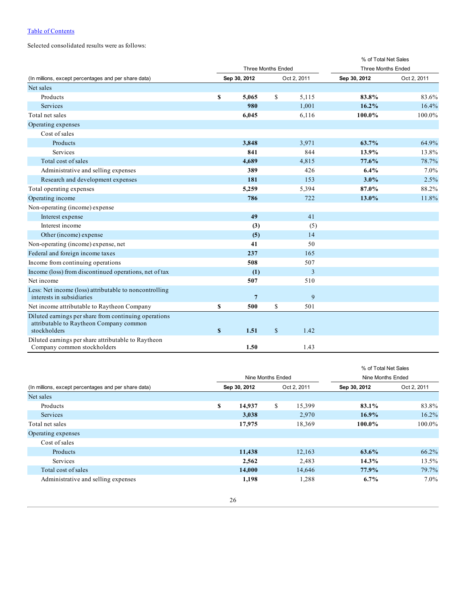Selected consolidated results were as follows:

|                                                                                                  |              |                |                           |              | % of Total Net Sales      |        |  |  |
|--------------------------------------------------------------------------------------------------|--------------|----------------|---------------------------|--------------|---------------------------|--------|--|--|
|                                                                                                  |              |                | <b>Three Months Ended</b> |              | <b>Three Months Ended</b> |        |  |  |
| Sep 30, 2012<br>(In millions, except percentages and per share data)                             |              |                | Oct 2, 2011               | Sep 30, 2012 | Oct 2, 2011               |        |  |  |
| Net sales                                                                                        |              |                |                           |              |                           |        |  |  |
| Products                                                                                         | S            | 5,065          | \$                        | 5,115        | 83.8%                     | 83.6%  |  |  |
| Services                                                                                         |              | 980            |                           | 1,001        | 16.2%                     | 16.4%  |  |  |
| Total net sales                                                                                  |              | 6,045          |                           | 6,116        | 100.0%                    | 100.0% |  |  |
| Operating expenses                                                                               |              |                |                           |              |                           |        |  |  |
| Cost of sales                                                                                    |              |                |                           |              |                           |        |  |  |
| Products                                                                                         |              | 3,848          |                           | 3,971        | 63.7%                     | 64.9%  |  |  |
| Services                                                                                         |              | 841            |                           | 844          | 13.9%                     | 13.8%  |  |  |
| Total cost of sales                                                                              |              | 4,689          |                           | 4,815        | 77.6%                     | 78.7%  |  |  |
| Administrative and selling expenses                                                              |              | 389            |                           | 426          | 6.4%                      | 7.0%   |  |  |
| Research and development expenses                                                                |              | 181            |                           | 153          | 3.0%                      | 2.5%   |  |  |
| Total operating expenses                                                                         |              | 5,259          |                           | 5,394        | 87.0%                     | 88.2%  |  |  |
| Operating income                                                                                 |              | 786            |                           | 722          | 13.0%                     | 11.8%  |  |  |
| Non-operating (income) expense                                                                   |              |                |                           |              |                           |        |  |  |
| Interest expense                                                                                 |              | 49             |                           | 41           |                           |        |  |  |
| Interest income                                                                                  |              | (3)            |                           | (5)          |                           |        |  |  |
| Other (income) expense                                                                           |              | (5)            |                           | 14           |                           |        |  |  |
| Non-operating (income) expense, net                                                              |              | 41             |                           | 50           |                           |        |  |  |
| Federal and foreign income taxes                                                                 |              | 237            |                           | 165          |                           |        |  |  |
| Income from continuing operations                                                                |              | 508            |                           | 507          |                           |        |  |  |
| Income (loss) from discontinued operations, net of tax                                           |              | (1)            |                           | 3            |                           |        |  |  |
| Net income                                                                                       |              | 507            |                           | 510          |                           |        |  |  |
| Less: Net income (loss) attributable to noncontrolling                                           |              |                |                           |              |                           |        |  |  |
| interests in subsidiaries                                                                        |              | $\overline{7}$ |                           | 9            |                           |        |  |  |
| Net income attributable to Raytheon Company                                                      | \$           | 500            | \$                        | 501          |                           |        |  |  |
| Diluted earnings per share from continuing operations<br>attributable to Raytheon Company common |              |                |                           |              |                           |        |  |  |
| stockholders                                                                                     | $\mathbf{s}$ | 1.51           | \$                        | 1.42         |                           |        |  |  |
| Diluted earnings per share attributable to Raytheon<br>Company common stockholders               |              | 1.50           |                           | 1.43         |                           |        |  |  |

|                                                      |              |        |                   |             | % of Total Net Sales |             |  |  |
|------------------------------------------------------|--------------|--------|-------------------|-------------|----------------------|-------------|--|--|
|                                                      |              |        | Nine Months Ended |             | Nine Months Ended    |             |  |  |
| (In millions, except percentages and per share data) | Sep 30, 2012 |        |                   | Oct 2, 2011 | Sep 30, 2012         | Oct 2, 2011 |  |  |
| Net sales                                            |              |        |                   |             |                      |             |  |  |
| Products                                             | \$           | 14,937 | S                 | 15,399      | 83.1%                | 83.8%       |  |  |
| Services                                             |              | 3,038  |                   | 2,970       | $16.9\%$             | 16.2%       |  |  |
| Total net sales                                      |              | 17,975 |                   | 18,369      | 100.0%               | 100.0%      |  |  |
| Operating expenses                                   |              |        |                   |             |                      |             |  |  |
| Cost of sales                                        |              |        |                   |             |                      |             |  |  |
| Products                                             |              | 11,438 |                   | 12,163      | 63.6%                | 66.2%       |  |  |
| Services                                             |              | 2,562  |                   | 2,483       | $14.3\%$             | 13.5%       |  |  |
| Total cost of sales                                  |              | 14,000 |                   | 14,646      | 77.9%                | 79.7%       |  |  |
| Administrative and selling expenses                  |              | 1,198  |                   | 1,288       | $6.7\%$              | $7.0\%$     |  |  |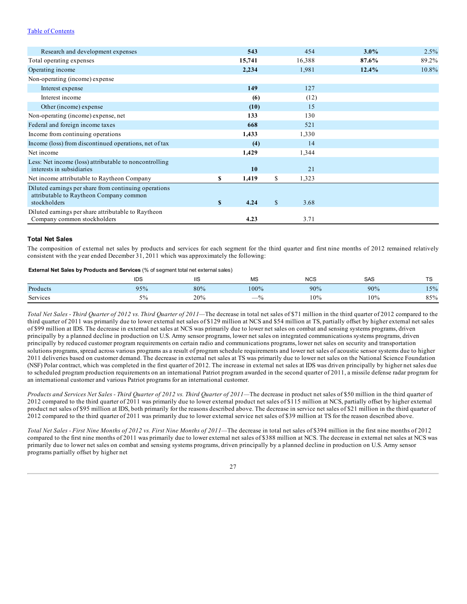| Research and development expenses                                                                                |    | 543       |              | 454    | $3.0\%$ | 2.5%     |
|------------------------------------------------------------------------------------------------------------------|----|-----------|--------------|--------|---------|----------|
| Total operating expenses                                                                                         |    | 15,741    |              | 16,388 | 87.6%   | 89.2%    |
|                                                                                                                  |    |           |              |        |         |          |
| Operating income                                                                                                 |    | 2,234     |              | 1,981  | 12.4%   | $10.8\%$ |
| Non-operating (income) expense                                                                                   |    |           |              |        |         |          |
| Interest expense                                                                                                 |    | 149       |              | 127    |         |          |
| Interest income                                                                                                  |    | (6)       |              | (12)   |         |          |
| Other (income) expense                                                                                           |    | (10)      |              | 15     |         |          |
| Non-operating (income) expense, net                                                                              |    | 133       |              | 130    |         |          |
| Federal and foreign income taxes                                                                                 |    | 668       |              | 521    |         |          |
| Income from continuing operations                                                                                |    | 1,433     |              | 1,330  |         |          |
| Income (loss) from discontinued operations, net of tax                                                           |    | (4)       |              | 14     |         |          |
| Net income                                                                                                       |    | 1,429     |              | 1,344  |         |          |
| Less: Net income (loss) attributable to noncontrolling<br>interests in subsidiaries                              |    | <b>10</b> |              | 21     |         |          |
| Net income attributable to Raytheon Company                                                                      | \$ | 1,419     | \$           | 1,323  |         |          |
| Diluted earnings per share from continuing operations<br>attributable to Raytheon Company common<br>stockholders | S  | 4.24      | $\mathbb{S}$ | 3.68   |         |          |
| Diluted earnings per share attributable to Raytheon<br>Company common stockholders                               |    | 4.23      |              | 3.71   |         |          |

#### **Total Net Sales**

The composition of external net sales by products and services for each segment for the third quarter and first nine months of 2012 remained relatively consistent with the year ended December 31, 2011 which was approximately the following:

**External Net Sales by Products and Services** (% of segment total net external sales)

|          | IDS | <b>IIS</b> | MS    | <b>NCS</b> | <b>SAS</b> | $\sim$ $\sim$<br>. . |
|----------|-----|------------|-------|------------|------------|----------------------|
| Products | 95% | 80%        | 100%  | 90%        | 90%        | 15%                  |
| Services | 5%  | 20%        | - / 0 | 10%        | 10%        | 85%                  |

Total Net Sales - Third Quarter of 2012 vs. Third Quarter of 2011—The decrease in total net sales of \$71 million in the third quarter of 2012 compared to the third quarter of 2011 was primarily due to lower external net sales of \$129 million at NCS and \$54 million at TS, partially offset by higher external net sales of \$99 million at IDS. The decrease in external net sales at NCS was primarily due to lower net sales on combat and sensing systems programs, driven principally by a planned decline in production on U.S. Army sensor programs, lower net sales on integrated communications systems programs, driven principally by reduced customer program requirements on certain radio and communications programs, lower net sales on security and transportation solutions programs, spread across various programs as a result of program schedule requirements and lower net sales of acoustic sensor systems due to higher 2011 deliveries based on customer demand. The decrease in external net sales at TS was primarily due to lower net sales on the National Science Foundation (NSF) Polar contract, which was completed in the first quarter of 2012. The increase in external net sales at IDS was driven principally by higher net sales due to scheduled program production requirements on an international Patriot program awarded in the second quarter of 2011, a missile defense radar program for an international customer and various Patriot programs for an international customer.

Products and Services Net Sales - Third Quarter of 2012 vs. Third Quarter of 2011—The decrease in product net sales of \$50 million in the third quarter of 2012 compared to the third quarter of 2011 was primarily due to lower external product net sales of \$115 million at NCS, partially offset by higher external product net sales of \$95 million at IDS, both primarily for the reasons described above. The decrease in service net sales of \$21 million in the third quarter of 2012 compared to the third quarter of 2011 was primarily due to lower external service net sales of \$39 million at TS for the reason described above.

Total Net Sales - First Nine Months of 2012 vs. First Nine Months of 2011—The decrease in total net sales of \$394 million in the first nine months of 2012 compared to the first nine months of 2011 was primarily due to lower external net sales of \$388 million at NCS. The decrease in external net sales at NCS was primarily due to lower net sales on combat and sensing systems programs, driven principally by a planned decline in production on U.S. Army sensor programs partially offset by higher net

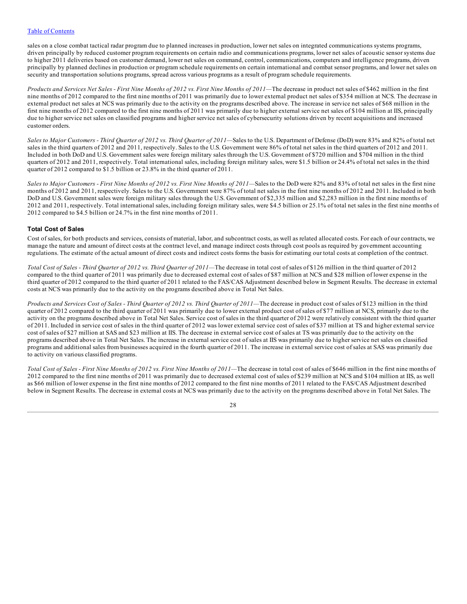sales on a close combat tactical radar program due to planned increases in production, lower net sales on integrated communications systems programs, driven principally by reduced customer program requirements on certain radio and communications programs, lower net sales of acoustic sensor systems due to higher 2011 deliveries based on customer demand, lower net sales on command, control, communications, computers and intelligence programs, driven principally by planned declines in production or program schedule requirements on certain international and combat sensor programs, and lower net sales on security and transportation solutions programs, spread across various programs as a result of program schedule requirements.

Products and Services Net Sales - First Nine Months of 2012 vs. First Nine Months of 2011-The decrease in product net sales of \$462 million in the first nine months of 2012 compared to the first nine months of 2011 was primarily due to lower external product net sales of \$354 million at NCS. The decrease in external product net sales at NCS was primarily due to the activity on the programs described above. The increase in service net sales of \$68 million in the first nine months of 2012 compared to the first nine months of 2011 was primarily due to higher external service net sales of \$104 million at IIS, principally due to higher service net sales on classified programs and higher service net sales of cybersecurity solutions driven by recent acquisitions and increased customer orders.

Sales to Major Customers - Third Quarter of 2012 vs. Third Quarter of 2011—Sales to the U.S. Department of Defense (DoD) were 83% and 82% of total net sales in the third quarters of 2012 and 2011, respectively. Sales to the U.S. Government were 86% of total net sales in the third quarters of 2012 and 2011. Included in both DoD and U.S. Government sales were foreign military sales through the U.S. Government of \$720 million and \$704 million in the third quarters of 2012 and 2011, respectively. Total international sales, including foreign military sales, were \$1.5 billion or 24.4% of total net sales in the third quarter of 2012 compared to \$1.5 billion or 23.8% in the third quarter of 2011.

Sales to Major Customers - First Nine Months of 2012 vs. First Nine Months of 2011—Sales to the DoD were 82% and 83% of total net sales in the first nine months of 2012 and 2011, respectively. Sales to the U.S. Government were 87% of total net sales in the first nine months of 2012 and 2011. Included in both DoD and U.S. Government sales were foreign military sales through the U.S. Government of \$2,335 million and \$2,283 million in the first nine months of 2012 and 2011, respectively. Total international sales, including foreign military sales, were \$4.5 billion or 25.1% of total net sales in the first nine months of 2012 compared to \$4.5 billion or 24.7% in the first nine months of 2011.

#### **Total Cost of Sales**

Cost of sales, for both products and services, consists of material, labor, and subcontract costs, as well as related allocated costs. For each of our contracts, we manage the nature and amount of direct costs at the contract level, and manage indirect costs through cost pools as required by government accounting regulations. The estimate of the actual amount of direct costs and indirect costs forms the basis for estimating our total costs at completion of the contract.

Total Cost of Sales - Third Quarter of 2012 vs. Third Quarter of 2011—The decrease in total cost of sales of \$126 million in the third quarter of 2012 compared to the third quarter of 2011 was primarily due to decreased external cost of sales of \$87 million at NCS and \$28 million of lower expense in the third quarter of 2012 compared to the third quarter of 2011 related to the FAS/CAS Adjustment described below in Segment Results. The decrease in external costs at NCS was primarily due to the activity on the programs described above in Total Net Sales.

Products and Services Cost of Sales - Third Quarter of 2012 vs. Third Quarter of 2011—The decrease in product cost of sales of \$123 million in the third quarter of 2012 compared to the third quarter of 2011 was primarily due to lower external product cost of sales of \$77 million at NCS, primarily due to the activity on the programs described above in Total Net Sales. Service cost of sales in the third quarter of 2012 were relatively consistent with the third quarter of 2011. Included in service cost of sales in the third quarter of 2012 was lower external service cost of sales of \$37 million at TS and higher external service cost of sales of \$27 million at SAS and \$23 million at IIS. The decrease in external service cost of sales at TS was primarily due to the activity on the programs described above in Total Net Sales. The increase in external service cost of sales at IIS was primarily due to higher service net sales on classified programs and additional sales from businesses acquired in the fourth quarter of 2011. The increase in external service cost of sales at SAS was primarily due to activity on various classified programs.

Total Cost of Sales - First Nine Months of 2012 vs. First Nine Months of 2011—The decrease in total cost of sales of \$646 million in the first nine months of 2012 compared to the first nine months of 2011 was primarily due to decreased external cost of sales of \$239 million at NCS and \$104 million at IIS, as well as \$66 million of lower expense in the first nine months of 2012 compared to the first nine months of 2011 related to the FAS/CAS Adjustment described below in Segment Results. The decrease in external costs at NCS was primarily due to the activity on the programs described above in Total Net Sales. The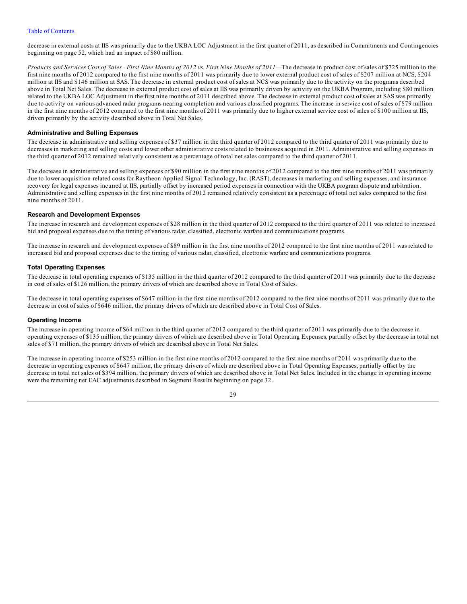decrease in external costs at IIS was primarily due to the UKBA LOC Adjustment in the first quarter of 2011, as described in Commitments and Contingencies beginning on page 52, which had an impact of \$80 million.

Products and Services Cost of Sales - First Nine Months of 2012 vs. First Nine Months of 2011-The decrease in product cost of sales of \$725 million in the first nine months of 2012 compared to the first nine months of 2011 was primarily due to lower external product cost of sales of \$207 million at NCS, \$204 million at IIS and \$146 million at SAS. The decrease in external product cost of sales at NCS was primarily due to the activity on the programs described above in Total Net Sales. The decrease in external product cost of sales at IIS was primarily driven by activity on the UKBA Program, including \$80 million related to the UKBA LOC Adjustment in the first nine months of 2011 described above. The decrease in external product cost of sales at SAS was primarily due to activity on various advanced radar programs nearing completion and various classified programs. The increase in service cost of sales of \$79 million in the first nine months of 2012 compared to the first nine months of 2011 was primarily due to higher external service cost of sales of \$100 million at IIS, driven primarily by the activity described above in Total Net Sales.

#### **Administrative and Selling Expenses**

The decrease in administrative and selling expenses of \$37 million in the third quarter of 2012 compared to the third quarter of 2011 was primarily due to decreases in marketing and selling costs and lower other administrative costs related to businesses acquired in 2011. Administrative and selling expenses in the third quarter of 2012 remained relatively consistent as a percentage of total net sales compared to the third quarter of 2011.

The decrease in administrative and selling expenses of \$90 million in the first nine months of 2012 compared to the first nine months of 2011 was primarily due to lower acquisition-related costs for Raytheon Applied Signal Technology, Inc. (RAST), decreases in marketing and selling expenses, and insurance recovery for legal expenses incurred at IIS, partially offset by increased period expenses in connection with the UKBA program dispute and arbitration. Administrative and selling expenses in the first nine months of 2012 remained relatively consistent as a percentage of total net sales compared to the first nine months of 2011.

#### **Research and Development Expenses**

The increase in research and development expenses of \$28 million in the third quarter of 2012 compared to the third quarter of 2011 was related to increased bid and proposal expenses due to the timing of various radar, classified, electronic warfare and communications programs.

The increase in research and development expenses of \$89 million in the first nine months of 2012 compared to the first nine months of 2011 was related to increased bid and proposal expenses due to the timing of various radar, classified, electronic warfare and communications programs.

#### **Total Operating Expenses**

The decrease in total operating expenses of \$135 million in the third quarter of 2012 compared to the third quarter of 2011 was primarily due to the decrease in cost of sales of \$126 million, the primary drivers of which are described above in Total Cost of Sales.

The decrease in total operating expenses of \$647 million in the first nine months of 2012 compared to the first nine months of 2011 was primarily due to the decrease in cost of sales of \$646 million, the primary drivers of which are described above in Total Cost of Sales.

#### **Operating Income**

The increase in operating income of \$64 million in the third quarter of 2012 compared to the third quarter of 2011 was primarily due to the decrease in operating expenses of \$135 million, the primary drivers of which are described above in Total Operating Expenses, partially offset by the decrease in total net sales of \$71 million, the primary drivers of which are described above in Total Net Sales.

The increase in operating income of \$253 million in the first nine months of 2012 compared to the first nine months of 2011 was primarily due to the decrease in operating expenses of \$647 million, the primary drivers of which are described above in Total Operating Expenses, partially offset by the decrease in total net sales of \$394 million, the primary drivers of which are described above in Total Net Sales. Included in the change in operating income were the remaining net EAC adjustments described in Segment Results beginning on page 32.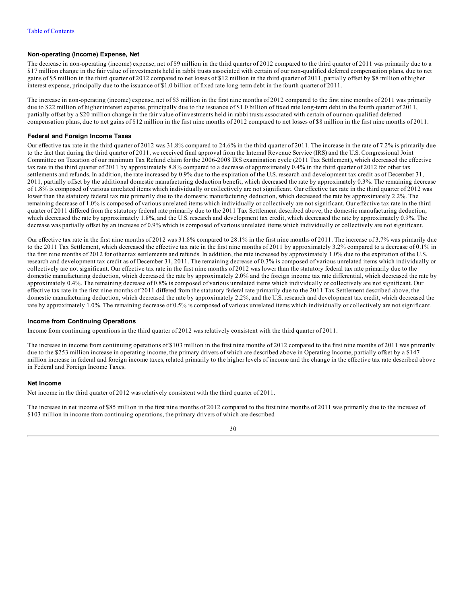#### **Non-operating (Income) Expense, Net**

The decrease in non-operating (income) expense, net of \$9 million in the third quarter of 2012 compared to the third quarter of 2011 was primarily due to a \$17 million change in the fair value of investments held in rabbi trusts associated with certain of our non-qualified deferred compensation plans, due to net gains of \$5 million in the third quarter of 2012 compared to net losses of \$12 million in the third quarter of 2011, partially offset by \$8 million of higher interest expense, principally due to the issuance of \$1.0 billion of fixed rate long-term debt in the fourth quarter of 2011.

The increase in non-operating (income) expense, net of \$3 million in the first nine months of 2012 compared to the first nine months of 2011 was primarily due to \$22 million of higher interest expense, principally due to the issuance of \$1.0 billion of fixed rate long-term debt in the fourth quarter of 2011, partially offset by a \$20 million change in the fair value of investments held in rabbi trusts associated with certain of our non-qualified deferred compensation plans, due to net gains of \$12 million in the first nine months of 2012 compared to net losses of \$8 million in the first nine months of 2011.

#### **Federal and Foreign Income Taxes**

Our effective tax rate in the third quarter of 2012 was 31.8% compared to 24.6% in the third quarter of 2011. The increase in the rate of 7.2% is primarily due to the fact that during the third quarter of 2011, we received final approval from the Internal Revenue Service (IRS) and the U.S. Congressional Joint Committee on Taxation of our minimum Tax Refund claim for the 2006-2008 IRS examination cycle (2011 Tax Settlement), which decreased the effective tax rate in the third quarter of 2011 by approximately 8.8% compared to a decrease of approximately 0.4% in the third quarter of 2012 for other tax settlements and refunds. In addition, the rate increased by 0.9% due to the expiration of the U.S. research and development tax credit as of December 31, 2011, partially offset by the additional domestic manufacturing deduction benefit, which decreased the rate by approximately 0.3%. The remaining decrease of 1.8% is composed of various unrelated items which individually or collectively are not significant. Our effective tax rate in the third quarter of 2012 was lower than the statutory federal tax rate primarily due to the domestic manufacturing deduction, which decreased the rate by approximately 2.2%. The remaining decrease of 1.0% is composed of various unrelated items which individually or collectively are not significant. Our effective tax rate in the third quarter of 2011 differed from the statutory federal rate primarily due to the 2011 Tax Settlement described above, the domestic manufacturing deduction, which decreased the rate by approximately 1.8%, and the U.S. research and development tax credit, which decreased the rate by approximately 0.9%. The decrease was partially offset by an increase of 0.9% which is composed of various unrelated items which individually or collectively are not significant.

Our effective tax rate in the first nine months of 2012 was 31.8% compared to 28.1% in the first nine months of 2011. The increase of 3.7% was primarily due to the 2011 Tax Settlement, which decreased the effective tax rate in the first nine months of 2011 by approximately 3.2% compared to a decrease of 0.1% in the first nine months of 2012 for other tax settlements and refunds. In addition, the rate increased by approximately 1.0% due to the expiration of the U.S. research and development tax credit as of December 31, 2011. The remaining decrease of 0.3% is composed of various unrelated items which individually or collectively are not significant. Our effective tax rate in the first nine months of 2012 was lower than the statutory federal tax rate primarily due to the domestic manufacturing deduction, which decreased the rate by approximately 2.0% and the foreign income tax rate differential, which decreased the rate by approximately 0.4%. The remaining decrease of 0.8% is composed of various unrelated items which individually or collectively are not significant. Our effective tax rate in the first nine months of 2011 differed from the statutory federal rate primarily due to the 2011 Tax Settlement described above, the domestic manufacturing deduction, which decreased the rate by approximately 2.2%, and the U.S. research and development tax credit, which decreased the rate by approximately 1.0%. The remaining decrease of 0.5% is composed of various unrelated items which individually or collectively are not significant.

#### **Income from Continuing Operations**

Income from continuing operations in the third quarter of 2012 was relatively consistent with the third quarter of 2011.

The increase in income from continuing operations of \$103 million in the first nine months of 2012 compared to the first nine months of 2011 was primarily due to the \$253 million increase in operating income, the primary drivers of which are described above in Operating Income, partially offset by a \$147 million increase in federal and foreign income taxes, related primarily to the higher levels of income and the change in the effective tax rate described above in Federal and Foreign Income Taxes.

#### **Net Income**

Net income in the third quarter of 2012 was relatively consistent with the third quarter of 2011.

The increase in net income of \$85 million in the first nine months of 2012 compared to the first nine months of 2011 was primarily due to the increase of \$103 million in income from continuing operations, the primary drivers of which are described

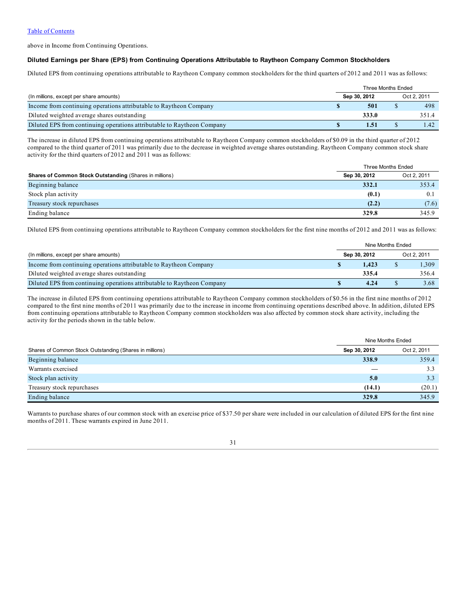above in Income from Continuing Operations.

#### **Diluted Earnings per Share (EPS) from Continuing Operations Attributable to Raytheon Company Common Stockholders**

Diluted EPS from continuing operations attributable to Raytheon Company common stockholders for the third quarters of 2012 and 2011 was as follows:

|                                                                         | Three Months Ended |              |  |             |
|-------------------------------------------------------------------------|--------------------|--------------|--|-------------|
| (In millions, except per share amounts)                                 |                    | Sep 30, 2012 |  | Oct 2, 2011 |
| Income from continuing operations attributable to Raytheon Company      |                    | 501          |  | 498         |
| Diluted weighted average shares outstanding                             |                    | 333.0        |  | 351.4       |
| Diluted EPS from continuing operations attributable to Raytheon Company |                    | 1.51         |  |             |

The increase in diluted EPS from continuing operations attributable to Raytheon Company common stockholders of \$0.09 in the third quarter of 2012 compared to the third quarter of 2011 was primarily due to the decrease in weighted average shares outstanding. Raytheon Company common stock share activity for the third quarters of 2012 and 2011 was as follows:

|                                                                |              | Three Months Ended |
|----------------------------------------------------------------|--------------|--------------------|
| <b>Shares of Common Stock Outstanding (Shares in millions)</b> | Sep 30, 2012 | Oct 2, 2011        |
| Beginning balance                                              | 332.1        | 353.4              |
| Stock plan activity                                            | (0.1)        | 0.1                |
| Treasury stock repurchases                                     | (2.2)        | (7.6)              |
| Ending balance                                                 | 329.8        | 345.9              |

Diluted EPS from continuing operations attributable to Raytheon Company common stockholders for the first nine months of 2012 and 2011 was as follows:

|                                                                         | Nine Months Ended |              |  |             |
|-------------------------------------------------------------------------|-------------------|--------------|--|-------------|
| (In millions, except per share amounts)                                 |                   | Sep 30, 2012 |  | Oct 2, 2011 |
| Income from continuing operations attributable to Raytheon Company      |                   | 1.423        |  | 1,309       |
| Diluted weighted average shares outstanding                             |                   | 335.4        |  | 356.4       |
| Diluted EPS from continuing operations attributable to Raytheon Company |                   | 4.24         |  | 3.68        |

The increase in diluted EPS from continuing operations attributable to Raytheon Company common stockholders of \$0.56 in the first nine months of 2012 compared to the first nine months of 2011 was primarily due to the increase in income from continuing operations described above. In addition, diluted EPS from continuing operations attributable to Raytheon Company common stockholders was also affected by common stock share activity, including the activity for the periods shown in the table below.

|                                                         | Nine Months Ended |             |  |  |  |
|---------------------------------------------------------|-------------------|-------------|--|--|--|
| Shares of Common Stock Outstanding (Shares in millions) | Sep 30, 2012      | Oct 2, 2011 |  |  |  |
| Beginning balance                                       | 338.9             | 359.4       |  |  |  |
| Warrants exercised                                      |                   | 3.3         |  |  |  |
| Stock plan activity                                     | 5.0               | 3.3         |  |  |  |
| Treasury stock repurchases                              | (14.1)            | (20.1)      |  |  |  |
| Ending balance                                          | 329.8             | 345.9       |  |  |  |

Warrants to purchase shares of our common stock with an exercise price of \$37.50 per share were included in our calculation of diluted EPS for the first nine months of 2011. These warrants expired in June 2011.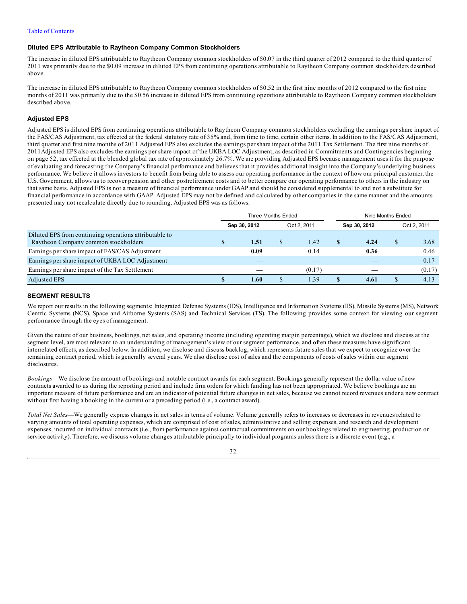#### **Diluted EPS Attributable to Raytheon Company Common Stockholders**

The increase in diluted EPS attributable to Raytheon Company common stockholders of \$0.07 in the third quarter of 2012 compared to the third quarter of 2011 was primarily due to the \$0.09 increase in diluted EPS from continuing operations attributable to Raytheon Company common stockholders described above.

The increase in diluted EPS attributable to Raytheon Company common stockholders of \$0.52 in the first nine months of 2012 compared to the first nine months of 2011 was primarily due to the \$0.56 increase in diluted EPS from continuing operations attributable to Raytheon Company common stockholders described above.

#### **Adjusted EPS**

Adjusted EPS is diluted EPS from continuing operations attributable to Raytheon Company common stockholders excluding the earnings per share impact of the FAS/CAS Adjustment, tax effected at the federal statutory rate of 35% and, from time to time, certain other items. In addition to the FAS/CAS Adjustment, third quarter and first nine months of 2011 Adjusted EPS also excludes the earnings per share impact of the 2011 Tax Settlement. The first nine months of 2011Adjusted EPS also excludes the earnings per share impact of the UKBA LOC Adjustment, as described in Commitments and Contingencies beginning on page 52, tax effected at the blended global tax rate of approximately 26.7%. We are providing Adjusted EPS because management uses it for the purpose of evaluating and forecasting the Company's financial performance and believes that it provides additional insight into the Company's underlying business performance. We believe it allows investors to benefit from being able to assess our operating performance in the context of how our principal customer, the U.S. Government, allows us to recover pension and other postretirement costs and to better compare our operating performance to others in the industry on that same basis. Adjusted EPS is not a measure of financial performance under GAAP and should be considered supplemental to and not a substitute for financial performance in accordance with GAAP. Adjusted EPS may not be defined and calculated by other companies in the same manner and the amounts presented may not recalculate directly due to rounding. Adjusted EPS was as follows:

|                                                                                                | Three Months Ended |              |   |             | Nine Months Ended |              |  |             |
|------------------------------------------------------------------------------------------------|--------------------|--------------|---|-------------|-------------------|--------------|--|-------------|
|                                                                                                |                    | Sep 30, 2012 |   | Oct 2, 2011 |                   | Sep 30, 2012 |  | Oct 2, 2011 |
| Diluted EPS from continuing operations attributable to<br>Raytheon Company common stockholders |                    | 1.51         | S | 1.42        | S                 | 4.24         |  | 3.68        |
| Earnings per share impact of FAS/CAS Adjustment                                                |                    | 0.09         |   | 0.14        |                   | 0.36         |  | 0.46        |
| Earnings per share impact of UKBA LOC Adjustment                                               |                    |              |   |             |                   |              |  | 0.17        |
| Earnings per share impact of the Tax Settlement                                                |                    |              |   | (0.17)      |                   |              |  | (0.17)      |
| <b>Adjusted EPS</b>                                                                            |                    | 1.60         | S | 1.39        |                   | 4.61         |  | 4.13        |

#### **SEGMENT RESULTS**

We report our results in the following segments: Integrated Defense Systems (IDS), Intelligence and Information Systems (IIS), Missile Systems (MS), Network Centric Systems (NCS), Space and Airborne Systems (SAS) and Technical Services (TS). The following provides some context for viewing our segment performance through the eyes of management.

Given the nature of our business, bookings, net sales, and operating income (including operating margin percentage), which we disclose and discuss at the segment level, are most relevant to an understanding of management's view of our segment performance, and often these measures have significant interrelated effects, as described below. In addition, we disclose and discuss backlog, which represents future sales that we expect to recognize over the remaining contract period, which is generally several years. We also disclose cost of sales and the components of costs of sales within our segment disclosures.

*Bookings*—We disclose the amount of bookings and notable contract awards for each segment. Bookings generally represent the dollar value of new contracts awarded to us during the reporting period and include firm orders for which funding has not been appropriated. We believe bookings are an important measure of future performance and are an indicator of potential future changes in net sales, because we cannot record revenues under a new contract without first having a booking in the current or a preceding period (i.e., a contract award).

*Total Net Sales*—We generally express changes in net sales in terms of volume. Volume generally refers to increases or decreases in revenues related to varying amounts of total operating expenses, which are comprised of cost of sales, administrative and selling expenses, and research and development expenses, incurred on individual contracts (i.e., from performance against contractual commitments on our bookings related to engineering, production or service activity). Therefore, we discuss volume changes attributable principally to individual programs unless there is a discrete event (e.g., a

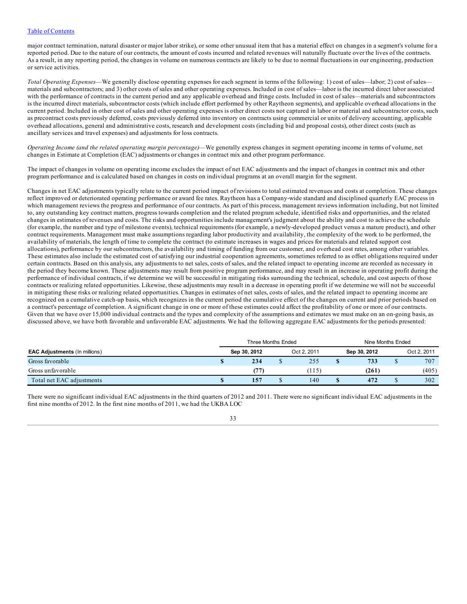major contract termination, natural disaster or major labor strike), or some other unusual item that has a material effect on changes in a segment's volume for a reported period. Due to the nature of our contracts, the amount of costs incurred and related revenues will naturally fluctuate over the lives of the contracts. As a result, in any reporting period, the changes in volume on numerous contracts are likely to be due to normal fluctuations in our engineering, production or service activities.

*Total Operating Expenses*—We generally disclose operating expenses for each segment in terms of the following: 1) cost of sales—labor; 2) cost of sales materials and subcontractors; and 3) other costs of sales and other operating expenses. Included in cost of sales—labor is the incurred direct labor associated with the performance of contracts in the current period and any applicable overhead and fringe costs. Included in cost of sales—materials and subcontractors is the incurred direct materials, subcontractor costs (which include effort performed by other Raytheon segments), and applicable overhead allocations in the current period. Included in other cost of sales and other operating expenses is other direct costs not captured in labor or material and subcontractor costs, such as precontract costs previously deferred, costs previously deferred into inventory on contracts using commercial or units of delivery accounting, applicable overhead allocations, general and administrative costs, research and development costs (including bid and proposal costs), other direct costs (such as ancillary services and travel expenses) and adjustments for loss contracts.

*Operating Income (and the related operating margin percentage)*—We generally express changes in segment operating income in terms of volume, net changes in Estimate at Completion (EAC) adjustments or changes in contract mix and other program performance.

The impact of changes in volume on operating income excludes the impact of net EAC adjustments and the impact of changes in contract mix and other program performance and is calculated based on changes in costs on individual programs at an overall margin for the segment.

Changes in net EAC adjustments typically relate to the current period impact of revisions to total estimated revenues and costs at completion. These changes reflect improved or deteriorated operating performance or award fee rates. Raytheon has a Company-wide standard and disciplined quarterly EAC process in which management reviews the progress and performance of our contracts. As part of this process, management reviews information including, but not limited to, any outstanding key contract matters, progress towards completion and the related program schedule, identified risks and opportunities, and the related changes in estimates of revenues and costs. The risks and opportunities include management's judgment about the ability and cost to achieve the schedule (for example, the number and type of milestone events), technical requirements (for example, a newly-developed product versus a mature product), and other contract requirements. Management must make assumptions regarding labor productivity and availability, the complexity of the work to be performed, the availability of materials, the length of time to complete the contract (to estimate increases in wages and prices for materials and related support cost allocations), performance by our subcontractors, the availability and timing of funding from our customer, and overhead cost rates, among other variables. These estimates also include the estimated cost of satisfying our industrial cooperation agreements, sometimes referred to as offset obligations required under certain contracts. Based on this analysis, any adjustments to net sales, costs of sales, and the related impact to operating income are recorded as necessary in the period they become known. These adjustments may result from positive program performance, and may result in an increase in operating profit during the performance of individual contracts, if we determine we will be successful in mitigating risks surrounding the technical, schedule, and cost aspects of those contracts or realizing related opportunities. Likewise, these adjustments may result in a decrease in operating profit if we determine we will not be successful in mitigating these risks or realizing related opportunities. Changes in estimates of net sales, costs of sales, and the related impact to operating income are recognized on a cumulative catch-up basis, which recognizes in the current period the cumulative effect of the changes on current and prior periods based on a contract's percentage of completion. A significant change in one or more of these estimates could affect the profitability of one or more of our contracts. Given that we have over 15,000 individual contracts and the types and complexity of the assumptions and estimates we must make on an on-going basis, as discussed above, we have both favorable and unfavorable EAC adjustments. We had the following aggregate EAC adjustments for the periods presented:

|                                      | Three Months Ended |              |  |             |  | Nine Months Ended |  |             |
|--------------------------------------|--------------------|--------------|--|-------------|--|-------------------|--|-------------|
| <b>EAC Adjustments (In millions)</b> |                    | Sep 30, 2012 |  | Oct 2, 2011 |  | Sep 30, 2012      |  | Oct 2, 2011 |
| Gross favorable                      |                    | 234          |  | 255         |  | 733               |  | 707         |
| Gross unfavorable                    |                    | (77)         |  | (115)       |  | (261)             |  | (405)       |
| Total net EAC adjustments            |                    | 157          |  | 140         |  | 472               |  | 302         |

There were no significant individual EAC adjustments in the third quarters of 2012 and 2011. There were no significant individual EAC adjustments in the first nine months of 2012. In the first nine months of 2011, we had the UKBA LOC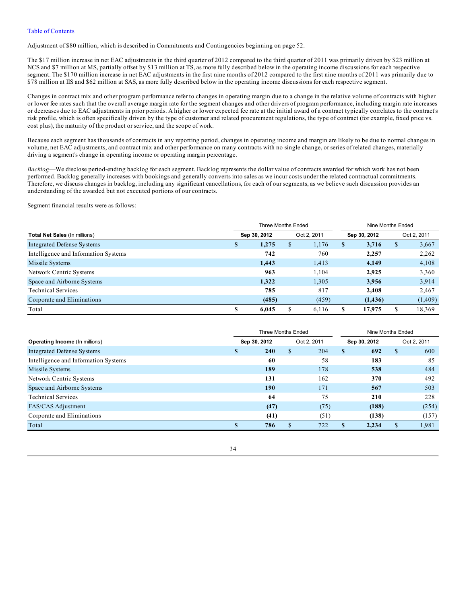Adjustment of \$80 million, which is described in Commitments and Contingencies beginning on page 52.

The \$17 million increase in net EAC adjustments in the third quarter of 2012 compared to the third quarter of 2011 was primarily driven by \$23 million at NCS and \$7 million at MS, partially offset by \$13 million at TS, as more fully described below in the operating income discussions for each respective segment. The \$170 million increase in net EAC adjustments in the first nine months of 2012 compared to the first nine months of 2011 was primarily due to \$78 million at IIS and \$62 million at SAS, as more fully described below in the operating income discussions for each respective segment.

Changes in contract mix and other program performance refer to changes in operating margin due to a change in the relative volume of contracts with higher or lower fee rates such that the overall average margin rate for the segment changes and other drivers of program performance, including margin rate increases or decreases due to EAC adjustments in prior periods. A higher or lower expected fee rate at the initial award of a contract typically correlates to the contract's risk profile, which is often specifically driven by the type of customer and related procurement regulations, the type of contract (for example, fixed price vs. cost plus), the maturity of the product or service, and the scope of work.

Because each segment has thousands of contracts in any reporting period, changes in operating income and margin are likely to be due to normal changes in volume, net EAC adjustments, and contract mix and other performance on many contracts with no single change, or series of related changes, materially driving a segment's change in operating income or operating margin percentage.

*Backlog*—We disclose period-ending backlog for each segment. Backlog represents the dollar value of contracts awarded for which work has not been performed. Backlog generally increases with bookings and generally converts into sales as we incur costs under the related contractual commitments. Therefore, we discuss changes in backlog, including any significant cancellations, for each of our segments, as we believe such discussion provides an understanding of the awarded but not executed portions of our contracts.

Segment financial results were as follows:

|                                                                           |   | Three Months Ended |             |       |              |          | Nine Months Ended |         |  |  |
|---------------------------------------------------------------------------|---|--------------------|-------------|-------|--------------|----------|-------------------|---------|--|--|
| <b>Total Net Sales (In millions)</b><br><b>Integrated Defense Systems</b> |   | Sep 30, 2012       | Oct 2, 2011 |       | Sep 30, 2012 |          | Oct 2, 2011       |         |  |  |
|                                                                           | ъ | 1,275              | ъ           | 1,176 | S            | 3,716    | D.                | 3,667   |  |  |
| Intelligence and Information Systems                                      |   | 742                |             | 760   |              | 2,257    |                   | 2,262   |  |  |
| Missile Systems                                                           |   | 1,443              |             | 1,413 |              | 4.149    |                   | 4,108   |  |  |
| Network Centric Systems                                                   |   | 963                |             | 1.104 |              | 2.925    |                   | 3,360   |  |  |
| Space and Airborne Systems                                                |   | 1,322              |             | 1,305 |              | 3,956    |                   | 3.914   |  |  |
| <b>Technical Services</b>                                                 |   | 785                |             | 817   |              | 2.408    |                   | 2,467   |  |  |
| Corporate and Eliminations                                                |   | (485)              |             | (459) |              | (1, 436) |                   | (1,409) |  |  |
| Total                                                                     |   | 6.045              |             | 6.116 |              | 17.975   |                   | 18.369  |  |  |

|                                       | <b>Three Months Ended</b> | Nine Months Ended |              |       |   |             |
|---------------------------------------|---------------------------|-------------------|--------------|-------|---|-------------|
| <b>Operating Income (In millions)</b> | Sep 30, 2012              | Oct 2, 2011       | Sep 30, 2012 |       |   | Oct 2, 2011 |
| <b>Integrated Defense Systems</b>     | \$<br>240                 | \$<br>204         | S            | 692   | S | 600         |
| Intelligence and Information Systems  | 60                        | 58                |              | 183   |   | 85          |
| Missile Systems                       | 189                       | 178               |              | 538   |   | 484         |
| Network Centric Systems               | 131                       | 162               |              | 370   |   | 492         |
| Space and Airborne Systems            | 190                       | 171               |              | 567   |   | 503         |
| <b>Technical Services</b>             | 64                        | 75                |              | 210   |   | 228         |
| FAS/CAS Adjustment                    | (47)                      | (75)              |              | (188) |   | (254)       |
| Corporate and Eliminations            | (41)                      | (51)              |              | (138) |   | (157)       |
| Total                                 | 786                       | \$<br>722         | S            | 2,234 |   | 1,981       |

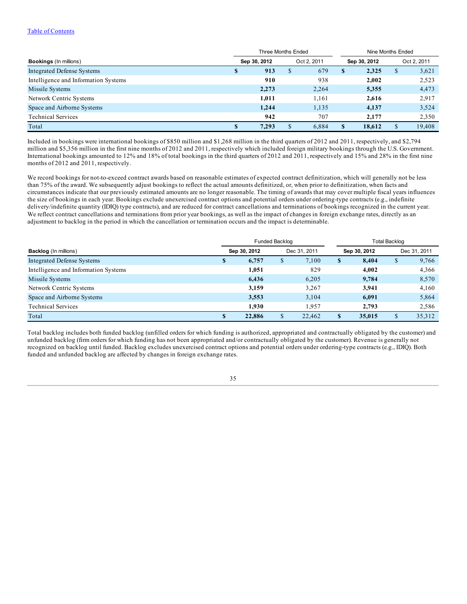|                                      |   | Three Months Ended | Nine Months Ended |             |              |        |   |             |
|--------------------------------------|---|--------------------|-------------------|-------------|--------------|--------|---|-------------|
| <b>Bookings</b> (In millions)        |   | Sep 30, 2012       |                   | Oct 2, 2011 | Sep 30, 2012 |        |   | Oct 2, 2011 |
| <b>Integrated Defense Systems</b>    | D | 913                | D                 | 679         |              | 2,325  | D | 3,621       |
| Intelligence and Information Systems |   | 910                |                   | 938         |              | 2,002  |   | 2,523       |
| Missile Systems                      |   | 2,273              |                   | 2,264       |              | 5,355  |   | 4,473       |
| Network Centric Systems              |   | 1,011              |                   | 1,161       |              | 2,616  |   | 2,917       |
| Space and Airborne Systems           |   | 1.244              |                   | 1,135       |              | 4.137  |   | 3,524       |
| <b>Technical Services</b>            |   | 942                |                   | 707         |              | 2.177  |   | 2,350       |
| Total                                |   | 7.293              |                   | 6.884       |              | 18.612 |   | 19.408      |

Included in bookings were international bookings of \$850 million and \$1,268 million in the third quarters of 2012 and 2011, respectively, and \$2,794 million and \$5,356 million in the first nine months of 2012 and 2011, respectively which included foreign military bookings through the U.S. Government. International bookings amounted to 12% and 18% of total bookings in the third quarters of 2012 and 2011, respectively and 15% and 28% in the first nine months of 2012 and 2011, respectively.

We record bookings for not-to-exceed contract awards based on reasonable estimates of expected contract definitization, which will generally not be less than 75% of the award. We subsequently adjust bookings to reflect the actual amounts definitized, or, when prior to definitization, when facts and circumstances indicate that our previously estimated amounts are no longer reasonable. The timing of awards that may cover multiple fiscal years influences the size of bookings in each year. Bookings exclude unexercised contract options and potential orders under ordering-type contracts (e.g., indefinite delivery/indefinite quantity (IDIQ) type contracts), and are reduced for contract cancellations and terminations of bookings recognized in the current year. We reflect contract cancellations and terminations from prior year bookings, as well as the impact of changes in foreign exchange rates, directly as an adjustment to backlog in the period in which the cancellation or termination occurs and the impact is determinable.

|                                      |   |              | Funded Backlog | Total Backlog |              |        |              |        |
|--------------------------------------|---|--------------|----------------|---------------|--------------|--------|--------------|--------|
| <b>Backlog</b> (In millions)         |   | Sep 30, 2012 |                | Dec 31, 2011  | Sep 30, 2012 |        | Dec 31, 2011 |        |
| <b>Integrated Defense Systems</b>    | S | 6,757        | \$             | 7,100         | S            | 8,404  | Ф            | 9,766  |
| Intelligence and Information Systems |   | 1,051        |                | 829           |              | 4,002  |              | 4,366  |
| Missile Systems                      |   | 6,436        |                | 6,205         |              | 9,784  |              | 8,570  |
| Network Centric Systems              |   | 3,159        |                | 3.267         |              | 3,941  |              | 4,160  |
| Space and Airborne Systems           |   | 3,553        |                | 3,104         |              | 6,091  |              | 5,864  |
| <b>Technical Services</b>            |   | 1.930        |                | 1,957         |              | 2,793  |              | 2,586  |
| Total                                | S | 22,886       | \$             | 22.462        | S            | 35,015 |              | 35,312 |

Total backlog includes both funded backlog (unfilled orders for which funding is authorized, appropriated and contractually obligated by the customer) and unfunded backlog (firm orders for which funding has not been appropriated and/or contractually obligated by the customer). Revenue is generally not recognized on backlog until funded. Backlog excludes unexercised contract options and potential orders under ordering-type contracts (e.g., IDIQ). Both funded and unfunded backlog are affected by changes in foreign exchange rates.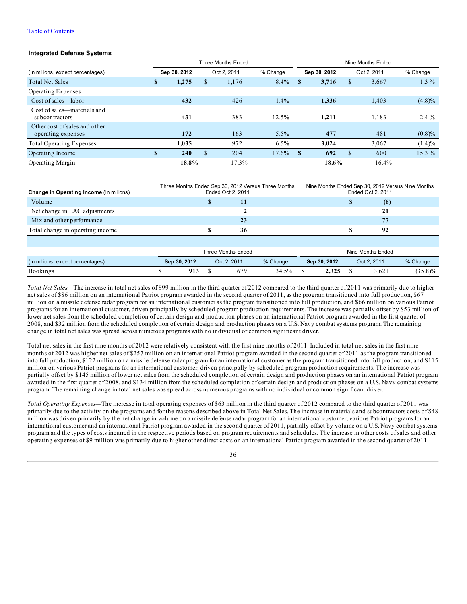#### **Integrated Defense Systems**

|                                                     | <b>Three Months Ended</b> |              |             |          |          | Nine Months Ended |              |             |           |  |  |
|-----------------------------------------------------|---------------------------|--------------|-------------|----------|----------|-------------------|--------------|-------------|-----------|--|--|
| (In millions, except percentages)                   | Sep 30, 2012              |              | Oct 2, 2011 | % Change |          | Sep 30, 2012      |              | Oct 2, 2011 | % Change  |  |  |
| <b>Total Net Sales</b>                              | \$<br>1,275               | \$           | 1,176       | $8.4\%$  | S        | 3,716             | S            | 3,667       | $1.3\%$   |  |  |
| <b>Operating Expenses</b>                           |                           |              |             |          |          |                   |              |             |           |  |  |
| Cost of sales—labor                                 | 432                       |              | 426         | 1.4%     |          | 1,336             |              | 1,403       | $(4.8)\%$ |  |  |
| Cost of sales—materials and<br>subcontractors       | 431                       |              | 383         | 12.5%    |          | 1.211             |              | 1,183       | $2.4\%$   |  |  |
| Other cost of sales and other<br>operating expenses | 172                       |              | 163         | $5.5\%$  |          | 477               |              | 481         | $(0.8)\%$ |  |  |
| <b>Total Operating Expenses</b>                     | 1.035                     |              | 972         | $6.5\%$  |          | 3.024             |              | 3,067       | $(1.4)\%$ |  |  |
| Operating Income                                    | 240                       | $\mathbb{S}$ | 204         | $17.6\%$ | <b>S</b> | 692               | $\mathbb{S}$ | 600         | 15.3 %    |  |  |
| <b>Operating Margin</b>                             | 18.8%                     |              | 17.3%       |          |          | 18.6%             |              | 16.4%       |           |  |  |

| Change in Operating Income (In millions) | Three Months Ended Sep 30, 2012 Versus Three Months | Ended Oct 2, 2011  |          |              | Nine Months Ended Sep 30, 2012 Versus Nine Months<br>Ended Oct 2, 2011 |     |          |  |
|------------------------------------------|-----------------------------------------------------|--------------------|----------|--------------|------------------------------------------------------------------------|-----|----------|--|
| Volume                                   |                                                     | 11                 |          |              |                                                                        | (6) |          |  |
| Net change in EAC adjustments            |                                                     |                    |          |              |                                                                        | 21  |          |  |
| Mix and other performance                |                                                     | 23                 |          |              |                                                                        | 77  |          |  |
| Total change in operating income         |                                                     | 36                 |          |              |                                                                        | 92  |          |  |
|                                          |                                                     |                    |          |              |                                                                        |     |          |  |
|                                          |                                                     | Three Months Ended |          |              | Nine Months Ended                                                      |     |          |  |
| (In millions, except percentages)        | Sep 30, 2012                                        | Oct 2, 2011        | % Change | Sep 30, 2012 | Oct 2, 2011                                                            |     | % Change |  |

| <b>Bookings</b>                                                                                                                                                | 913 | 679 | $34.5\%$ \$ | 2.325 | 3.621 | $(35.8)\%$ |
|----------------------------------------------------------------------------------------------------------------------------------------------------------------|-----|-----|-------------|-------|-------|------------|
|                                                                                                                                                                |     |     |             |       |       |            |
| Total Net Sales—The increase in total net sales of \$99 million in the third quarter of 2012 compared to the third quarter of 2011 was primarily due to higher |     |     |             |       |       |            |
| net sales of \$86 million on an international Patriot program awarded in the second quarter of 2011, as the program transitioned into full production, \$67    |     |     |             |       |       |            |
| million on a missile defense radar program for an international customer as the program transitioned into full production, and \$66 million on various Patriot |     |     |             |       |       |            |
| programs for an international customer, driven principally by scheduled program production requirements. The increase was partially offset by \$53 million of  |     |     |             |       |       |            |
| lower net sales from the scheduled completion of certain design and production phases on an international Patriot program awarded in the first quarter of      |     |     |             |       |       |            |

2008, and \$32 million from the scheduled completion of certain design and production phases on a U.S. Navy combat systems program. The remaining change in total net sales was spread across numerous programs with no individual or common significant driver.

Total net sales in the first nine months of 2012 were relatively consistent with the first nine months of 2011. Included in total net sales in the first nine months of 2012 was higher net sales of \$257 million on an international Patriot program awarded in the second quarter of 2011 as the program transitioned into full production, \$122 million on a missile defense radar program for an international customer as the program transitioned into full production, and \$115 million on various Patriot programs for an international customer, driven principally by scheduled program production requirements. The increase was partially offset by \$145 million of lower net sales from the scheduled completion of certain design and production phases on an international Patriot program awarded in the first quarter of 2008, and \$134 million from the scheduled completion of certain design and production phases on a U.S. Navy combat systems program. The remaining change in total net sales was spread across numerous programs with no individual or common significant driver.

*Total Operating Expenses—*The increase in total operating expenses of \$63 million in the third quarter of 2012 compared to the third quarter of 2011 was primarily due to the activity on the programs and for the reasons described above in Total Net Sales. The increase in materials and subcontractors costs of \$48 million was driven primarily by the net change in volume on a missile defense radar program for an international customer, various Patriot programs for an international customer and an international Patriot program awarded in the second quarter of 2011, partially offset by volume on a U.S. Navy combat systems program and the types of costs incurred in the respective periods based on program requirements and schedules. The increase in other costs of sales and other operating expenses of \$9 million was primarily due to higher other direct costs on an international Patriot program awarded in the second quarter of 2011.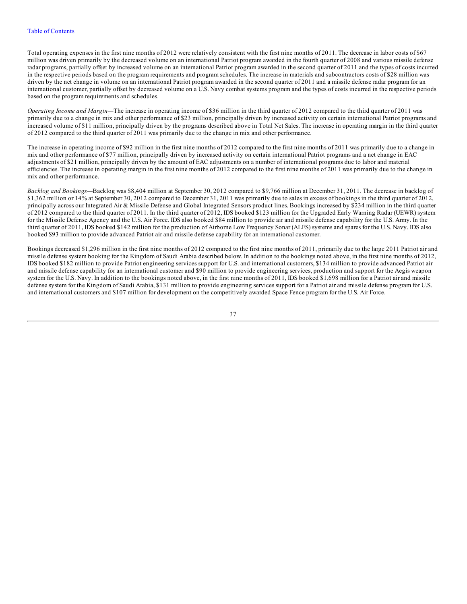Total operating expenses in the first nine months of 2012 were relatively consistent with the first nine months of 2011. The decrease in labor costs of \$67 million was driven primarily by the decreased volume on an international Patriot program awarded in the fourth quarter of 2008 and various missile defense radar programs, partially offset by increased volume on an international Patriot program awarded in the second quarter of 2011 and the types of costs incurred in the respective periods based on the program requirements and program schedules. The increase in materials and subcontractors costs of \$28 million was driven by the net change in volume on an international Patriot program awarded in the second quarter of 2011 and a missile defense radar program for an international customer, partially offset by decreased volume on a U.S. Navy combat systems program and the types of costs incurred in the respective periods based on the program requirements and schedules.

*Operating Income and Margin—*The increase in operating income of \$36 million in the third quarter of 2012 compared to the third quarter of 2011 was primarily due to a change in mix and other performance of \$23 million, principally driven by increased activity on certain international Patriot programs and increased volume of \$11 million, principally driven by the programs described above in Total Net Sales. The increase in operating margin in the third quarter of 2012 compared to the third quarter of 2011 was primarily due to the change in mix and other performance.

The increase in operating income of \$92 million in the first nine months of 2012 compared to the first nine months of 2011 was primarily due to a change in mix and other performance of \$77 million, principally driven by increased activity on certain international Patriot programs and a net change in EAC adjustments of \$21 million, principally driven by the amount of EAC adjustments on a number of international programs due to labor and material efficiencies. The increase in operating margin in the first nine months of 2012 compared to the first nine months of 2011 was primarily due to the change in mix and other performance.

*Backlog and Bookings—*Backlog was \$8,404 million at September 30, 2012 compared to \$9,766 million at December 31, 2011. The decrease in backlog of \$1,362 million or 14% at September 30, 2012 compared to December 31, 2011 was primarily due to sales in excess of bookings in the third quarter of 2012, principally across our Integrated Air & Missile Defense and Global Integrated Sensors product lines. Bookings increased by \$234 million in the third quarter of 2012 compared to the third quarter of 2011. In the third quarter of 2012, IDS booked \$123 million for the Upgraded Early Warning Radar (UEWR) system for the Missile Defense Agency and the U.S. Air Force. IDS also booked \$84 million to provide air and missile defense capability for the U.S. Army. In the third quarter of 2011, IDS booked \$142 million for the production of Airborne Low Frequency Sonar (ALFS) systems and spares for the U.S. Navy. IDS also booked \$93 million to provide advanced Patriot air and missile defense capability for an international customer.

Bookings decreased \$1,296 million in the first nine months of 2012 compared to the first nine months of 2011, primarily due to the large 2011 Patriot air and missile defense system booking for the Kingdom of Saudi Arabia described below. In addition to the bookings noted above, in the first nine months of 2012, IDS booked \$182 million to provide Patriot engineering services support for U.S. and international customers, \$134 million to provide advanced Patriot air and missile defense capability for an international customer and \$90 million to provide engineering services, production and support for the Aegis weapon system for the U.S. Navy. In addition to the bookings noted above, in the first nine months of 2011, IDS booked \$1,698 million for a Patriot air and missile defense system for the Kingdom of Saudi Arabia, \$131 million to provide engineering services support for a Patriot air and missile defense program for U.S. and international customers and \$107 million for development on the competitively awarded Space Fence program for the U.S. Air Force.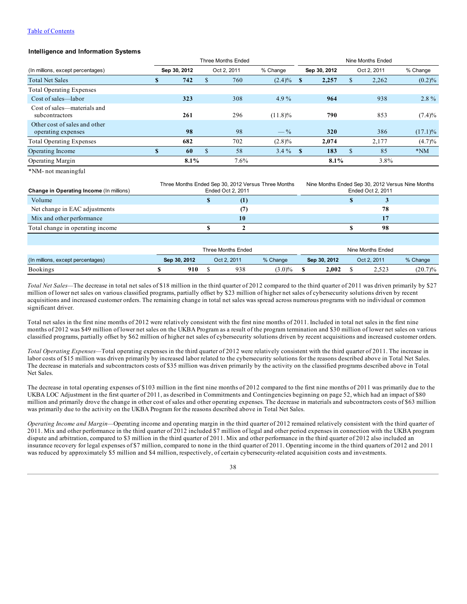#### **Intelligence and Information Systems**

|                                                     |   | <b>Three Months Ended</b> |              |             |                |          |              | Nine Months Ended |             |            |  |  |  |  |
|-----------------------------------------------------|---|---------------------------|--------------|-------------|----------------|----------|--------------|-------------------|-------------|------------|--|--|--|--|
| (In millions, except percentages)                   |   | Sep 30, 2012              |              | Oct 2, 2011 | % Change       |          | Sep 30, 2012 |                   | Oct 2, 2011 | % Change   |  |  |  |  |
| <b>Total Net Sales</b>                              | a | 742                       | \$           | 760         | $(2.4)\%$      | S        | 2,257        | S                 | 2,262       | $(0.2)\%$  |  |  |  |  |
| <b>Total Operating Expenses</b>                     |   |                           |              |             |                |          |              |                   |             |            |  |  |  |  |
| Cost of sales—labor                                 |   | 323                       |              | 308         | 4.9 $%$        |          | 964          |                   | 938         | $2.8\%$    |  |  |  |  |
| Cost of sales—materials and<br>subcontractors       |   | 261                       |              | 296         | $(11.8)\%$     |          | 790          |                   | 853         | $(7.4)\%$  |  |  |  |  |
| Other cost of sales and other<br>operating expenses |   | 98                        |              | 98          | $-\frac{9}{6}$ |          | <b>320</b>   |                   | 386         | $(17.1)\%$ |  |  |  |  |
| <b>Total Operating Expenses</b>                     |   | 682                       |              | 702         | $(2.8)\%$      |          | 2,074        |                   | 2,177       | (4.7)%     |  |  |  |  |
| Operating Income                                    |   | 60                        | $\mathbb{S}$ | 58          | $3.4\%$        | <b>S</b> | 183          | -S                | 85          | $*NM$      |  |  |  |  |
| <b>Operating Margin</b>                             |   | $8.1\%$                   |              | 7.6%        |                |          | $8.1\%$      |                   | 3.8%        |            |  |  |  |  |

\*NM- not meaningful

| <b>Change in Operating Income (In millions)</b> | Three Months Ended Sep 30, 2012 Versus Three Months<br>Ended Oct 2, 2011 | Nine Months Ended Sep 30, 2012 Versus Nine Months<br>Ended Oct 2, 2011 |    |  |  |  |
|-------------------------------------------------|--------------------------------------------------------------------------|------------------------------------------------------------------------|----|--|--|--|
| Volume                                          |                                                                          |                                                                        |    |  |  |  |
| Net change in EAC adjustments                   |                                                                          |                                                                        | 78 |  |  |  |
| Mix and other performance                       |                                                                          |                                                                        |    |  |  |  |
| Total change in operating income                |                                                                          |                                                                        | 98 |  |  |  |

|                                   |              | Three Months Ended<br>Nine Months Ended |  |             |           |  |              |  |             |            |
|-----------------------------------|--------------|-----------------------------------------|--|-------------|-----------|--|--------------|--|-------------|------------|
| (In millions, except percentages) | Sep 30, 2012 |                                         |  | Oct 2, 2011 | % Change  |  | Sep 30, 2012 |  | Oct 2, 2011 | % Change   |
| <b>Bookings</b>                   |              | 910                                     |  | 938         | $(3.0)\%$ |  | 2.002        |  | 2.523       | $(20.7)\%$ |

*Total Net Sales—*The decrease in total net sales of \$18 million in the third quarter of 2012 compared to the third quarter of 2011 was driven primarily by \$27 million of lower net sales on various classified programs, partially offset by \$23 million of higher net sales of cybersecurity solutions driven by recent acquisitions and increased customer orders. The remaining change in total net sales was spread across numerous programs with no individual or common significant driver.

Total net sales in the first nine months of 2012 were relatively consistent with the first nine months of 2011. Included in total net sales in the first nine months of 2012 was \$49 million of lower net sales on the UKBA Program as a result of the program termination and \$30 million of lower net sales on various classified programs, partially offset by \$62 million of higher net sales of cybersecurity solutions driven by recent acquisitions and increased customer orders.

*Total Operating Expenses—*Total operating expenses in the third quarter of 2012 were relatively consistent with the third quarter of 2011. The increase in labor costs of \$15 million was driven primarily by increased labor related to the cybersecurity solutions for the reasons described above in Total Net Sales. The decrease in materials and subcontractors costs of \$35 million was driven primarily by the activity on the classified programs described above in Total Net Sales.

The decrease in total operating expenses of \$103 million in the first nine months of 2012 compared to the first nine months of 2011 was primarily due to the UKBA LOC Adjustment in the first quarter of 2011, as described in Commitments and Contingencies beginning on page 52, which had an impact of \$80 million and primarily drove the change in other cost of sales and other operating expenses. The decrease in materials and subcontractors costs of \$63 million was primarily due to the activity on the UKBA Program for the reasons described above in Total Net Sales.

*Operating Income and Margin—*Operating income and operating margin in the third quarter of 2012 remained relatively consistent with the third quarter of 2011. Mix and other performance in the third quarter of 2012 included \$7 million of legal and other period expenses in connection with the UKBA program dispute and arbitration, compared to \$3 million in the third quarter of 2011. Mix and other performance in the third quarter of 2012 also included an insurance recovery for legal expenses of \$7 million, compared to none in the third quarter of 2011. Operating income in the third quarters of 2012 and 2011 was reduced by approximately \$5 million and \$4 million, respectively, of certain cybersecurity-related acquisition costs and investments.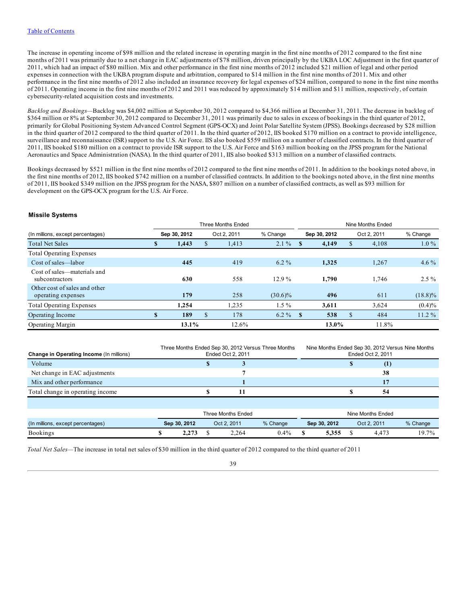The increase in operating income of \$98 million and the related increase in operating margin in the first nine months of 2012 compared to the first nine months of 2011 was primarily due to a net change in EAC adjustments of \$78 million, driven principally by the UKBA LOC Adjustment in the first quarter of 2011, which had an impact of \$80 million. Mix and other performance in the first nine months of 2012 included \$21 million of legal and other period expenses in connection with the UKBA program dispute and arbitration, compared to \$14 million in the first nine months of 2011. Mix and other performance in the first nine months of 2012 also included an insurance recovery for legal expenses of \$24 million, compared to none in the first nine months of 2011. Operating income in the first nine months of 2012 and 2011 was reduced by approximately \$14 million and \$11 million, respectively, of certain cybersecurity-related acquisition costs and investments.

*Backlog and Bookings—*Backlog was \$4,002 million at September 30, 2012 compared to \$4,366 million at December 31, 2011. The decrease in backlog of \$364 million or 8% at September 30, 2012 compared to December 31, 2011 was primarily due to sales in excess of bookings in the third quarter of 2012, primarily for Global Positioning System Advanced Control Segment (GPS-OCX) and Joint Polar Satellite System (JPSS). Bookings decreased by \$28 million in the third quarter of 2012 compared to the third quarter of 2011. In the third quarter of 2012, IIS booked \$170 million on a contract to provide intelligence, surveillance and reconnaissance (ISR) support to the U.S. Air Force. IIS also booked \$559 million on a number of classified contracts. In the third quarter of 2011, IIS booked \$180 million on a contract to provide ISR support to the U.S. Air Force and \$163 million booking on the JPSS program for the National Aeronautics and Space Administration (NASA). In the third quarter of 2011, IIS also booked \$313 million on a number of classified contracts.

Bookings decreased by \$521 million in the first nine months of 2012 compared to the first nine months of 2011. In addition to the bookings noted above, in the first nine months of 2012, IIS booked \$742 million on a number of classified contracts. In addition to the bookings noted above, in the first nine months of 2011, IIS booked \$349 million on the JPSS program for the NASA, \$807 million on a number of classified contracts, as well as \$93 million for development on the GPS-OCX program for the U.S. Air Force.

#### **Missile Systems**

|                                                     |   |              | <b>Three Months Ended</b> |             | Nine Months Ended |  |              |               |             |            |
|-----------------------------------------------------|---|--------------|---------------------------|-------------|-------------------|--|--------------|---------------|-------------|------------|
| (In millions, except percentages)                   |   | Sep 30, 2012 |                           | Oct 2, 2011 | % Change          |  | Sep 30, 2012 |               | Oct 2, 2011 | % Change   |
| <b>Total Net Sales</b>                              |   | 1,443        | \$                        | 1,413       | $2.1\%$           |  | 4,149        | D             | 4,108       | $1.0\%$    |
| <b>Total Operating Expenses</b>                     |   |              |                           |             |                   |  |              |               |             |            |
| Cost of sales—labor                                 |   | 445          |                           | 419         | $6.2\%$           |  | 1,325        |               | 1,267       | $4.6\%$    |
| Cost of sales—materials and<br>subcontractors       |   | 630          |                           | 558         | 12.9%             |  | 1.790        |               | 1.746       | $2.5\%$    |
| Other cost of sales and other<br>operating expenses |   | 179          |                           | 258         | $(30.6)\%$        |  | 496          |               | 611         | $(18.8)\%$ |
| <b>Total Operating Expenses</b>                     |   | 1.254        |                           | 1,235       | $1.5\%$           |  | 3,611        |               | 3,624       | $(0.4)\%$  |
| Operating Income                                    | S | 189          | \$                        | 178         | $6.2\%$           |  | 538          | <sup>\$</sup> | 484         | $11.2\%$   |
| <b>Operating Margin</b>                             |   | 13.1%        |                           | $12.6\%$    |                   |  | 13.0%        |               | 11.8%       |            |

| <b>Change in Operating Income (In millions)</b> | Three Months Ended Sep 30, 2012 Versus Three Months | Ended Oct 2, 2011 | Nine Months Ended Sep 30, 2012 Versus Nine Months<br>Ended Oct 2, 2011 |                   |  |
|-------------------------------------------------|-----------------------------------------------------|-------------------|------------------------------------------------------------------------|-------------------|--|
| Volume                                          |                                                     |                   |                                                                        | $\left( 1\right)$ |  |
| Net change in EAC adjustments                   |                                                     |                   |                                                                        | 38                |  |
| Mix and other performance                       |                                                     |                   |                                                                        |                   |  |
| Total change in operating income                |                                                     |                   |                                                                        | 54                |  |

|                                   |                                         | Three Months Ended |       | Nine Months Ended |  |              |  |             |          |
|-----------------------------------|-----------------------------------------|--------------------|-------|-------------------|--|--------------|--|-------------|----------|
| (In millions, except percentages) | Sep 30, 2012<br>Oct 2, 2011<br>% Change |                    |       |                   |  | Sep 30, 2012 |  | Oct 2, 2011 | % Change |
| Bookings                          | 2.273                                   |                    | 2.264 | $0.4\%$           |  | 5.355        |  | 4.473       | 19.7%    |

*Total Net Sales—*The increase in total net sales of \$30 million in the third quarter of 2012 compared to the third quarter of 2011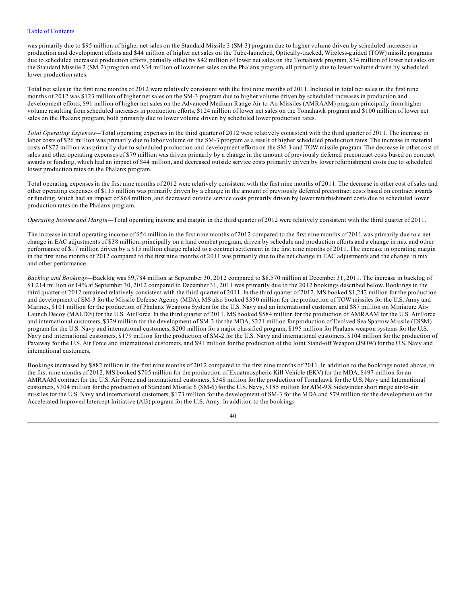was primarily due to \$95 million of higher net sales on the Standard Missile 3 (SM-3) program due to higher volume driven by scheduled increases in production and development efforts and \$44 million of higher net sales on the Tube-launched, Optically-tracked, Wireless-guided (TOW) missile programs due to scheduled increased production efforts, partially offset by \$42 million of lower net sales on the Tomahawk program, \$34 million of lower net sales on the Standard Missile 2 (SM-2) program and \$34 million of lower net sales on the Phalanx program, all primarily due to lower volume driven by scheduled lower production rates.

Total net sales in the first nine months of 2012 were relatively consistent with the first nine months of 2011. Included in total net sales in the first nine months of 2012 was \$123 million of higher net sales on the SM-3 program due to higher volume driven by scheduled increases in production and development efforts, \$91 million of higher net sales on the Advanced Medium-Range Air-to-Air Missiles (AMRAAM) program principally from higher volume resulting from scheduled increases in production efforts, \$124 million of lower net sales on the Tomahawk program and \$100 million of lower net sales on the Phalanx program, both primarily due to lower volume driven by scheduled lower production rates.

*Total Operating Expenses—*Total operating expenses in the third quarter of 2012 were relatively consistent with the third quarter of 2011. The increase in labor costs of \$26 million was primarily due to labor volume on the SM-3 program as a result of higher scheduled production rates. The increase in material costs of \$72 million was primarily due to scheduled production and development efforts on the SM-3 and TOW missile program. The decrease in other cost of sales and other operating expenses of \$79 million was driven primarily by a change in the amount of previously deferred precontract costs based on contract awards or funding, which had an impact of \$44 million, and decreased outside service costs primarily driven by lower refurbishment costs due to scheduled lower production rates on the Phalanx program.

Total operating expenses in the first nine months of 2012 were relatively consistent with the first nine months of 2011. The decrease in other cost of sales and other operating expenses of \$115 million was primarily driven by a change in the amount of previously deferred precontract costs based on contract awards or funding, which had an impact of \$68 million, and decreased outside service costs primarily driven by lower refurbishment costs due to scheduled lower production rates on the Phalanx program.

*Operating Income and Margin—*Total operating income and margin in the third quarter of 2012 were relatively consistent with the third quarter of 2011.

The increase in total operating income of \$54 million in the first nine months of 2012 compared to the first nine months of 2011 was primarily due to a net change in EAC adjustments of \$38 million, principally on a land combat program, driven by schedule and production efforts and a change in mix and other performance of \$17 million driven by a \$15 million charge related to a contract settlement in the first nine months of 2011. The increase in operating margin in the first nine months of 2012 compared to the first nine months of 2011 was primarily due to the net change in EAC adjustments and the change in mix and other performance.

*Backlog and Bookings—*Backlog was \$9,784 million at September 30, 2012 compared to \$8,570 million at December 31, 2011. The increase in backlog of \$1,214 million or 14% at September 30, 2012 compared to December 31, 2011 was primarily due to the 2012 bookings described below. Bookings in the third quarter of 2012 remained relatively consistent with the third quarter of 2011. In the third quarter of 2012, MS booked \$1,242 million for the production and development of SM-3 for the Missile Defense Agency (MDA). MS also booked \$350 million for the production of TOW missiles for the U.S. Army and Marines, \$101 million for the production of Phalanx Weapons System for the U.S. Navy and an international customer. and \$87 million on Miniature Air-Launch Decoy (MALD®) for the U.S. Air Force. In the third quarter of 2011, MS booked \$584 million for the production of AMRAAM for the U.S. Air Force and international customers, \$329 million for the development of SM-3 for the MDA, \$221 million for production of Evolved Sea Sparrow Missile (ESSM) program for the U.S. Navy and international customers, \$200 million for a major classified program, \$195 million for Phalanx weapon systems for the U.S. Navy and international customers, \$179 million for the production of SM-2 for the U.S. Navy and international customers, \$104 million for the production of Paveway for the U.S. Air Force and international customers, and \$91 million for the production of the Joint Stand-off Weapon (JSOW) for the U.S. Navy and international customers.

Bookings increased by \$882 million in the first nine months of 2012 compared to the first nine months of 2011. In addition to the bookings noted above, in the first nine months of 2012, MS booked \$705 million for the production of Exoatmospheric Kill Vehicle (EKV) for the MDA, \$497 million for an AMRAAM contract for the U.S. Air Force and international customers, \$348 million for the production of Tomahawk for the U.S. Navy and International customers, \$304 million for the production of Standard Missile 6 (SM-6) for the U.S. Navy, \$185 million for AIM-9X Sidewinder short range air-to-air missiles for the U.S. Navy and international customers, \$173 million for the development of SM-3 for the MDA and \$79 million for the development on the Accelerated Improved Intercept Initiative (AI3) program for the U.S. Army. In addition to the bookings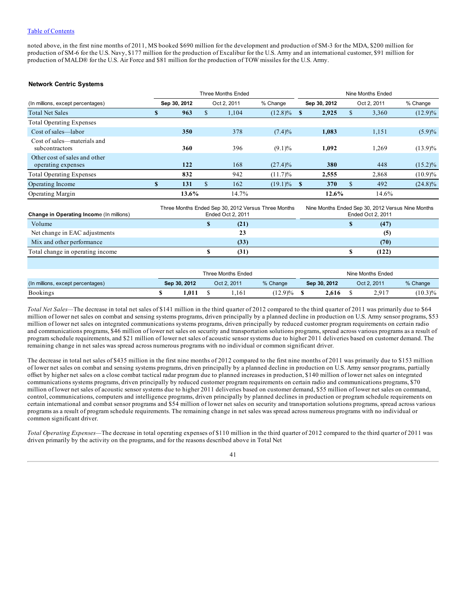noted above, in the first nine months of 2011, MS booked \$690 million for the development and production of SM-3 for the MDA, \$200 million for production of SM-6 for the U.S. Navy, \$177 million for the production of Excalibur for the U.S. Army and an international customer, \$91 million for production of MALD® for the U.S. Air Force and \$81 million for the production of TOW missiles for the U.S. Army.

#### **Network Centric Systems**

|                                                     | <b>Three Months Ended</b> |       |              |                                                                          |            |   | Nine Months Ended |   |                                                                        |            |  |  |
|-----------------------------------------------------|---------------------------|-------|--------------|--------------------------------------------------------------------------|------------|---|-------------------|---|------------------------------------------------------------------------|------------|--|--|
| (In millions, except percentages)                   | Sep 30, 2012              |       |              | Oct 2, 2011                                                              | % Change   |   | Sep 30, 2012      |   | Oct 2, 2011                                                            | % Change   |  |  |
| <b>Total Net Sales</b>                              | <b>D</b>                  | 963   | \$           | 1,104                                                                    | $(12.8)\%$ | S | 2,925             | S | 3,360                                                                  | $(12.9)\%$ |  |  |
| <b>Total Operating Expenses</b>                     |                           |       |              |                                                                          |            |   |                   |   |                                                                        |            |  |  |
| Cost of sales—labor                                 |                           | 350   |              | 378                                                                      | $(7.4)\%$  |   | 1,083             |   | 1,151                                                                  | $(5.9)\%$  |  |  |
| Cost of sales—materials and<br>subcontractors       |                           | 360   |              | 396                                                                      | $(9.1)\%$  |   | 1.092             |   | 1,269                                                                  | $(13.9)\%$ |  |  |
| Other cost of sales and other<br>operating expenses |                           | 122   |              | 168                                                                      | $(27.4)\%$ |   | 380               |   | 448                                                                    | $(15.2)\%$ |  |  |
| <b>Total Operating Expenses</b>                     |                           | 832   |              | 942                                                                      | $(11.7)\%$ |   | 2,555             |   | 2,868                                                                  | $(10.9)\%$ |  |  |
| Operating Income                                    | S                         | 131   | $\mathbb{S}$ | 162                                                                      | $(19.1)\%$ | S | 370               | S | 492                                                                    | $(24.8)\%$ |  |  |
| <b>Operating Margin</b>                             |                           | 13.6% |              | 14.7%                                                                    |            |   | $12.6\%$          |   | 14.6%                                                                  |            |  |  |
| <b>Change in Operating Income (In millions)</b>     |                           |       |              | Three Months Ended Sep 30, 2012 Versus Three Months<br>Ended Oct 2, 2011 |            |   |                   |   | Nine Months Ended Sep 30, 2012 Versus Nine Months<br>Ended Oct 2, 2011 |            |  |  |

| Change in Operating moonic (in millions) | $L1u0u0u0u1$ |  | $L1u0u0u0u1u0$ |  |
|------------------------------------------|--------------|--|----------------|--|
| Volume                                   | (21)         |  | (47)           |  |
| Net change in EAC adjustments            |              |  |                |  |
| Mix and other performance                | (33)         |  | (70)           |  |
| Total change in operating income         | (31)         |  | (122)          |  |

|                                   |                             | Three Months Ended |          | Nine Months Ended |  |             |  |          |            |
|-----------------------------------|-----------------------------|--------------------|----------|-------------------|--|-------------|--|----------|------------|
| (In millions, except percentages) | Sep 30, 2012<br>Oct 2, 2011 |                    | % Change | Sep 30, 2012      |  | Oct 2, 2011 |  | % Change |            |
| <b>Bookings</b>                   | l.011                       |                    | .161     | $(12.9)\%$        |  | 2.616       |  | 2.917    | $(10.3)\%$ |

*Total Net Sales—*The decrease in total net sales of \$141 million in the third quarter of 2012 compared to the third quarter of 2011 was primarily due to \$64 million of lower net sales on combat and sensing systems programs, driven principally by a planned decline in production on U.S. Army sensor programs, \$53 million of lower net sales on integrated communications systems programs, driven principally by reduced customer program requirements on certain radio and communications programs, \$46 million of lower net sales on security and transportation solutions programs, spread across various programs as a result of program schedule requirements, and \$21 million of lower net sales of acoustic sensor systems due to higher 2011 deliveries based on customer demand. The remaining change in net sales was spread across numerous programs with no individual or common significant driver.

The decrease in total net sales of \$435 million in the first nine months of 2012 compared to the first nine months of 2011 was primarily due to \$153 million of lower net sales on combat and sensing systems programs, driven principally by a planned decline in production on U.S. Army sensor programs, partially offset by higher net sales on a close combat tactical radar program due to planned increases in production, \$140 million of lower net sales on integrated communications systems programs, driven principally by reduced customer program requirements on certain radio and communications programs, \$70 million of lower net sales of acoustic sensor systems due to higher 2011 deliveries based on customer demand, \$55 million of lower net sales on command, control, communications, computers and intelligence programs, driven principally by planned declines in production or program schedule requirements on certain international and combat sensor programs and \$54 million of lower net sales on security and transportation solutions programs, spread across various programs as a result of program schedule requirements. The remaining change in net sales was spread across numerous programs with no individual or common significant driver.

*Total Operating Expenses—*The decrease in total operating expenses of \$110 million in the third quarter of 2012 compared to the third quarter of 2011 was driven primarily by the activity on the programs, and for the reasons described above in Total Net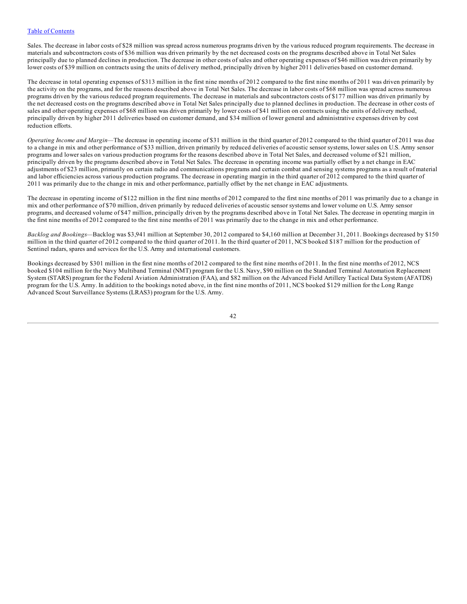Sales. The decrease in labor costs of \$28 million was spread across numerous programs driven by the various reduced program requirements. The decrease in materials and subcontractors costs of \$36 million was driven primarily by the net decreased costs on the programs described above in Total Net Sales principally due to planned declines in production. The decrease in other costs of sales and other operating expenses of \$46 million was driven primarily by lower costs of \$39 million on contracts using the units of delivery method, principally driven by higher 2011 deliveries based on customer demand.

The decrease in total operating expenses of \$313 million in the first nine months of 2012 compared to the first nine months of 2011 was driven primarily by the activity on the programs, and for the reasons described above in Total Net Sales. The decrease in labor costs of \$68 million was spread across numerous programs driven by the various reduced program requirements. The decrease in materials and subcontractors costs of \$177 million was driven primarily by the net decreased costs on the programs described above in Total Net Sales principally due to planned declines in production. The decrease in other costs of sales and other operating expenses of \$68 million was driven primarily by lower costs of \$41 million on contracts using the units of delivery method, principally driven by higher 2011 deliveries based on customer demand, and \$34 million of lower general and administrative expenses driven by cost reduction efforts.

*Operating Income and Margin—*The decrease in operating income of \$31 million in the third quarter of 2012 compared to the third quarter of 2011 was due to a change in mix and other performance of \$33 million, driven primarily by reduced deliveries of acoustic sensor systems, lower sales on U.S. Army sensor programs and lower sales on various production programs for the reasons described above in Total Net Sales, and decreased volume of \$21 million, principally driven by the programs described above in Total Net Sales. The decrease in operating income was partially offset by a net change in EAC adjustments of \$23 million, primarily on certain radio and communications programs and certain combat and sensing systems programs as a result of material and labor efficiencies across various production programs. The decrease in operating margin in the third quarter of 2012 compared to the third quarter of 2011 was primarily due to the change in mix and other performance, partially offset by the net change in EAC adjustments.

The decrease in operating income of \$122 million in the first nine months of 2012 compared to the first nine months of 2011 was primarily due to a change in mix and other performance of \$70 million, driven primarily by reduced deliveries of acoustic sensor systems and lower volume on U.S. Army sensor programs, and decreased volume of \$47 million, principally driven by the programs described above in Total Net Sales. The decrease in operating margin in the first nine months of 2012 compared to the first nine months of 2011 was primarily due to the change in mix and other performance.

*Backlog and Bookings—*Backlog was \$3,941 million at September 30, 2012 compared to \$4,160 million at December 31, 2011. Bookings decreased by \$150 million in the third quarter of 2012 compared to the third quarter of 2011. In the third quarter of 2011, NCS booked \$187 million for the production of Sentinel radars, spares and services for the U.S. Army and international customers.

Bookings decreased by \$301 million in the first nine months of 2012 compared to the first nine months of 2011. In the first nine months of 2012, NCS booked \$104 million for the Navy Multiband Terminal (NMT) program for the U.S. Navy, \$90 million on the Standard Terminal Automation Replacement System (STARS) program for the Federal Aviation Administration (FAA), and \$82 million on the Advanced Field Artillery Tactical Data System (AFATDS) program for the U.S. Army. In addition to the bookings noted above, in the first nine months of 2011, NCS booked \$129 million for the Long Range Advanced Scout Surveillance Systems (LRAS3) program for the U.S. Army.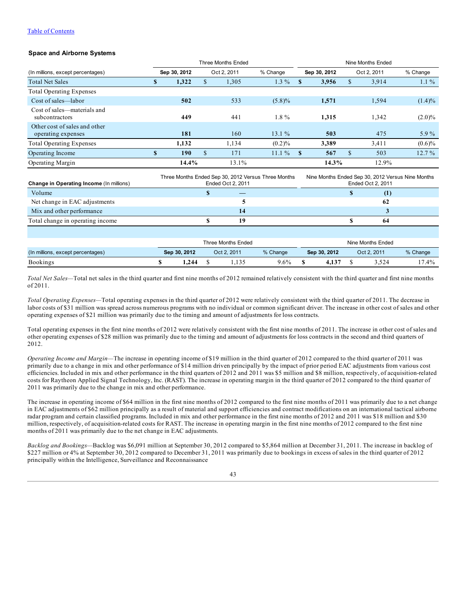#### **Space and Airborne Systems**

|                                                     |   | Three Months Ended |    |             |           |   | Nine Months Ended |              |             |           |  |  |
|-----------------------------------------------------|---|--------------------|----|-------------|-----------|---|-------------------|--------------|-------------|-----------|--|--|
| (In millions, except percentages)                   |   | Sep 30, 2012       |    | Oct 2, 2011 | % Change  |   | Sep 30, 2012      |              | Oct 2, 2011 | % Change  |  |  |
| <b>Total Net Sales</b>                              | S | 1,322              | \$ | 1,305       | $1.3\%$   | S | 3,956             | S            | 3,914       | $1.1\%$   |  |  |
| <b>Total Operating Expenses</b>                     |   |                    |    |             |           |   |                   |              |             |           |  |  |
| Cost of sales—labor                                 |   | 502                |    | 533         | $(5.8)\%$ |   | 1,571             |              | 1,594       | $(1.4)\%$ |  |  |
| Cost of sales—materials and<br>subcontractors       |   | 449                |    | 441         | 1.8%      |   | 1.315             |              | 1,342       | $(2.0)\%$ |  |  |
| Other cost of sales and other<br>operating expenses |   | 181                |    | 160         | 13.1%     |   | 503               |              | 475         | 5.9%      |  |  |
| <b>Total Operating Expenses</b>                     |   | 1.132              |    | 1,134       | $(0.2)\%$ |   | 3,389             |              | 3,411       | $(0.6)\%$ |  |  |
| Operating Income                                    |   | 190                | \$ | 171         | 11.1%     | S | 567               | $\mathbb{S}$ | 503         | 12.7%     |  |  |
| <b>Operating Margin</b>                             |   | 14.4%              |    | 13.1%       |           |   | 14.3%             |              | 12.9%       |           |  |  |

| Change in Operating Income (In millions) | Three Months Ended Sep 30, 2012 Versus Three Months<br>Ended Oct 2, 2011 |       |             |                           |          | Nine Months Ended Sep 30, 2012 Versus Nine Months<br>Ended Oct 2, 2011 |              |    |             |          |
|------------------------------------------|--------------------------------------------------------------------------|-------|-------------|---------------------------|----------|------------------------------------------------------------------------|--------------|----|-------------|----------|
| Volume                                   |                                                                          |       |             |                           |          |                                                                        |              |    | (1)         |          |
| Net change in EAC adjustments            |                                                                          |       |             |                           |          |                                                                        |              | 62 |             |          |
| Mix and other performance                | 14                                                                       |       |             |                           |          |                                                                        |              |    |             |          |
| Total change in operating income         |                                                                          |       |             | 19                        |          |                                                                        |              |    | 64          |          |
|                                          |                                                                          |       |             |                           |          |                                                                        |              |    |             |          |
|                                          |                                                                          |       |             | <b>Three Months Ended</b> |          | Nine Months Ended                                                      |              |    |             |          |
| (In millions, except percentages)        | Sep 30, 2012                                                             |       | Oct 2, 2011 |                           | % Change |                                                                        | Sep 30, 2012 |    | Oct 2, 2011 | % Change |
| <b>Bookings</b>                          |                                                                          | 1.244 |             | 1.135                     | 9.6%     |                                                                        | 4.137        |    | 3.524       | 17.4%    |

*Total Net Sales—*Total net sales in the third quarter and first nine months of 2012 remained relatively consistent with the third quarter and first nine months of 2011.

*Total Operating Expenses—*Total operating expenses in the third quarter of 2012 were relatively consistent with the third quarter of 2011. The decrease in labor costs of \$31 million was spread across numerous programs with no individual or common significant driver. The increase in other cost of sales and other operating expenses of \$21 million was primarily due to the timing and amount of adjustments for loss contracts.

Total operating expenses in the first nine months of 2012 were relatively consistent with the first nine months of 2011. The increase in other cost of sales and other operating expenses of \$28 million was primarily due to the timing and amount of adjustments for loss contracts in the second and third quarters of 2012.

*Operating Income and Margin—*The increase in operating income of \$19 million in the third quarter of 2012 compared to the third quarter of 2011 was primarily due to a change in mix and other performance of \$14 million driven principally by the impact of prior period EAC adjustments from various cost efficiencies. Included in mix and other performance in the third quarters of 2012 and 2011 was \$5 million and \$8 million, respectively, of acquisition-related costs for Raytheon Applied Signal Technology, Inc. (RAST). The increase in operating margin in the third quarter of 2012 compared to the third quarter of 2011 was primarily due to the change in mix and other performance.

The increase in operating income of \$64 million in the first nine months of 2012 compared to the first nine months of 2011 was primarily due to a net change in EAC adjustments of \$62 million principally as a result of material and support efficiencies and contract modifications on an international tactical airborne radar program and certain classified programs. Included in mix and other performance in the first nine months of 2012 and 2011 was \$18 million and \$30 million, respectively, of acquisition-related costs for RAST. The increase in operating margin in the first nine months of 2012 compared to the first nine months of 2011 was primarily due to the net change in EAC adjustments.

*Backlog and Bookings—*Backlog was \$6,091 million at September 30, 2012 compared to \$5,864 million at December 31, 2011. The increase in backlog of \$227 million or 4% at September 30, 2012 compared to December 31, 2011 was primarily due to bookings in excess of sales in the third quarter of 2012 principally within the Intelligence, Surveillance and Reconnaissance

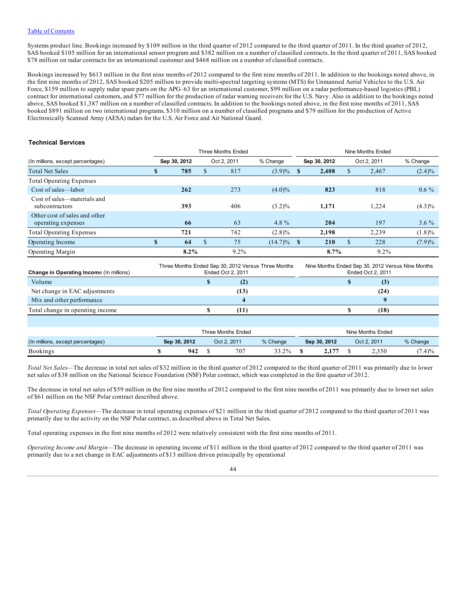Systems product line. Bookings increased by \$109 million in the third quarter of 2012 compared to the third quarter of 2011. In the third quarter of 2012, SAS booked \$105 million for an international sensor program and \$382 million on a number of classified contracts. In the third quarter of 2011, SAS booked \$78 million on radar contracts for an international customer and \$468 million on a number of classified contracts.

Bookings increased by \$613 million in the first nine months of 2012 compared to the first nine months of 2011. In addition to the bookings noted above, in the first nine months of 2012, SAS booked \$205 million to provide multi-spectral targeting systems (MTS) for Unmanned Aerial Vehicles to the U.S. Air Force, \$159 million to supply radar spare parts on the APG–63 for an international customer, \$99 million on a radar performance-based logistics (PBL) contract for international customers, and \$77 million for the production of radar warning receivers for the U.S. Navy. Also in addition to the bookings noted above, SAS booked \$1,387 million on a number of classified contracts. In addition to the bookings noted above, in the first nine months of 2011, SAS booked \$891 million on two international programs, \$310 million on a number of classified programs and \$79 million for the production of Active Electronically Scanned Array (AESA) radars for the U.S. Air Force and Air National Guard.

#### **Technical Services**

|                                                     |   | <b>Three Months Ended</b> |   |             |               |              | Nine Months Ended |              |         |           |  |  |
|-----------------------------------------------------|---|---------------------------|---|-------------|---------------|--------------|-------------------|--------------|---------|-----------|--|--|
| (In millions, except percentages)                   |   | Sep 30, 2012              |   | Oct 2, 2011 | % Change      | Sep 30, 2012 |                   | Oct 2, 2011  |         | % Change  |  |  |
| <b>Total Net Sales</b>                              | D | 785                       | S | 817         | $(3.9)\%$     | S            | 2,408             | \$           | 2,467   | $(2.4)\%$ |  |  |
| <b>Total Operating Expenses</b>                     |   |                           |   |             |               |              |                   |              |         |           |  |  |
| Cost of sales—labor                                 |   | 262                       |   | 273         | $(4.0)\%$     |              | 823               |              | 818     | $0.6\%$   |  |  |
| Cost of sales—materials and<br>subcontractors       |   | 393                       |   | 406         | $(3.2)\%$     |              | 1,171             |              | .224    | $(4.3)\%$ |  |  |
| Other cost of sales and other<br>operating expenses |   | 66                        |   | 63          | 4.8 $%$       |              | 204               |              | 197     | $3.6\%$   |  |  |
| <b>Total Operating Expenses</b>                     |   | 721                       |   | 742         | $(2.8)\%$     |              | 2,198             |              | 2.239   | $(1.8)\%$ |  |  |
| Operating Income                                    | æ | 64                        | S | 75          | $(14.7)\%$ \$ |              | 210               | $\mathbb{S}$ | 228     | $(7.9)\%$ |  |  |
| Operating Margin                                    |   | $8.2\%$                   |   | $9.2\%$     |               |              | $8.7\%$           |              | $9.2\%$ |           |  |  |

| <b>Change in Operating Income (In millions)</b> | Three Months Ended Sep 30, 2012 Versus Three Months<br>Ended Oct 2, 2011 | Nine Months Ended Sep 30, 2012 Versus Nine Months<br>Ended Oct 2, 2011 |
|-------------------------------------------------|--------------------------------------------------------------------------|------------------------------------------------------------------------|
| Volume                                          |                                                                          |                                                                        |
| Net change in EAC adjustments                   | (13)                                                                     | (24)                                                                   |
| Mix and other performance                       |                                                                          |                                                                        |
| Total change in operating income                | (11)                                                                     | (18)                                                                   |
|                                                 |                                                                          |                                                                        |

|                                   | Three Months Ended |     |             |     |          |              | Nine Months Ended |             |       |           |  |
|-----------------------------------|--------------------|-----|-------------|-----|----------|--------------|-------------------|-------------|-------|-----------|--|
| (In millions, except percentages) | Sep 30, 2012       |     | Oct 2, 2011 |     | % Change | Sep 30, 2012 |                   | Oct 2, 2011 |       | % Change  |  |
| Bookings                          |                    | 942 |             | 707 | 33.2%    |              |                   |             | 2.350 | $(7.4)\%$ |  |

*Total Net Sales—*The decrease in total net sales of \$32 million in the third quarter of 2012 compared to the third quarter of 2011 was primarily due to lower net sales of \$38 million on the National Science Foundation (NSF) Polar contract, which was completed in the first quarter of 2012.

The decrease in total net sales of \$59 million in the first nine months of 2012 compared to the first nine months of 2011 was primarily due to lower net sales of \$61 million on the NSF Polar contract described above.

*Total Operating Expenses—*The decrease in total operating expenses of \$21 million in the third quarter of 2012 compared to the third quarter of 2011 was primarily due to the activity on the NSF Polar contract, as described above in Total Net Sales.

Total operating expenses in the first nine months of 2012 were relatively consistent with the first nine months of 2011.

*Operating Income and Margin—*The decrease in operating income of \$11 million in the third quarter of 2012 compared to the third quarter of 2011 was primarily due to a net change in EAC adjustments of \$13 million driven principally by operational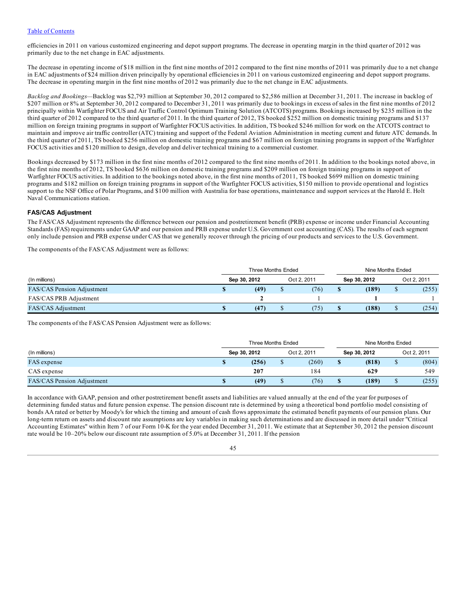efficiencies in 2011 on various customized engineering and depot support programs. The decrease in operating margin in the third quarter of 2012 was primarily due to the net change in EAC adjustments.

The decrease in operating income of \$18 million in the first nine months of 2012 compared to the first nine months of 2011 was primarily due to a net change in EAC adjustments of \$24 million driven principally by operational efficiencies in 2011 on various customized engineering and depot support programs. The decrease in operating margin in the first nine months of 2012 was primarily due to the net change in EAC adjustments.

*Backlog and Bookings—*Backlog was \$2,793 million at September 30, 2012 compared to \$2,586 million at December 31, 2011. The increase in backlog of \$207 million or 8% at September 30, 2012 compared to December 31, 2011 was primarily due to bookings in excess of sales in the first nine months of 2012 principally within Warfighter FOCUS and Air Traffic Control Optimum Training Solution (ATCOTS) programs. Bookings increased by \$235 million in the third quarter of 2012 compared to the third quarter of 2011. In the third quarter of 2012, TS booked \$252 million on domestic training programs and \$137 million on foreign training programs in support of Warfighter FOCUS activities. In addition, TS booked \$246 million for work on the ATCOTS contract to maintain and improve air traffic controller (ATC) training and support of the Federal Aviation Administration in meeting current and future ATC demands. In the third quarter of 2011, TS booked \$256 million on domestic training programs and \$67 million on foreign training programs in support of the Warfighter FOCUS activities and \$120 million to design, develop and deliver technical training to a commercial customer.

Bookings decreased by \$173 million in the first nine months of 2012 compared to the first nine months of 2011. In addition to the bookings noted above, in the first nine months of 2012, TS booked \$636 million on domestic training programs and \$209 million on foreign training programs in support of Warfighter FOCUS activities. In addition to the bookings noted above, in the first nine months of 2011, TS booked \$699 million on domestic training programs and \$182 million on foreign training programs in support of the Warfighter FOCUS activities, \$150 million to provide operational and logistics support to the NSF Office of Polar Programs, and \$100 million with Australia for base operations, maintenance and support services at the Harold E. Holt Naval Communications station.

#### **FAS/CAS Adjustment**

The FAS/CAS Adjustment represents the difference between our pension and postretirement benefit (PRB) expense or income under Financial Accounting Standards (FAS) requirements under GAAP and our pension and PRB expense under U.S. Government cost accounting (CAS). The results of each segment only include pension and PRB expense under CAS that we generally recover through the pricing of our products and services to the U.S. Government.

The components of the FAS/CAS Adjustment were as follows:

| (In millions)              | Three Months Ended | Nine Months Ended |    |              |  |             |
|----------------------------|--------------------|-------------------|----|--------------|--|-------------|
|                            | Sep 30, 2012       | Oct 2, 2011       |    | Sep 30, 2012 |  | Oct 2, 2011 |
| FAS/CAS Pension Adjustment | (49)               | (76)              |    | (189)        |  | (255)       |
| FAS/CAS PRB Adjustment     |                    |                   |    |              |  |             |
| FAS/CAS Adjustment         | (47)               | (75)              | ۰D | (188)        |  | (254)       |

The components of the FAS/CAS Pension Adjustment were as follows:

| (In millions)<br>FAS expense      | Three Months Ended | Nine Months Ended |       |              |       |             |       |
|-----------------------------------|--------------------|-------------------|-------|--------------|-------|-------------|-------|
|                                   | Sep 30, 2012       | Oct 2, 2011       |       | Sep 30, 2012 |       | Oct 2, 2011 |       |
|                                   | (256)              | ъ                 | (260) |              | (818) |             | (804) |
| CAS expense                       | 207                |                   | 184   |              | 629   |             | 549   |
| <b>FAS/CAS Pension Adjustment</b> | (49)               |                   | (76)  |              | (189) |             | (255) |

In accordance with GAAP, pension and other postretirement benefit assets and liabilities are valued annually at the end of the year for purposes of determining funded status and future pension expense. The pension discount rate is determined by using a theoretical bond portfolio model consisting of bonds AA rated or better by Moody's for which the timing and amount of cash flows approximate the estimated benefit payments of our pension plans. Our long-term return on assets and discount rate assumptions are key variables in making such determinations and are discussed in more detail under "Critical Accounting Estimates" within Item 7 of our Form 10-K for the year ended December 31, 2011. We estimate that at September 30, 2012 the pension discount rate would be 10–20% below our discount rate assumption of 5.0% at December 31, 2011. If the pension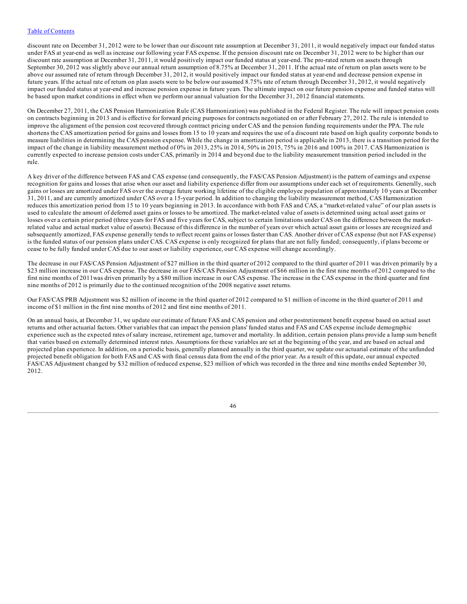discount rate on December 31, 2012 were to be lower than our discount rate assumption at December 31, 2011, it would negatively impact our funded status under FAS at year-end as well as increase our following year FAS expense. If the pension discount rate on December 31, 2012 were to be higher than our discount rate assumption at December 31, 2011, it would positively impact our funded status at year-end. The pro-rated return on assets through September 30, 2012 was slightly above our annual return assumption of 8.75% at December 31, 2011. If the actual rate of return on plan assets were to be above our assumed rate of return through December 31, 2012, it would positively impact our funded status at year-end and decrease pension expense in future years. If the actual rate of return on plan assets were to be below our assumed 8.75% rate of return through December 31, 2012, it would negatively impact our funded status at year-end and increase pension expense in future years. The ultimate impact on our future pension expense and funded status will be based upon market conditions in effect when we perform our annual valuation for the December 31, 2012 financial statements.

On December 27, 2011, the CAS Pension Harmonization Rule (CAS Harmonization) was published in the Federal Register. The rule will impact pension costs on contracts beginning in 2013 and is effective for forward pricing purposes for contracts negotiated on or after February 27, 2012. The rule is intended to improve the alignment of the pension cost recovered through contract pricing under CAS and the pension funding requirements under the PPA. The rule shortens the CAS amortization period for gains and losses from 15 to 10 years and requires the use of a discount rate based on high quality corporate bonds to measure liabilities in determining the CAS pension expense. While the change in amortization period is applicable in 2013, there is a transition period for the impact of the change in liability measurement method of 0% in 2013, 25% in 2014, 50% in 2015, 75% in 2016 and 100% in 2017. CAS Harmonization is currently expected to increase pension costs under CAS, primarily in 2014 and beyond due to the liability measurement transition period included in the rule.

A key driver of the difference between FAS and CAS expense (and consequently, the FAS/CAS Pension Adjustment) is the pattern of earnings and expense recognition for gains and losses that arise when our asset and liability experience differ from our assumptions under each set of requirements. Generally, such gains or losses are amortized under FAS over the average future working lifetime of the eligible employee population of approximately 10 years at December 31, 2011, and are currently amortized under CAS over a 15-year period. In addition to changing the liability measurement method, CAS Harmonization reduces this amortization period from 15 to 10 years beginning in 2013. In accordance with both FAS and CAS, a "market-related value" of our plan assets is used to calculate the amount of deferred asset gains or losses to be amortized. The market-related value of assets is determined using actual asset gains or losses over a certain prior period (three years for FAS and five years for CAS, subject to certain limitations under CAS on the difference between the marketrelated value and actual market value of assets). Because of this difference in the number of years over which actual asset gains or losses are recognized and subsequently amortized, FAS expense generally tends to reflect recent gains or losses faster than CAS. Another driver of CAS expense (but not FAS expense) is the funded status of our pension plans under CAS. CAS expense is only recognized for plans that are not fully funded; consequently, if plans become or cease to be fully funded under CAS due to our asset or liability experience, our CAS expense will change accordingly.

The decrease in our FAS/CAS Pension Adjustment of \$27 million in the third quarter of 2012 compared to the third quarter of 2011 was driven primarily by a \$23 million increase in our CAS expense. The decrease in our FAS/CAS Pension Adjustment of \$66 million in the first nine months of 2012 compared to the first nine months of 2011 was driven primarily by a \$80 million increase in our CAS expense. The increase in the CAS expense in the third quarter and first nine months of 2012 is primarily due to the continued recognition of the 2008 negative asset returns.

Our FAS/CAS PRB Adjustment was \$2 million of income in the third quarter of 2012 compared to \$1 million of income in the third quarter of 2011 and income of \$1 million in the first nine months of 2012 and first nine months of 2011.

On an annual basis, at December 31, we update our estimate of future FAS and CAS pension and other postretirement benefit expense based on actual asset returns and other actuarial factors. Other variables that can impact the pension plans' funded status and FAS and CAS expense include demographic experience such as the expected rates of salary increase, retirement age, turnover and mortality. In addition, certain pension plans provide a lump sum benefit that varies based on externally determined interest rates. Assumptions for these variables are set at the beginning of the year, and are based on actual and projected plan experience. In addition, on a periodic basis, generally planned annually in the third quarter, we update our actuarial estimate of the unfunded projected benefit obligation for both FAS and CAS with final census data from the end of the prior year. As a result of this update, our annual expected FAS/CAS Adjustment changed by \$32 million of reduced expense, \$23 million of which was recorded in the three and nine months ended September 30, 2012.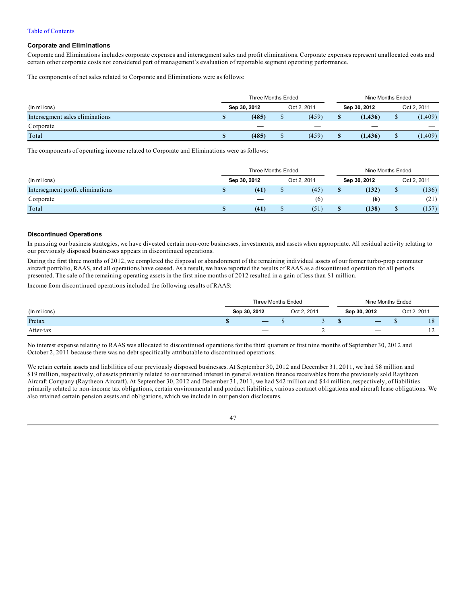#### **Corporate and Eliminations**

Corporate and Eliminations includes corporate expenses and intersegment sales and profit eliminations. Corporate expenses represent unallocated costs and certain other corporate costs not considered part of management's evaluation of reportable segment operating performance.

The components of net sales related to Corporate and Eliminations were as follows:

|                                 |              | Three Months Ended       | Nine Months Ended |                          |  |                          |             |         |
|---------------------------------|--------------|--------------------------|-------------------|--------------------------|--|--------------------------|-------------|---------|
| (In millions)                   | Sep 30, 2012 |                          |                   | Oct 2, 2011              |  | Sep 30, 2012             | Oct 2, 2011 |         |
| Intersegment sales eliminations |              | (485)                    |                   | (459)                    |  | (1, 436)                 |             | (1,409) |
| Corporate                       |              | $\overline{\phantom{a}}$ |                   | $\overline{\phantom{a}}$ |  | $\overline{\phantom{a}}$ |             | $-$     |
| Total                           |              | (485)                    | P                 | (459)                    |  | (1, 436)                 |             | (1,409) |

The components of operating income related to Corporate and Eliminations were as follows:

|                                                   | Three Months Ended | Nine Months Ended |    |              |             |       |
|---------------------------------------------------|--------------------|-------------------|----|--------------|-------------|-------|
| (In millions)<br>Intersegment profit eliminations | Sep 30, 2012       | Oct 2, 2011       |    | Sep 30, 2012 | Oct 2, 2011 |       |
|                                                   | (41)               | (45)              | Φ  | (132)        |             | (136) |
| Corporate                                         |                    | (6)               |    | (6)          |             | (21)  |
| Total                                             | (41)               | (51)              | ۰D | (138)        |             | (157) |

#### **Discontinued Operations**

In pursuing our business strategies, we have divested certain non-core businesses, investments, and assets when appropriate. All residual activity relating to our previously disposed businesses appears in discontinued operations.

During the first three months of 2012, we completed the disposal or abandonment of the remaining individual assets of our former turbo-prop commuter aircraft portfolio, RAAS, and all operations have ceased. As a result, we have reported the results of RAAS as a discontinued operation for all periods presented. The sale of the remaining operating assets in the first nine months of 2012 resulted in a gain of less than \$1 million.

Income from discontinued operations included the following results of RAAS:

|               | Three Months Ended |                          |             |  | Nine Months Ended |                               |             |                  |
|---------------|--------------------|--------------------------|-------------|--|-------------------|-------------------------------|-------------|------------------|
| (In millions) |                    | Sep 30, 2012             | Oct 2, 2011 |  | Sep 30, 2012      |                               | Oct 2, 2011 |                  |
| Pretax        |                    |                          |             |  |                   |                               |             | 18               |
| After-tax     |                    | $\overline{\phantom{a}}$ |             |  |                   | $\overbrace{\phantom{12332}}$ |             | $1^{\circ}$<br>∸ |

No interest expense relating to RAAS was allocated to discontinued operations for the third quarters or first nine months of September 30, 2012 and October 2, 2011 because there was no debt specifically attributable to discontinued operations.

We retain certain assets and liabilities of our previously disposed businesses. At September 30, 2012 and December 31, 2011, we had \$8 million and \$19 million, respectively, of assets primarily related to our retained interest in general aviation finance receivables from the previously sold Raytheon Aircraft Company (Raytheon Aircraft). At September 30, 2012 and December 31, 2011, we had \$42 million and \$44 million, respectively, of liabilities primarily related to non-income tax obligations, certain environmental and product liabilities, various contract obligations and aircraft lease obligations. We also retained certain pension assets and obligations, which we include in our pension disclosures.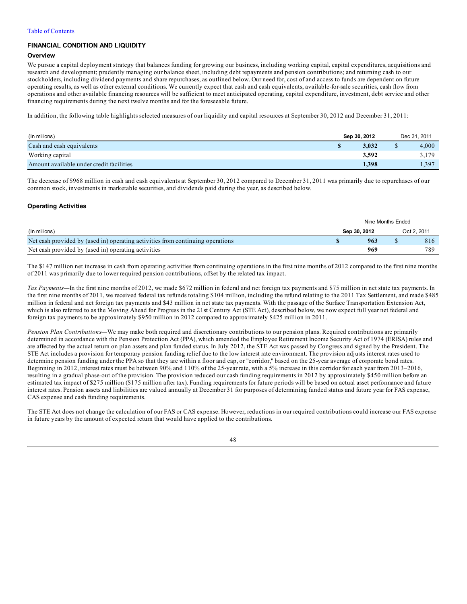#### **FINANCIAL CONDITION AND LIQUIDITY**

#### **Overview**

We pursue a capital deployment strategy that balances funding for growing our business, including working capital, capital expenditures, acquisitions and research and development; prudently managing our balance sheet, including debt repayments and pension contributions; and returning cash to our stockholders, including dividend payments and share repurchases, as outlined below. Our need for, cost of and access to funds are dependent on future operating results, as well as other external conditions. We currently expect that cash and cash equivalents, available-for-sale securities, cash flow from operations and other available financing resources will be sufficient to meet anticipated operating, capital expenditure, investment, debt service and other financing requirements during the next twelve months and for the foreseeable future.

In addition, the following table highlights selected measures of our liquidity and capital resources at September 30, 2012 and December 31, 2011:

| (In millions)                            | Sep 30, 2012 |       | Dec 31, 2011 |       |  |
|------------------------------------------|--------------|-------|--------------|-------|--|
| Cash and cash equivalents                |              | 3.032 |              | 4.000 |  |
| Working capital                          |              | 3.592 |              | 3,179 |  |
| Amount available under credit facilities |              | 1,398 |              | 1,397 |  |

The decrease of \$968 million in cash and cash equivalents at September 30, 2012 compared to December 31, 2011 was primarily due to repurchases of our common stock, investments in marketable securities, and dividends paid during the year, as described below.

#### **Operating Activities**

|                                                                                | Nine Months Ended |     |             |     |
|--------------------------------------------------------------------------------|-------------------|-----|-------------|-----|
| (In millions)                                                                  | Sep 30, 2012      |     | Oct 2, 2011 |     |
| Net cash provided by (used in) operating activities from continuing operations |                   | 963 |             | 816 |
| Net cash provided by (used in) operating activities                            |                   | 969 |             | 789 |

The \$147 million net increase in cash from operating activities from continuing operations in the first nine months of 2012 compared to the first nine months of 2011 was primarily due to lower required pension contributions, offset by the related tax impact.

*Tax Payments—*In the first nine months of 2012, we made \$672 million in federal and net foreign tax payments and \$75 million in net state tax payments. In the first nine months of 2011, we received federal tax refunds totaling \$104 million, including the refund relating to the 2011 Tax Settlement, and made \$485 million in federal and net foreign tax payments and \$43 million in net state tax payments. With the passage of the Surface Transportation Extension Act, which is also referred to as the Moving Ahead for Progress in the 21st Century Act (STE Act), described below, we now expect full year net federal and foreign tax payments to be approximately \$950 million in 2012 compared to approximately \$425 million in 2011.

*Pension Plan Contributions—*We may make both required and discretionary contributions to our pension plans. Required contributions are primarily determined in accordance with the Pension Protection Act (PPA), which amended the Employee Retirement Income Security Act of 1974 (ERISA) rules and are affected by the actual return on plan assets and plan funded status. In July 2012, the STE Act was passed by Congress and signed by the President. The STE Act includes a provision for temporary pension funding relief due to the low interest rate environment. The provision adjusts interest rates used to determine pension funding under the PPA so that they are within a floor and cap, or "corridor," based on the 25-year average of corporate bond rates. Beginning in 2012, interest rates must be between 90% and 110% of the 25-year rate, with a 5% increase in this corridor for each year from 2013–2016, resulting in a gradual phase-out of the provision. The provision reduced our cash funding requirements in 2012 by approximately \$450 million before an estimated tax impact of \$275 million (\$175 million after tax). Funding requirements for future periods will be based on actual asset performance and future interest rates. Pension assets and liabilities are valued annually at December 31 for purposes of determining funded status and future year for FAS expense, CAS expense and cash funding requirements.

The STE Act does not change the calculation of our FAS or CAS expense. However, reductions in our required contributions could increase our FAS expense in future years by the amount of expected return that would have applied to the contributions.

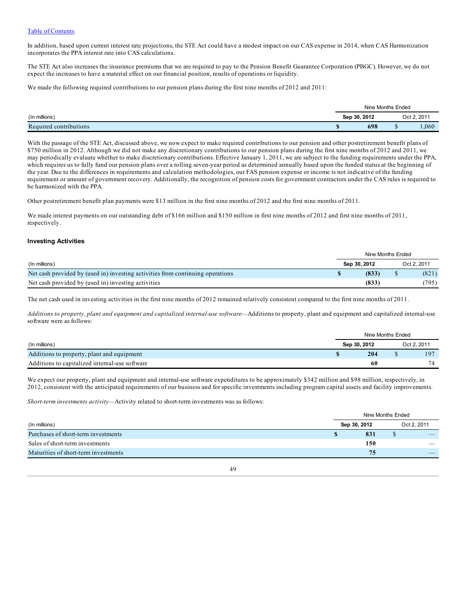In addition, based upon current interest rate projections, the STE Act could have a modest impact on our CAS expense in 2014, when CAS Harmonization incorporates the PPA interest rate into CAS calculations.

The STE Act also increases the insurance premiums that we are required to pay to the Pension Benefit Guarantee Corporation (PBGC). However, we do not expect the increases to have a material effect on our financial position, results of operations or liquidity.

We made the following required contributions to our pension plans during the first nine months of 2012 and 2011:

|                        | Nine Months Ended |              |             |       |
|------------------------|-------------------|--------------|-------------|-------|
| (In millions)          |                   | Sep 30, 2012 | Oct 2, 2011 |       |
| Required contributions |                   | 698          |             | 1,060 |

With the passage of the STE Act, discussed above, we now expect to make required contributions to our pension and other postretirement benefit plans of \$750 million in 2012. Although we did not make any discretionary contributions to our pension plans during the first nine months of 2012 and 2011, we may periodically evaluate whether to make discretionary contributions. Effective January 1, 2011, we are subject to the funding requirements under the PPA, which requires us to fully fund our pension plans over a rolling seven-year period as determined annually based upon the funded status at the beginning of the year. Due to the differences in requirements and calculation methodologies, our FAS pension expense or income is not indicative of the funding requirement or amount of government recovery. Additionally, the recognition of pension costs for government contractors under the CAS rules is required to be harmonized with the PPA.

Other postretirement benefit plan payments were \$13 million in the first nine months of 2012 and the first nine months of 2011.

We made interest payments on our outstanding debt of \$166 million and \$150 million in first nine months of 2012 and first nine months of 2011, respectively.

#### **Investing Activities**

|                                                                                | Nine Months Ended |              |  |       |  |  |  |
|--------------------------------------------------------------------------------|-------------------|--------------|--|-------|--|--|--|
| (In millions)                                                                  |                   | Sep 30, 2012 |  |       |  |  |  |
| Net cash provided by (used in) investing activities from continuing operations |                   | (833)        |  | (821) |  |  |  |
| Net cash provided by (used in) investing activities                            |                   | (833)        |  | (795) |  |  |  |

The net cash used in investing activities in the first nine months of 2012 remained relatively consistent compared to the first nine months of 2011.

*Additions to property, plant and equipment and capitalized internal-use software—*Additions to property, plant and equipment and capitalized internal-use software were as follows:

|                                                | Nine Months Ended |     |             |     |  |  |
|------------------------------------------------|-------------------|-----|-------------|-----|--|--|
| (In millions)                                  | Sep 30, 2012      |     | Oct 2, 2011 |     |  |  |
| Additions to property, plant and equipment     |                   | 204 |             | 197 |  |  |
| Additions to capitalized internal-use software |                   | -60 |             |     |  |  |

We expect our property, plant and equipment and internal-use software expenditures to be approximately \$342 million and \$98 million, respectively, in 2012, consistent with the anticipated requirements of our business and for specific investments including program capital assets and facility improvements.

*Short-term investments activity—*Activity related to short-term investments was as follows:

|                                      |              | Nine Months Ended |  |             |
|--------------------------------------|--------------|-------------------|--|-------------|
| (In millions)                        | Sep 30, 2012 |                   |  | Oct 2, 2011 |
| Purchases of short-term investments  |              | 831               |  |             |
| Sales of short-term investments      |              | 150               |  |             |
| Maturities of short-term investments |              | 75                |  |             |

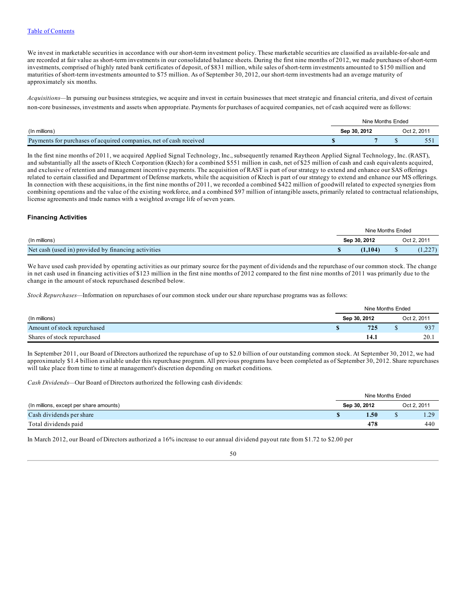We invest in marketable securities in accordance with our short-term investment policy. These marketable securities are classified as available-for-sale and are recorded at fair value as short-term investments in our consolidated balance sheets. During the first nine months of 2012, we made purchases of short-term investments, comprised of highly rated bank certificates of deposit, of \$831 million, while sales of short-term investments amounted to \$150 million and maturities of short-term investments amounted to \$75 million. As of September 30, 2012, our short-term investments had an average maturity of approximately six months.

*Acquisitions—*In pursuing our business strategies, we acquire and invest in certain businesses that meet strategic and financial criteria, and divest of certain non-core businesses, investments and assets when appropriate. Payments for purchases of acquired companies, net of cash acquired were as follows:

|                                                                    | Nine Months Ended |  |  |             |  |
|--------------------------------------------------------------------|-------------------|--|--|-------------|--|
| (In millions)                                                      | Sep 30, 2012      |  |  | Oct 2. 2011 |  |
| Payments for purchases of acquired companies, net of cash received |                   |  |  |             |  |

In the first nine months of 2011, we acquired Applied Signal Technology, Inc., subsequently renamed Raytheon Applied Signal Technology, Inc. (RAST), and substantially all the assets of Ktech Corporation (Ktech) for a combined \$551 million in cash, net of \$25 million of cash and cash equivalents acquired, and exclusive of retention and management incentive payments. The acquisition of RAST is part of our strategy to extend and enhance our SAS offerings related to certain classified and Department of Defense markets, while the acquisition of Ktech is part of our strategy to extend and enhance our MS offerings. In connection with these acquisitions, in the first nine months of 2011, we recorded a combined \$422 million of goodwill related to expected synergies from combining operations and the value of the existing workforce, and a combined \$97 million of intangible assets, primarily related to contractual relationships, license agreements and trade names with a weighted average life of seven years.

#### **Financing Activities**

|                                                     | Nine Months Ended |              |             |         |
|-----------------------------------------------------|-------------------|--------------|-------------|---------|
| (In millions)                                       |                   | Sep 30, 2012 | Oct 2, 2011 |         |
| Net cash (used in) provided by financing activities |                   | (1, 104)     |             | (1,227) |

We have used cash provided by operating activities as our primary source for the payment of dividends and the repurchase of our common stock. The change in net cash used in financing activities of \$123 million in the first nine months of 2012 compared to the first nine months of 2011 was primarily due to the change in the amount of stock repurchased described below.

*Stock Repurchases—*Information on repurchases of our common stock under our share repurchase programs was as follows:

|                             | Nine Months Ended |              |  |             |  |
|-----------------------------|-------------------|--------------|--|-------------|--|
| (In millions)               |                   | Sep 30, 2012 |  | Oct 2, 2011 |  |
| Amount of stock repurchased |                   | 725          |  | 937         |  |
| Shares of stock repurchased |                   | 14.1         |  | 20.1        |  |

In September 2011, our Board of Directors authorized the repurchase of up to \$2.0 billion of our outstanding common stock. At September 30, 2012, we had approximately \$1.4 billion available under this repurchase program. All previous programs have been completed as of September 30, 2012. Share repurchases will take place from time to time at management's discretion depending on market conditions.

*Cash Dividends—*Our Board of Directors authorized the following cash dividends:

|                                         | Nine Months Ended |      |             |               |  |  |
|-----------------------------------------|-------------------|------|-------------|---------------|--|--|
| (In millions, except per share amounts) | Sep 30, 2012      |      | Oct 2, 2011 |               |  |  |
| Cash dividends per share                |                   | 1.50 |             | 29<br>$\cdot$ |  |  |
| Total dividends paid                    |                   | 478  |             | 440           |  |  |

In March 2012, our Board of Directors authorized a 16% increase to our annual dividend payout rate from \$1.72 to \$2.00 per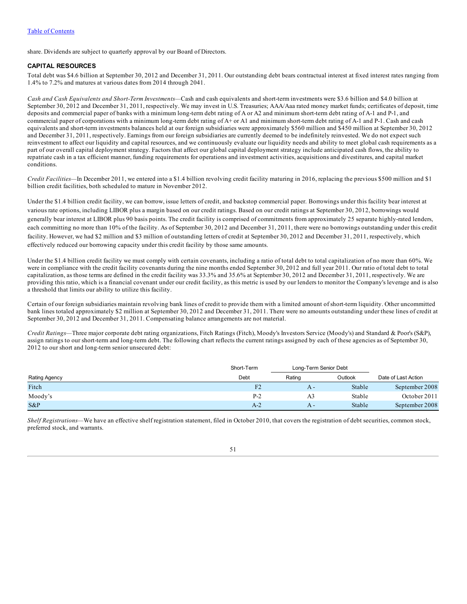share. Dividends are subject to quarterly approval by our Board of Directors.

#### **CAPITAL RESOURCES**

Total debt was \$4.6 billion at September 30, 2012 and December 31, 2011. Our outstanding debt bears contractual interest at fixed interest rates ranging from 1.4% to 7.2% and matures at various dates from 2014 through 2041.

*Cash and Cash Equivalents and Short-Term Investments—*Cash and cash equivalents and short-term investments were \$3.6 billion and \$4.0 billion at September 30, 2012 and December 31, 2011, respectively. We may invest in U.S. Treasuries; AAA/Aaa rated money market funds; certificates of deposit, time deposits and commercial paper of banks with a minimum long-term debt rating of A or A2 and minimum short-term debt rating of A-1 and P-1, and commercial paper of corporations with a minimum long-term debt rating of A+ or A1 and minimum short-term debt rating of A-1 and P-1. Cash and cash equivalents and short-term investments balances held at our foreign subsidiaries were approximately \$560 million and \$450 million at September 30, 2012 and December 31, 2011, respectively. Earnings from our foreign subsidiaries are currently deemed to be indefinitely reinvested. We do not expect such reinvestment to affect our liquidity and capital resources, and we continuously evaluate our liquidity needs and ability to meet global cash requirements as a part of our overall capital deployment strategy. Factors that affect our global capital deployment strategy include anticipated cash flows, the ability to repatriate cash in a tax efficient manner, funding requirements for operations and investment activities, acquisitions and divestitures, and capital market conditions.

*Credit Facilities—*In December 2011, we entered into a \$1.4 billion revolving credit facility maturing in 2016, replacing the previous \$500 million and \$1 billion credit facilities, both scheduled to mature in November 2012.

Under the \$1.4 billion credit facility, we can borrow, issue letters of credit, and backstop commercial paper. Borrowings under this facility bear interest at various rate options, including LIBOR plus a margin based on our credit ratings. Based on our credit ratings at September 30, 2012, borrowings would generally bear interest at LIBOR plus 90 basis points. The credit facility is comprised of commitments from approximately 25 separate highly-rated lenders, each committing no more than 10% of the facility. As of September 30, 2012 and December 31, 2011, there were no borrowings outstanding under this credit facility. However, we had \$2 million and \$3 million of outstanding letters of credit at September 30, 2012 and December 31, 2011, respectively, which effectively reduced our borrowing capacity under this credit facility by those same amounts.

Under the \$1.4 billion credit facility we must comply with certain covenants, including a ratio of total debt to total capitalization of no more than 60%. We were in compliance with the credit facility covenants during the nine months ended September 30, 2012 and full year 2011. Our ratio of total debt to total capitalization, as those terms are defined in the credit facility was 33.3% and 35.6% at September 30, 2012 and December 31, 2011, respectively. We are providing this ratio, which is a financial covenant under our credit facility, as this metric is used by our lenders to monitor the Company's leverage and is also a threshold that limits our ability to utilize this facility.

Certain of our foreign subsidiaries maintain revolving bank lines of credit to provide them with a limited amount of short-term liquidity. Other uncommitted bank lines totaled approximately \$2 million at September 30, 2012 and December 31, 2011. There were no amounts outstanding under these lines of credit at September 30, 2012 and December 31, 2011. Compensating balance arrangements are not material.

*Credit Ratings—*Three major corporate debt rating organizations, Fitch Ratings (Fitch), Moody's Investors Service (Moody's) and Standard & Poor's (S&P), assign ratings to our short-term and long-term debt. The following chart reflects the current ratings assigned by each of these agencies as of September 30, 2012 to our short and long-term senior unsecured debt:

|               | Short-Term     | Long-Term Senior Debt |         |                     |
|---------------|----------------|-----------------------|---------|---------------------|
| Rating Agency | Debt           | Rating                | Outlook | Date of Last Action |
| Fitch         | F <sub>2</sub> | $A -$                 | Stable  | September 2008      |
| Moody's       | $P-2$          | A3                    | Stable  | October 2011        |
| $S\&P$        | $A-2$          | $A -$                 | Stable  | September 2008      |

*Shelf Registrations—*We have an effective shelf registration statement, filed in October 2010, that covers the registration of debt securities, common stock, preferred stock, and warrants.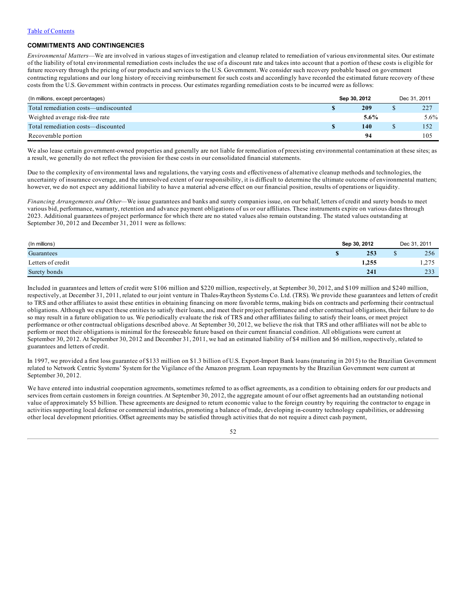#### **COMMITMENTS AND CONTINGENCIES**

*Environmental Matters*—We are involved in various stages of investigation and cleanup related to remediation of various environmental sites. Our estimate of the liability of total environmental remediation costs includes the use of a discount rate and takes into account that a portion of these costs is eligible for future recovery through the pricing of our products and services to the U.S. Government. We consider such recovery probable based on government contracting regulations and our long history of receiving reimbursement for such costs and accordingly have recorded the estimated future recovery of these costs from the U.S. Government within contracts in process. Our estimates regarding remediation costs to be incurred were as follows:

| (In millions, except percentages)    | Sep 30, 2012 | Dec 31, 2011 |         |  |
|--------------------------------------|--------------|--------------|---------|--|
| Total remediation costs—undiscounted | 209          |              | 227     |  |
| Weighted average risk-free rate      | $5.6\%$      |              | $5.6\%$ |  |
| Total remediation costs—discounted   | 140          |              | 152     |  |
| Recoverable portion                  | 94           |              | 105     |  |

We also lease certain government-owned properties and generally are not liable for remediation of preexisting environmental contamination at these sites; as a result, we generally do not reflect the provision for these costs in our consolidated financial statements.

Due to the complexity of environmental laws and regulations, the varying costs and effectiveness of alternative cleanup methods and technologies, the uncertainty of insurance coverage, and the unresolved extent of our responsibility, it is difficult to determine the ultimate outcome of environmental matters; however, we do not expect any additional liability to have a material adverse effect on our financial position, results of operations or liquidity.

*Financing Arrangements and Other—*We issue guarantees and banks and surety companies issue, on our behalf, letters of credit and surety bonds to meet various bid, performance, warranty, retention and advance payment obligations of us or our affiliates. These instruments expire on various dates through 2023. Additional guarantees of project performance for which there are no stated values also remain outstanding. The stated values outstanding at September 30, 2012 and December 31, 2011 were as follows:

| (In millions)     | Sep 30, 2012 | Dec 31, 2011 |  |       |
|-------------------|--------------|--------------|--|-------|
| Guarantees        |              | 253          |  | 256   |
| Letters of credit |              | 1,255        |  | 1,275 |
| Surety bonds      |              | 241          |  | 233   |

Included in guarantees and letters of credit were \$106 million and \$220 million, respectively, at September 30, 2012, and \$109 million and \$240 million, respectively, at December 31, 2011, related to our joint venture in Thales-Raytheon Systems Co. Ltd. (TRS). We provide these guarantees and letters of credit to TRS and other affiliates to assist these entities in obtaining financing on more favorable terms, making bids on contracts and performing their contractual obligations. Although we expect these entities to satisfy their loans, and meet their project performance and other contractual obligations, their failure to do so may result in a future obligation to us. We periodically evaluate the risk of TRS and other affiliates failing to satisfy their loans, or meet project performance or other contractual obligations described above. At September 30, 2012, we believe the risk that TRS and other affiliates will not be able to perform or meet their obligations is minimal for the foreseeable future based on their current financial condition. All obligations were current at September 30, 2012. At September 30, 2012 and December 31, 2011, we had an estimated liability of \$4 million and \$6 million, respectively, related to guarantees and letters of credit.

In 1997, we provided a first loss guarantee of \$133 million on \$1.3 billion of U.S. Export-Import Bank loans (maturing in 2015) to the Brazilian Government related to Network Centric Systems' System for the Vigilance of the Amazon program. Loan repayments by the Brazilian Government were current at September 30, 2012.

We have entered into industrial cooperation agreements, sometimes referred to as offset agreements, as a condition to obtaining orders for our products and services from certain customers in foreign countries. At September 30, 2012, the aggregate amount of our offset agreements had an outstanding notional value of approximately \$5 billion. These agreements are designed to return economic value to the foreign country by requiring the contractor to engage in activities supporting local defense or commercial industries, promoting a balance of trade, developing in-country technology capabilities, or addressing other local development priorities. Offset agreements may be satisfied through activities that do not require a direct cash payment,

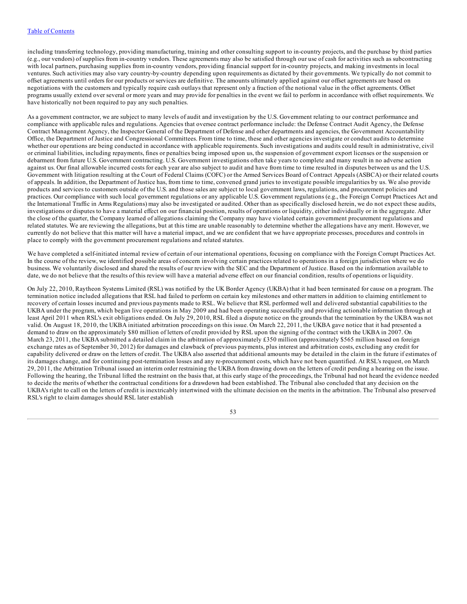including transferring technology, providing manufacturing, training and other consulting support to in-country projects, and the purchase by third parties (e.g., our vendors) of supplies from in-country vendors. These agreements may also be satisfied through our use of cash for activities such as subcontracting with local partners, purchasing supplies from in-country vendors, providing financial support for in-country projects, and making investments in local ventures. Such activities may also vary country-by-country depending upon requirements as dictated by their governments. We typically do not commit to offset agreements until orders for our products or services are definitive. The amounts ultimately applied against our offset agreements are based on negotiations with the customers and typically require cash outlays that represent only a fraction of the notional value in the offset agreements. Offset programs usually extend over several or more years and may provide for penalties in the event we fail to perform in accordance with offset requirements. We have historically not been required to pay any such penalties.

As a government contractor, we are subject to many levels of audit and investigation by the U.S. Government relating to our contract performance and compliance with applicable rules and regulations. Agencies that oversee contract performance include: the Defense Contract Audit Agency, the Defense Contract Management Agency, the Inspector General of the Department of Defense and other departments and agencies, the Government Accountability Office, the Department of Justice and Congressional Committees. From time to time, these and other agencies investigate or conduct audits to determine whether our operations are being conducted in accordance with applicable requirements. Such investigations and audits could result in administrative, civil or criminal liabilities, including repayments, fines or penalties being imposed upon us, the suspension of government export licenses or the suspension or debarment from future U.S. Government contracting. U.S. Government investigations often take years to complete and many result in no adverse action against us. Our final allowable incurred costs for each year are also subject to audit and have from time to time resulted in disputes between us and the U.S. Government with litigation resulting at the Court of Federal Claims (COFC) or the Armed Services Board of Contract Appeals (ASBCA) or their related courts of appeals. In addition, the Department of Justice has, from time to time, convened grand juries to investigate possible irregularities by us. We also provide products and services to customers outside of the U.S. and those sales are subject to local government laws, regulations, and procurement policies and practices. Our compliance with such local government regulations or any applicable U.S. Government regulations (e.g., the Foreign Corrupt Practices Act and the International Traffic in Arms Regulations) may also be investigated or audited. Other than as specifically disclosed herein, we do not expect these audits, investigations or disputes to have a material effect on our financial position, results of operations or liquidity, either individually or in the aggregate. After the close of the quarter, the Company learned of allegations claiming the Company may have violated certain government procurement regulations and related statutes. We are reviewing the allegations, but at this time are unable reasonably to determine whether the allegations have any merit. However, we currently do not believe that this matter will have a material impact, and we are confident that we have appropriate processes, procedures and controls in place to comply with the government procurement regulations and related statutes.

We have completed a self-initiated internal review of certain of our international operations, focusing on compliance with the Foreign Corrupt Practices Act. In the course of the review, we identified possible areas of concern involving certain practices related to operations in a foreign jurisdiction where we do business. We voluntarily disclosed and shared the results of our review with the SEC and the Department of Justice. Based on the information available to date, we do not believe that the results of this review will have a material adverse effect on our financial condition, results of operations or liquidity.

On July 22, 2010, Raytheon Systems Limited (RSL) was notified by the UK Border Agency (UKBA) that it had been terminated for cause on a program. The termination notice included allegations that RSL had failed to perform on certain key milestones and other matters in addition to claiming entitlement to recovery of certain losses incurred and previous payments made to RSL. We believe that RSL performed well and delivered substantial capabilities to the UKBA under the program, which began live operations in May 2009 and had been operating successfully and providing actionable information through at least April 2011 when RSL's exit obligations ended. On July 29, 2010, RSL filed a dispute notice on the grounds that the termination by the UKBA was not valid. On August 18, 2010, the UKBA initiated arbitration proceedings on this issue. On March 22, 2011, the UKBA gave notice that it had presented a demand to draw on the approximately \$80 million of letters of credit provided by RSL upon the signing of the contract with the UKBA in 2007. On March 23, 2011, the UKBA submitted a detailed claim in the arbitration of approximately £350 million (approximately \$565 million based on foreign exchange rates as of September 30, 2012) for damages and clawback of previous payments, plus interest and arbitration costs, excluding any credit for capability delivered or draw on the letters of credit. The UKBA also asserted that additional amounts may be detailed in the claim in the future if estimates of its damages change, and for continuing post-termination losses and any re-procurement costs, which have not been quantified. At RSL's request, on March 29, 2011, the Arbitration Tribunal issued an interim order restraining the UKBA from drawing down on the letters of credit pending a hearing on the issue. Following the hearing, the Tribunal lifted the restraint on the basis that, at this early stage of the proceedings, the Tribunal had not heard the evidence needed to decide the merits of whether the contractual conditions for a drawdown had been established. The Tribunal also concluded that any decision on the UKBA's right to call on the letters of credit is inextricably intertwined with the ultimate decision on the merits in the arbitration. The Tribunal also preserved RSL's right to claim damages should RSL later establish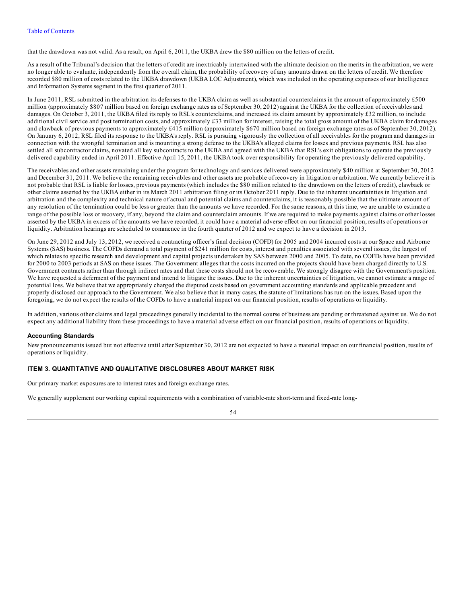<span id="page-53-0"></span>that the drawdown was not valid. As a result, on April 6, 2011, the UKBA drew the \$80 million on the letters of credit.

As a result of the Tribunal's decision that the letters of credit are inextricably intertwined with the ultimate decision on the merits in the arbitration, we were no longer able to evaluate, independently from the overall claim, the probability of recovery of any amounts drawn on the letters of credit. We therefore recorded \$80 million of costs related to the UKBA drawdown (UKBA LOC Adjustment), which was included in the operating expenses of our Intelligence and Information Systems segment in the first quarter of 2011.

In June 2011, RSL submitted in the arbitration its defenses to the UKBA claim as well as substantial counterclaims in the amount of approximately £500 million (approximately \$807 million based on foreign exchange rates as of September 30, 2012) against the UKBA for the collection of receivables and damages. On October 3, 2011, the UKBA filed its reply to RSL's counterclaims, and increased its claim amount by approximately £32 million, to include additional civil service and post termination costs, and approximately £33 million for interest, raising the total gross amount of the UKBA claim for damages and clawback of previous payments to approximately £415 million (approximately \$670 million based on foreign exchange rates as of September 30, 2012). On January 6, 2012, RSL filed its response to the UKBA's reply. RSL is pursuing vigorously the collection of all receivables for the program and damages in connection with the wrongful termination and is mounting a strong defense to the UKBA's alleged claims for losses and previous payments. RSL has also settled all subcontractor claims, novated all key subcontracts to the UKBA and agreed with the UKBA that RSL's exit obligations to operate the previously delivered capability ended in April 2011. Effective April 15, 2011, the UKBA took over responsibility for operating the previously delivered capability.

The receivables and other assets remaining under the program for technology and services delivered were approximately \$40 million at September 30, 2012 and December 31, 2011. We believe the remaining receivables and other assets are probable of recovery in litigation or arbitration. We currently believe it is not probable that RSL is liable for losses, previous payments (which includes the \$80 million related to the drawdown on the letters of credit), clawback or other claims asserted by the UKBA either in its March 2011 arbitration filing or its October 2011 reply. Due to the inherent uncertainties in litigation and arbitration and the complexity and technical nature of actual and potential claims and counterclaims, it is reasonably possible that the ultimate amount of any resolution of the termination could be less or greater than the amounts we have recorded. For the same reasons, at this time, we are unable to estimate a range of the possible loss or recovery, if any, beyond the claim and counterclaim amounts. If we are required to make payments against claims or other losses asserted by the UKBA in excess of the amounts we have recorded, it could have a material adverse effect on our financial position, results of operations or liquidity. Arbitration hearings are scheduled to commence in the fourth quarter of 2012 and we expect to have a decision in 2013.

On June 29, 2012 and July 13, 2012, we received a contracting officer's final decision (COFD) for 2005 and 2004 incurred costs at our Space and Airborne Systems (SAS) business. The COFDs demand a total payment of \$241 million for costs, interest and penalties associated with several issues, the largest of which relates to specific research and development and capital projects undertaken by SAS between 2000 and 2005. To date, no COFDs have been provided for 2000 to 2003 periods at SAS on these issues. The Government alleges that the costs incurred on the projects should have been charged directly to U.S. Government contracts rather than through indirect rates and that these costs should not be recoverable. We strongly disagree with the Government's position. We have requested a deferment of the payment and intend to litigate the issues. Due to the inherent uncertainties of litigation, we cannot estimate a range of potential loss. We believe that we appropriately charged the disputed costs based on government accounting standards and applicable precedent and properly disclosed our approach to the Government. We also believe that in many cases, the statute of limitations has run on the issues. Based upon the foregoing, we do not expect the results of the COFDs to have a material impact on our financial position, results of operations or liquidity.

In addition, various other claims and legal proceedings generally incidental to the normal course of business are pending or threatened against us. We do not expect any additional liability from these proceedings to have a material adverse effect on our financial position, results of operations or liquidity.

#### **Accounting Standards**

New pronouncements issued but not effective until after September 30, 2012 are not expected to have a material impact on our financial position, results of operations or liquidity.

#### **ITEM 3. QUANTITATIVE AND QUALITATIVE DISCLOSURES ABOUT MARKET RISK**

Our primary market exposures are to interest rates and foreign exchange rates.

We generally supplement our working capital requirements with a combination of variable-rate short-term and fixed-rate long-

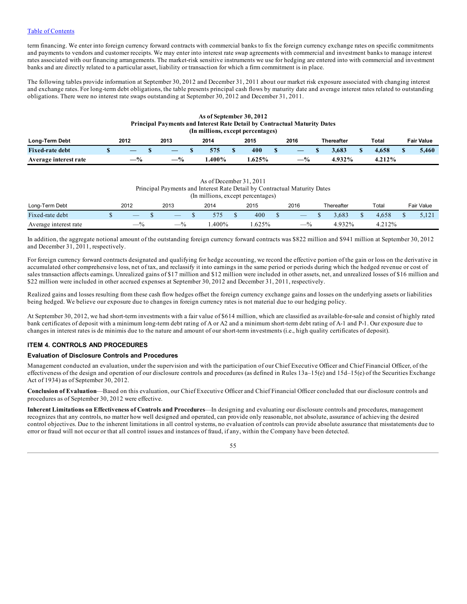<span id="page-54-0"></span>term financing. We enter into foreign currency forward contracts with commercial banks to fix the foreign currency exchange rates on specific commitments and payments to vendors and customer receipts. We may enter into interest rate swap agreements with commercial and investment banks to manage interest rates associated with our financing arrangements. The market-risk sensitive instruments we use for hedging are entered into with commercial and investment banks and are directly related to a particular asset, liability or transaction for which a firm commitment is in place.

The following tables provide information at September 30, 2012 and December 31, 2011 about our market risk exposure associated with changing interest and exchange rates. For long-term debt obligations, the table presents principal cash flows by maturity date and average interest rates related to outstanding obligations. There were no interest rate swaps outstanding at September 30, 2012 and December 31, 2011.

#### **As of September 30, 2012 Principal Payments and Interest Rate Detail by Contractual Maturity Dates (In millions, except percentages)**

| Long-Term Debt         | 2012   | 2013          | 2014  | 2015     | 2016  | Thereafter | $\tau$ otal | <b>Fair Value</b> |
|------------------------|--------|---------------|-------|----------|-------|------------|-------------|-------------------|
| <b>Fixed-rate debt</b> |        |               | 575   | 400      | $-$   | 3.683      | 4.658       | 5.460             |
| Average interest rate  | $-7$ 0 | $\frac{9}{6}$ | .400% | $.625\%$ | $-$ % | 1.932%     | 4.212%      |                   |

| As of December 31, 2011<br>Principal Payments and Interest Rate Detail by Contractual Maturity Dates<br>(In millions, except percentages) |  |       |  |       |  |          |       |       |            |        |            |
|-------------------------------------------------------------------------------------------------------------------------------------------|--|-------|--|-------|--|----------|-------|-------|------------|--------|------------|
| Long-Term Debt                                                                                                                            |  | 2012  |  | 2013  |  | 2014     | 2015  | 2016  | Thereafter | Total  | Fair Value |
| Fixed-rate debt                                                                                                                           |  |       |  |       |  | 575      | 400   |       | 3.683      | 4.658  | 5,121      |
| Average interest rate                                                                                                                     |  | $-$ % |  | $-$ % |  | $.400\%$ | .625% | $-$ % | 4.932%     | 4.212% |            |

In addition, the aggregate notional amount of the outstanding foreign currency forward contracts was \$822 million and \$941 million at September 30, 2012 and December 31, 2011, respectively.

For foreign currency forward contracts designated and qualifying for hedge accounting, we record the effective portion of the gain or loss on the derivative in accumulated other comprehensive loss, net of tax, and reclassify it into earnings in the same period or periods during which the hedged revenue or cost of sales transaction affects earnings. Unrealized gains of \$17 million and \$12 million were included in other assets, net, and unrealized losses of \$16 million and \$22 million were included in other accrued expenses at September 30, 2012 and December 31, 2011, respectively.

Realized gains and losses resulting from these cash flow hedges offset the foreign currency exchange gains and losses on the underlying assets or liabilities being hedged. We believe our exposure due to changes in foreign currency rates is not material due to our hedging policy.

At September 30, 2012, we had short-term investments with a fair value of \$614 million, which are classified as available-for-sale and consist of highly rated bank certificates of deposit with a minimum long-term debt rating of A or A2 and a minimum short-term debt rating of A-1 and P-1. Our exposure due to changes in interest rates is de minimis due to the nature and amount of our short-term investments (i.e., high quality certificates of deposit).

#### **ITEM 4. CONTROLS AND PROCEDURES**

#### **Evaluation of Disclosure Controls and Procedures**

Management conducted an evaluation, under the supervision and with the participation of our Chief Executive Officer and Chief Financial Officer, of the effectiveness of the design and operation of our disclosure controls and procedures (as defined in Rules 13a–15(e) and 15d–15(e) of the Securities Exchange Act of 1934) as of September 30, 2012.

**Conclusion of Evaluation**—Based on this evaluation, our Chief Executive Officer and Chief Financial Officer concluded that our disclosure controls and procedures as of September 30, 2012 were effective.

**Inherent Limitations on Effectiveness of Controls and Procedures**—In designing and evaluating our disclosure controls and procedures, management recognizes that any controls, no matter how well designed and operated, can provide only reasonable, not absolute, assurance of achieving the desired control objectives. Due to the inherent limitations in all control systems, no evaluation of controls can provide absolute assurance that misstatements due to error or fraud will not occur or that all control issues and instances of fraud, if any, within the Company have been detected.

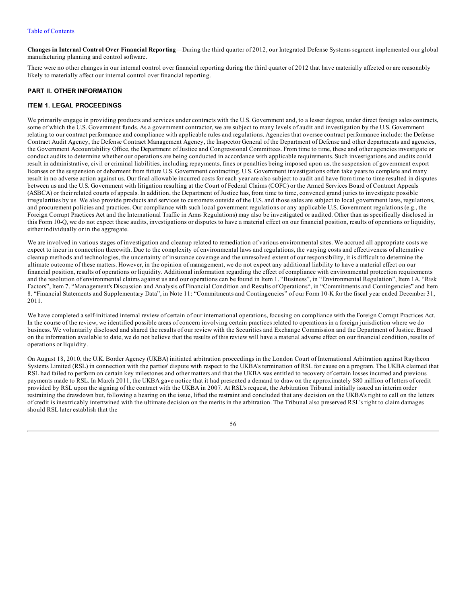<span id="page-55-0"></span>**Changes in Internal Control Over Financial Reporting**—During the third quarter of 2012, our Integrated Defense Systems segment implemented our global manufacturing planning and control software.

There were no other changes in our internal control over financial reporting during the third quarter of 2012 that have materially affected or are reasonably likely to materially affect our internal control over financial reporting.

#### **PART II. OTHER INFORMATION**

#### **ITEM 1. LEGAL PROCEEDINGS**

We primarily engage in providing products and services under contracts with the U.S. Government and, to a lesser degree, under direct foreign sales contracts, some of which the U.S. Government funds. As a government contractor, we are subject to many levels of audit and investigation by the U.S. Government relating to our contract performance and compliance with applicable rules and regulations. Agencies that oversee contract performance include: the Defense Contract Audit Agency, the Defense Contract Management Agency, the Inspector General of the Department of Defense and other departments and agencies, the Government Accountability Office, the Department of Justice and Congressional Committees. From time to time, these and other agencies investigate or conduct audits to determine whether our operations are being conducted in accordance with applicable requirements. Such investigations and audits could result in administrative, civil or criminal liabilities, including repayments, fines or penalties being imposed upon us, the suspension of government export licenses or the suspension or debarment from future U.S. Government contracting. U.S. Government investigations often take years to complete and many result in no adverse action against us. Our final allowable incurred costs for each year are also subject to audit and have from time to time resulted in disputes between us and the U.S. Government with litigation resulting at the Court of Federal Claims (COFC) or the Armed Services Board of Contract Appeals (ASBCA) or their related courts of appeals. In addition, the Department of Justice has, from time to time, convened grand juries to investigate possible irregularities by us. We also provide products and services to customers outside of the U.S. and those sales are subject to local government laws, regulations, and procurement policies and practices. Our compliance with such local government regulations or any applicable U.S. Government regulations (e.g., the Foreign Corrupt Practices Act and the International Traffic in Arms Regulations) may also be investigated or audited. Other than as specifically disclosed in this Form 10-Q, we do not expect these audits, investigations or disputes to have a material effect on our financial position, results of operations or liquidity, either individually or in the aggregate.

We are involved in various stages of investigation and cleanup related to remediation of various environmental sites. We accrued all appropriate costs we expect to incur in connection therewith. Due to the complexity of environmental laws and regulations, the varying costs and effectiveness of alternative cleanup methods and technologies, the uncertainty of insurance coverage and the unresolved extent of our responsibility, it is difficult to determine the ultimate outcome of these matters. However, in the opinion of management, we do not expect any additional liability to have a material effect on our financial position, results of operations or liquidity. Additional information regarding the effect of compliance with environmental protection requirements and the resolution of environmental claims against us and our operations can be found in Item 1. "Business", in "Environmental Regulation", Item 1A. "Risk Factors", Item 7. "Management's Discussion and Analysis of Financial Condition and Results of Operations", in "Commitments and Contingencies" and Item 8. "Financial Statements and Supplementary Data", in Note 11: "Commitments and Contingencies" of our Form 10-K for the fiscal year ended December 31, 2011.

We have completed a self-initiated internal review of certain of our international operations, focusing on compliance with the Foreign Corrupt Practices Act. In the course of the review, we identified possible areas of concern involving certain practices related to operations in a foreign jurisdiction where we do business. We voluntarily disclosed and shared the results of our review with the Securities and Exchange Commission and the Department of Justice. Based on the information available to date, we do not believe that the results of this review will have a material adverse effect on our financial condition, results of operations or liquidity.

On August 18, 2010, the U.K. Border Agency (UKBA) initiated arbitration proceedings in the London Court of International Arbitration against Raytheon Systems Limited (RSL) in connection with the parties' dispute with respect to the UKBA's termination of RSL for cause on a program. The UKBA claimed that RSL had failed to perform on certain key milestones and other matters and that the UKBA was entitled to recovery of certain losses incurred and previous payments made to RSL. In March 2011, the UKBA gave notice that it had presented a demand to draw on the approximately \$80 million of letters of credit provided by RSL upon the signing of the contract with the UKBA in 2007. At RSL's request, the Arbitration Tribunal initially issued an interim order restraining the drawdown but, following a hearing on the issue, lifted the restraint and concluded that any decision on the UKBA's right to call on the letters of credit is inextricably intertwined with the ultimate decision on the merits in the arbitration. The Tribunal also preserved RSL's right to claim damages should RSL later establish that the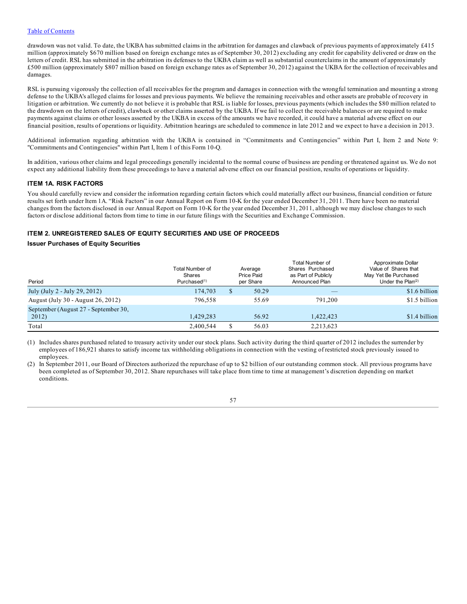<span id="page-56-0"></span>drawdown was not valid. To date, the UKBA has submitted claims in the arbitration for damages and clawback of previous payments of approximately £415 million (approximately \$670 million based on foreign exchange rates as of September 30, 2012) excluding any credit for capability delivered or draw on the letters of credit. RSL has submitted in the arbitration its defenses to the UKBA claim as well as substantial counterclaims in the amount of approximately £500 million (approximately \$807 million based on foreign exchange rates as of September 30, 2012) against the UKBA for the collection of receivables and damages.

RSL is pursuing vigorously the collection of all receivables for the program and damages in connection with the wrongful termination and mounting a strong defense to the UKBA's alleged claims for losses and previous payments. We believe the remaining receivables and other assets are probable of recovery in litigation or arbitration. We currently do not believe it is probable that RSL is liable for losses, previous payments (which includes the \$80 million related to the drawdown on the letters of credit), clawback or other claims asserted by the UKBA. If we fail to collect the receivable balances or are required to make payments against claims or other losses asserted by the UKBA in excess of the amounts we have recorded, it could have a material adverse effect on our financial position, results of operations or liquidity. Arbitration hearings are scheduled to commence in late 2012 and we expect to have a decision in 2013.

Additional information regarding arbitration with the UKBA is contained in "Commitments and Contingencies" within Part I, Item 2 and Note 9: "Commitments and Contingencies" within Part I, Item 1 of this Form 10-Q.

In addition, various other claims and legal proceedings generally incidental to the normal course of business are pending or threatened against us. We do not expect any additional liability from these proceedings to have a material adverse effect on our financial position, results of operations or liquidity.

#### **ITEM 1A. RISK FACTORS**

You should carefully review and consider the information regarding certain factors which could materially affect our business, financial condition or future results set forth under Item 1A. "Risk Factors" in our Annual Report on Form 10-K for the year ended December 31, 2011. There have been no material changes from the factors disclosed in our Annual Report on Form 10-K for the year ended December 31, 2011, although we may disclose changes to such factors or disclose additional factors from time to time in our future filings with the Securities and Exchange Commission.

#### **ITEM 2. UNREGISTERED SALES OF EQUITY SECURITIES AND USE OF PROCEEDS**

#### **Issuer Purchases of Equity Securities**

| Period                                        | Total Number of<br><b>Shares</b><br>Purchased <sup>(1)</sup> |   | Average<br>Price Paid<br>per Share | Total Number of<br>Shares Purchased<br>as Part of Publicly<br>Announced Plan | Approximate Dollar<br>Value of Shares that<br>May Yet Be Purchased<br>Under the $Plan^{(2)}$ |
|-----------------------------------------------|--------------------------------------------------------------|---|------------------------------------|------------------------------------------------------------------------------|----------------------------------------------------------------------------------------------|
| July (July 2 - July 29, 2012)                 | 174,703                                                      | ъ | 50.29                              |                                                                              | \$1.6 billion                                                                                |
| August (July 30 - August 26, 2012)            | 796.558                                                      |   | 55.69                              | 791.200                                                                      | \$1.5 billion                                                                                |
| September (August 27 - September 30,<br>2012) | 1.429.283                                                    |   | 56.92                              | 1.422.423                                                                    | \$1.4 billion                                                                                |
| Total                                         | 2,400,544                                                    |   | 56.03                              | 2,213,623                                                                    |                                                                                              |

(1) Includes shares purchased related to treasury activity under our stock plans. Such activity during the third quarter of 2012 includes the surrender by employees of 186,921 shares to satisfy income tax withholding obligations in connection with the vesting of restricted stock previously issued to employees.

(2) In September 2011, our Board of Directors authorized the repurchase of up to \$2 billion of our outstanding common stock. All previous programs have been completed as of September 30, 2012. Share repurchases will take place from time to time at management's discretion depending on market conditions.

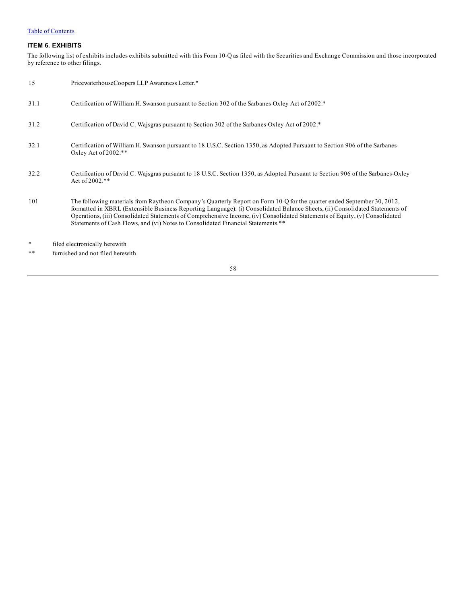# **ITEM 6. EXHIBITS**

The following list of exhibits includes exhibits submitted with this Form 10-Q as filed with the Securities and Exchange Commission and those incorporated by reference to other filings.

| 15   | PricewaterhouseCoopers LLP Awareness Letter.*                                                                                                                                                                                                                                                                                                                                                                                                                              |
|------|----------------------------------------------------------------------------------------------------------------------------------------------------------------------------------------------------------------------------------------------------------------------------------------------------------------------------------------------------------------------------------------------------------------------------------------------------------------------------|
| 31.1 | Certification of William H. Swanson pursuant to Section 302 of the Sarbanes-Oxley Act of 2002.*                                                                                                                                                                                                                                                                                                                                                                            |
| 31.2 | Certification of David C. Wajsgras pursuant to Section 302 of the Sarbanes-Oxley Act of 2002.*                                                                                                                                                                                                                                                                                                                                                                             |
| 32.1 | Certification of William H. Swanson pursuant to 18 U.S.C. Section 1350, as Adopted Pursuant to Section 906 of the Sarbanes-<br>Oxley Act of 2002.**                                                                                                                                                                                                                                                                                                                        |
| 32.2 | Certification of David C. Wajsgras pursuant to 18 U.S.C. Section 1350, as Adopted Pursuant to Section 906 of the Sarbanes-Oxley<br>Act of 2002.**                                                                                                                                                                                                                                                                                                                          |
| 101  | The following materials from Raytheon Company's Quarterly Report on Form 10-Q for the quarter ended September 30, 2012,<br>formatted in XBRL (Extensible Business Reporting Language): (i) Consolidated Balance Sheets, (ii) Consolidated Statements of<br>Operations, (iii) Consolidated Statements of Comprehensive Income, (iv) Consolidated Statements of Equity, (v) Consolidated<br>Statements of Cash Flows, and (vi) Notes to Consolidated Financial Statements.** |

\* filed electronically herewith

\*\* furnished and not filed herewith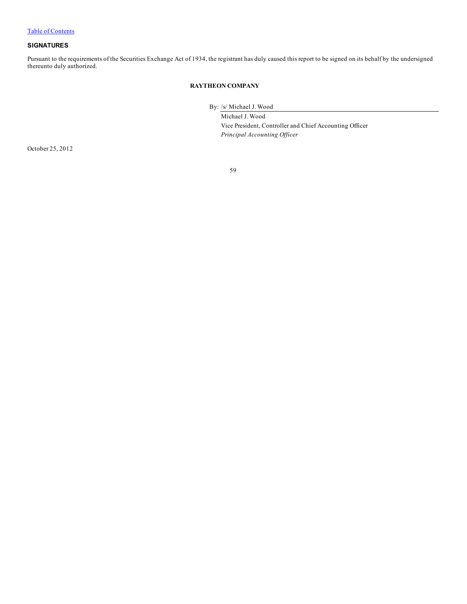#### <span id="page-58-0"></span>**SIGNATURES**

Pursuant to the requirements of the Securities Exchange Act of 1934, the registrant has duly caused this report to be signed on its behalf by the undersigned thereunto duly authorized.

# **RAYTHEON COMPANY**

By: /s/ Michael J. Wood

Michael J. Wood Vice President, Controller and Chief Accounting Officer *Principal Accounting Of icer*

October 25, 2012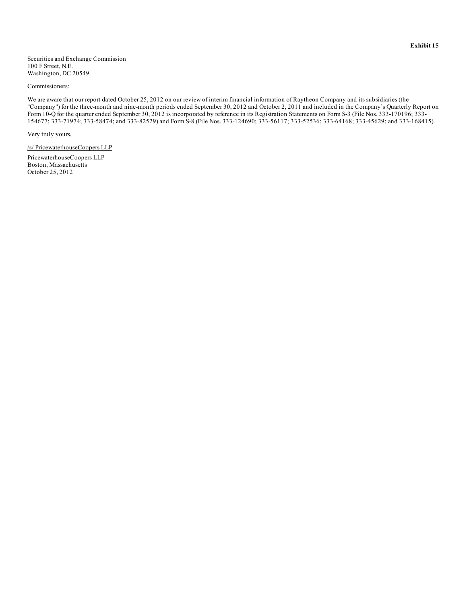Securities and Exchange Commission 100 F Street, N.E. Washington, DC 20549

#### Commissioners:

We are aware that our report dated October 25, 2012 on our review of interim financial information of Raytheon Company and its subsidiaries (the "Company") for the three-month and nine-month periods ended September 30, 2012 and October 2, 2011 and included in the Company's Quarterly Report on Form 10-Q for the quarter ended September 30, 2012 is incorporated by reference in its Registration Statements on Form S-3 (File Nos. 333-170196; 333-154677; 333-71974; 333-58474; and 333-82529) and Form S-8 (File Nos. 333-124690; 333-56117; 333-52536; 333-64168; 333-45629; and 333-168415).

Very truly yours,

/s/ PricewaterhouseCoopers LLP

PricewaterhouseCoopers LLP Boston, Massachusetts October 25, 2012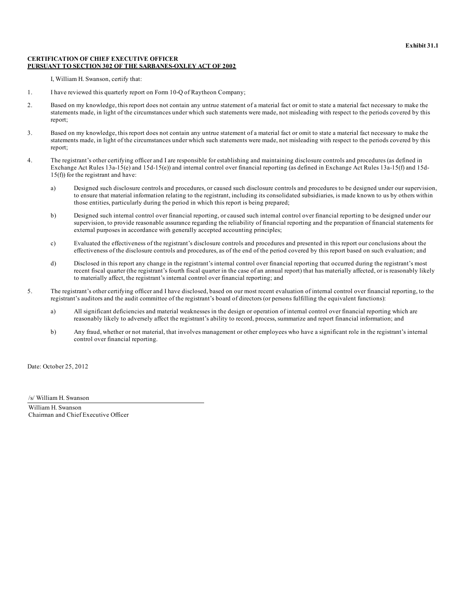#### **CERTIFICATION OF CHIEF EXECUTIVE OFFICER PURSUANT TO SECTION 302 OF THE SARBANES-OXLEY ACT OF 2002**

I, William H. Swanson, certify that:

- 1. I have reviewed this quarterly report on Form 10-Q of Raytheon Company;
- 2. Based on my knowledge, this report does not contain any untrue statement of a material fact or omit to state a material fact necessary to make the statements made, in light of the circumstances under which such statements were made, not misleading with respect to the periods covered by this report;
- 3. Based on my knowledge, this report does not contain any untrue statement of a material fact or omit to state a material fact necessary to make the statements made, in light of the circumstances under which such statements were made, not misleading with respect to the periods covered by this report;
- 4. The registrant's other certifying officer and I are responsible for establishing and maintaining disclosure controls and procedures (as defined in Exchange Act Rules 13a-15(e) and 15d-15(e)) and internal control over financial reporting (as defined in Exchange Act Rules 13a-15(f) and 15d-15(f)) for the registrant and have:
	- a) Designed such disclosure controls and procedures, or caused such disclosure controls and procedures to be designed under our supervision, to ensure that material information relating to the registrant, including its consolidated subsidiaries, is made known to us by others within those entities, particularly during the period in which this report is being prepared;
	- b) Designed such internal control over financial reporting, or caused such internal control over financial reporting to be designed under our supervision, to provide reasonable assurance regarding the reliability of financial reporting and the preparation of financial statements for external purposes in accordance with generally accepted accounting principles;
	- c) Evaluated the effectiveness of the registrant's disclosure controls and procedures and presented in this report our conclusions about the effectiveness of the disclosure controls and procedures, as of the end of the period covered by this report based on such evaluation; and
	- d) Disclosed in this report any change in the registrant's internal control over financial reporting that occurred during the registrant's most recent fiscal quarter (the registrant's fourth fiscal quarter in the case of an annual report) that has materially affected, or is reasonably likely to materially affect, the registrant's internal control over financial reporting; and
- 5. The registrant's other certifying officer and I have disclosed, based on our most recent evaluation of internal control over financial reporting, to the registrant's auditors and the audit committee of the registrant's board of directors (or persons fulfilling the equivalent functions):
	- a) All significant deficiencies and material weaknesses in the design or operation of internal control over financial reporting which are reasonably likely to adversely affect the registrant's ability to record, process, summarize and report financial information; and
	- b) Any fraud, whether or not material, that involves management or other employees who have a significant role in the registrant's internal control over financial reporting.

Date: October 25, 2012

/s/ William H. Swanson

William H. Swanson Chairman and Chief Executive Officer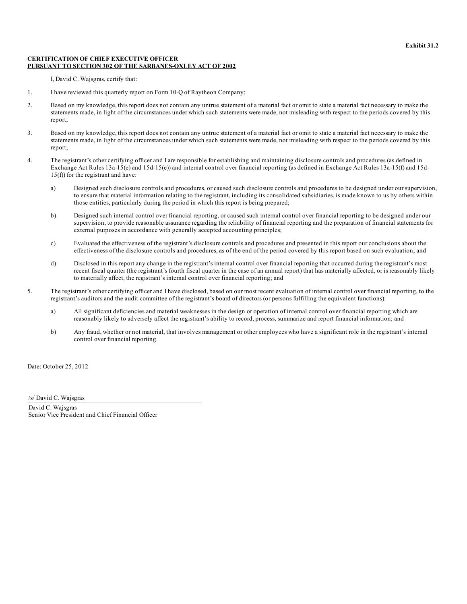#### **CERTIFICATION OF CHIEF EXECUTIVE OFFICER PURSUANT TO SECTION 302 OF THE SARBANES-OXLEY ACT OF 2002**

I, David C. Wajsgras, certify that:

- 1. I have reviewed this quarterly report on Form 10-Q of Raytheon Company;
- 2. Based on my knowledge, this report does not contain any untrue statement of a material fact or omit to state a material fact necessary to make the statements made, in light of the circumstances under which such statements were made, not misleading with respect to the periods covered by this report;
- 3. Based on my knowledge, this report does not contain any untrue statement of a material fact or omit to state a material fact necessary to make the statements made, in light of the circumstances under which such statements were made, not misleading with respect to the periods covered by this report;
- 4. The registrant's other certifying officer and I are responsible for establishing and maintaining disclosure controls and procedures (as defined in Exchange Act Rules 13a-15(e) and 15d-15(e)) and internal control over financial reporting (as defined in Exchange Act Rules 13a-15(f) and 15d-15(f)) for the registrant and have:
	- a) Designed such disclosure controls and procedures, or caused such disclosure controls and procedures to be designed under our supervision, to ensure that material information relating to the registrant, including its consolidated subsidiaries, is made known to us by others within those entities, particularly during the period in which this report is being prepared;
	- b) Designed such internal control over financial reporting, or caused such internal control over financial reporting to be designed under our supervision, to provide reasonable assurance regarding the reliability of financial reporting and the preparation of financial statements for external purposes in accordance with generally accepted accounting principles;
	- c) Evaluated the effectiveness of the registrant's disclosure controls and procedures and presented in this report our conclusions about the effectiveness of the disclosure controls and procedures, as of the end of the period covered by this report based on such evaluation; and
	- d) Disclosed in this report any change in the registrant's internal control over financial reporting that occurred during the registrant's most recent fiscal quarter (the registrant's fourth fiscal quarter in the case of an annual report) that has materially affected, or is reasonably likely to materially affect, the registrant's internal control over financial reporting; and
- 5. The registrant's other certifying officer and I have disclosed, based on our most recent evaluation of internal control over financial reporting, to the registrant's auditors and the audit committee of the registrant's board of directors (or persons fulfilling the equivalent functions):
	- a) All significant deficiencies and material weaknesses in the design or operation of internal control over financial reporting which are reasonably likely to adversely affect the registrant's ability to record, process, summarize and report financial information; and
	- b) Any fraud, whether or not material, that involves management or other employees who have a significant role in the registrant's internal control over financial reporting.

Date: October 25, 2012

/s/ David C. Wajsgras

David C. Wajsgras Senior Vice President and Chief Financial Officer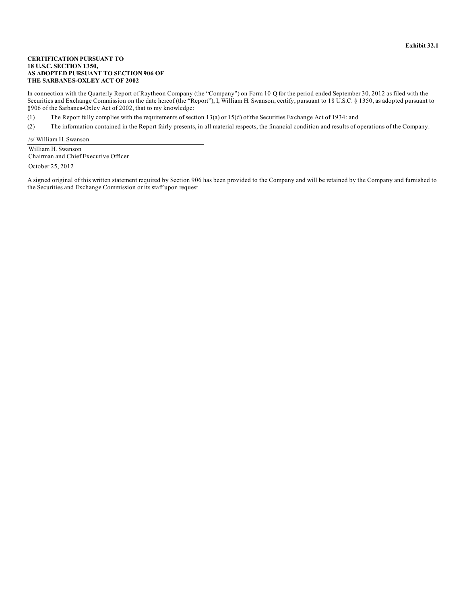#### **CERTIFICATION PURSUANT TO 18 U.S.C. SECTION 1350, AS ADOPTED PURSUANT TO SECTION 906 OF THE SARBANES-OXLEY ACT OF 2002**

In connection with the Quarterly Report of Raytheon Company (the "Company") on Form 10-Q for the period ended September 30, 2012 as filed with the Securities and Exchange Commission on the date hereof (the "Report"), I, William H. Swanson, certify, pursuant to 18 U.S.C. § 1350, as adopted pursuant to §906 of the Sarbanes-Oxley Act of 2002, that to my knowledge:

(1) The Report fully complies with the requirements of section 13(a) or 15(d) of the Securities Exchange Act of 1934: and

(2) The information contained in the Report fairly presents, in all material respects, the financial condition and results of operations of the Company.

/s/ William H. Swanson

William H. Swanson Chairman and Chief Executive Officer October 25, 2012

A signed original of this written statement required by Section 906 has been provided to the Company and will be retained by the Company and furnished to the Securities and Exchange Commission or its staff upon request.